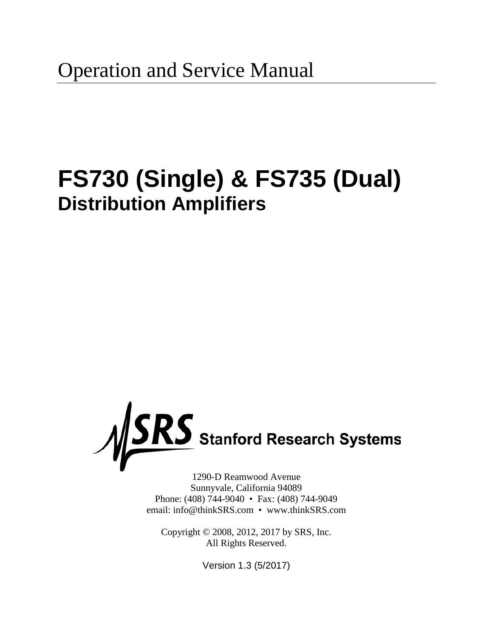# **FS730 (Single) & FS735 (Dual) Distribution Amplifiers**



1290-D Reamwood Avenue Sunnyvale, California 94089 Phone: (408) 744-9040 • Fax: (408) 744-9049 email: info@thinkSRS.com • www.thinkSRS.com

Copyright © 2008, 2012, 2017 by SRS, Inc. All Rights Reserved.

Version 1.3 (5/2017)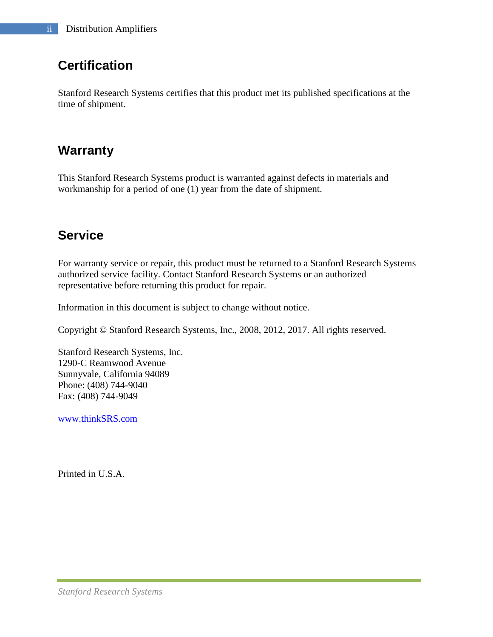# **Certification**

Stanford Research Systems certifies that this product met its published specifications at the time of shipment.

# **Warranty**

This Stanford Research Systems product is warranted against defects in materials and workmanship for a period of one (1) year from the date of shipment.

# **Service**

For warranty service or repair, this product must be returned to a Stanford Research Systems authorized service facility. Contact Stanford Research Systems or an authorized representative before returning this product for repair.

Information in this document is subject to change without notice.

Copyright © Stanford Research Systems, Inc., 2008, 2012, 2017. All rights reserved.

Stanford Research Systems, Inc. 1290-C Reamwood Avenue Sunnyvale, California 94089 Phone: (408) 744-9040 Fax: (408) 744-9049

www.thinkSRS.com

Printed in U.S.A.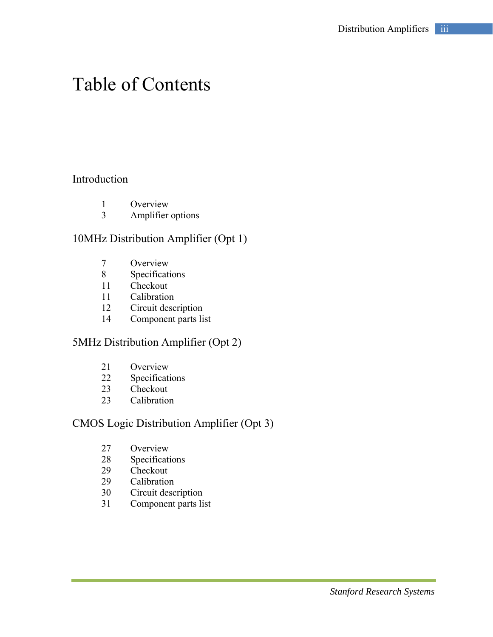# Table of Contents

#### Introduction

- 1 Overview
- 3 Amplifier options

#### 10MHz Distribution Amplifier (Opt 1)

- 7 Overview<br>8 Specificati
- **Specifications**
- 11 Checkout
- 11 Calibration
- 12 Circuit description
- 14 Component parts list

#### 5MHz Distribution Amplifier (Opt 2)

- 21 Overview
- 22 Specifications
- 23 Checkout
- 23 Calibration

### CMOS Logic Distribution Amplifier (Opt 3)

- 27 Overview
- 28 Specifications
- 29 Checkout
- 29 Calibration
- 30 Circuit description
- 31 Component parts list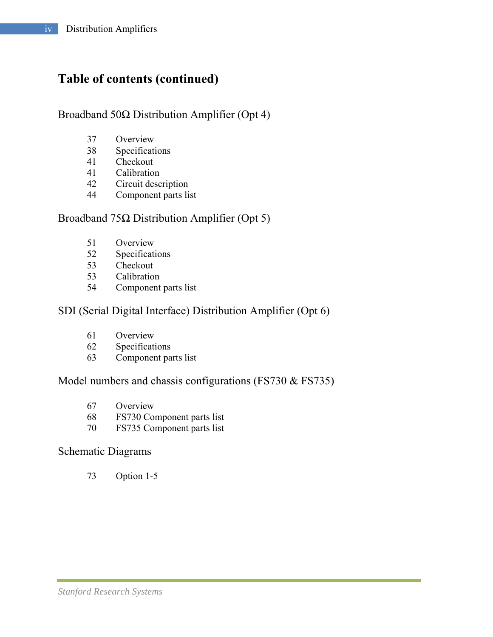### **Table of contents (continued)**

#### Broadband 50Ω Distribution Amplifier (Opt 4)

- 37 Overview
- 38 Specifications
- 41 Checkout
- 41 Calibration
- 42 Circuit description
- 44 Component parts list

#### Broadband 75Ω Distribution Amplifier (Opt 5)

- 51 Overview
- 52 Specifications
- 53 Checkout<br>53 Calibration
- Calibration
- 54 Component parts list

#### SDI (Serial Digital Interface) Distribution Amplifier (Opt 6)

- 61 Overview
- 62 Specifications
- 63 Component parts list

#### Model numbers and chassis configurations (FS730 & FS735)

- 67 Overview
- 68 FS730 Component parts list
- 70 FS735 Component parts list

#### Schematic Diagrams

73 Option 1-5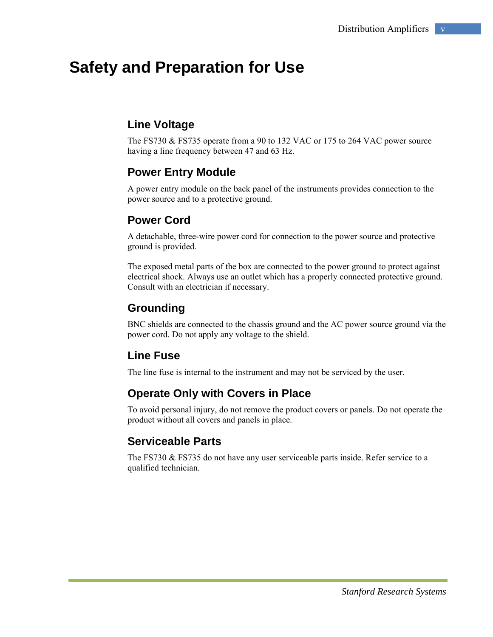# **Safety and Preparation for Use**

#### **Line Voltage**

The FS730 & FS735 operate from a 90 to 132 VAC or 175 to 264 VAC power source having a line frequency between 47 and 63 Hz.

#### **Power Entry Module**

A power entry module on the back panel of the instruments provides connection to the power source and to a protective ground.

#### **Power Cord**

A detachable, three-wire power cord for connection to the power source and protective ground is provided.

The exposed metal parts of the box are connected to the power ground to protect against electrical shock. Always use an outlet which has a properly connected protective ground. Consult with an electrician if necessary.

#### **Grounding**

BNC shields are connected to the chassis ground and the AC power source ground via the power cord. Do not apply any voltage to the shield.

#### **Line Fuse**

The line fuse is internal to the instrument and may not be serviced by the user.

#### **Operate Only with Covers in Place**

To avoid personal injury, do not remove the product covers or panels. Do not operate the product without all covers and panels in place.

#### **Serviceable Parts**

The FS730 & FS735 do not have any user serviceable parts inside. Refer service to a qualified technician.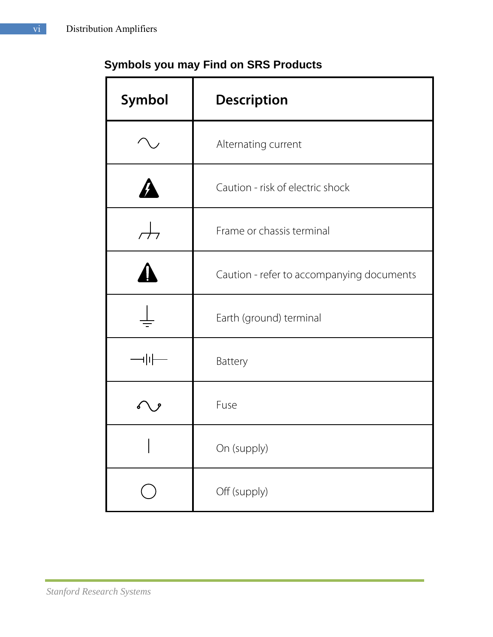# **Symbols you may Find on SRS Products**

| Symbol                   | <b>Description</b>                        |
|--------------------------|-------------------------------------------|
|                          | Alternating current                       |
|                          | Caution - risk of electric shock          |
| $\overline{\phantom{a}}$ | Frame or chassis terminal                 |
|                          | Caution - refer to accompanying documents |
|                          | Earth (ground) terminal                   |
| ⊣∣∣⊦                     | Battery                                   |
|                          | Fuse                                      |
|                          | On (supply)                               |
|                          | Off (supply)                              |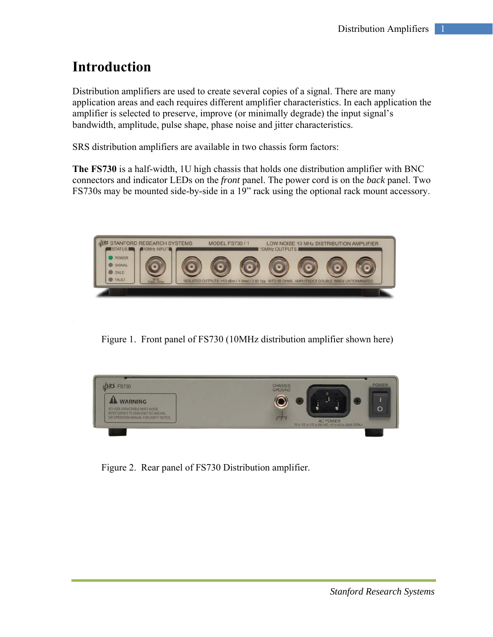# **Introduction**

Distribution amplifiers are used to create several copies of a signal. There are many application areas and each requires different amplifier characteristics. In each application the amplifier is selected to preserve, improve (or minimally degrade) the input signal's bandwidth, amplitude, pulse shape, phase noise and jitter characteristics.

SRS distribution amplifiers are available in two chassis form factors:

**The FS730** is a half-width, 1U high chassis that holds one distribution amplifier with BNC connectors and indicator LEDs on the *front* panel. The power cord is on the *back* panel. Two FS730s may be mounted side-by-side in a 19" rack using the optional rack mount accessory.



Figure 1. Front panel of FS730 (10MHz distribution amplifier shown here)



Figure 2. Rear panel of FS730 Distribution amplifier.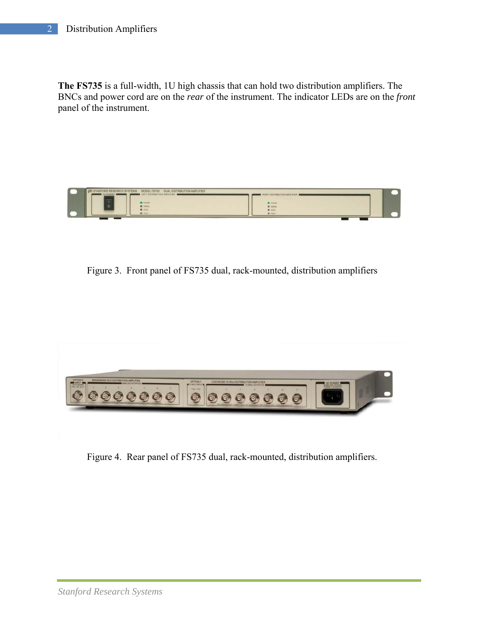**The FS735** is a full-width, 1U high chassis that can hold two distribution amplifiers. The BNCs and power cord are on the *rear* of the instrument. The indicator LEDs are on the *front* panel of the instrument.



Figure 3. Front panel of FS735 dual, rack-mounted, distribution amplifiers



Figure 4. Rear panel of FS735 dual, rack-mounted, distribution amplifiers.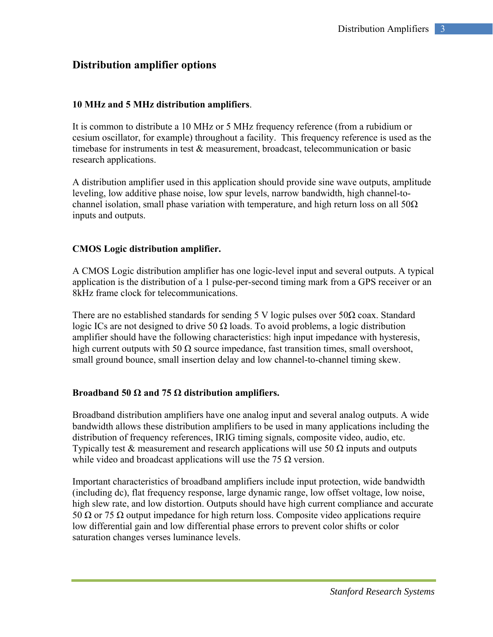#### **Distribution amplifier options**

#### **10 MHz and 5 MHz distribution amplifiers**.

It is common to distribute a 10 MHz or 5 MHz frequency reference (from a rubidium or cesium oscillator, for example) throughout a facility. This frequency reference is used as the timebase for instruments in test & measurement, broadcast, telecommunication or basic research applications.

A distribution amplifier used in this application should provide sine wave outputs, amplitude leveling, low additive phase noise, low spur levels, narrow bandwidth, high channel-tochannel isolation, small phase variation with temperature, and high return loss on all 50 $\Omega$ inputs and outputs.

#### **CMOS Logic distribution amplifier.**

A CMOS Logic distribution amplifier has one logic-level input and several outputs. A typical application is the distribution of a 1 pulse-per-second timing mark from a GPS receiver or an 8kHz frame clock for telecommunications.

There are no established standards for sending 5 V logic pulses over  $50\Omega$  coax. Standard logic ICs are not designed to drive 50  $\Omega$  loads. To avoid problems, a logic distribution amplifier should have the following characteristics: high input impedance with hysteresis, high current outputs with 50  $\Omega$  source impedance, fast transition times, small overshoot, small ground bounce, small insertion delay and low channel-to-channel timing skew.

#### **Broadband 50 Ω and 75 Ω distribution amplifiers.**

Broadband distribution amplifiers have one analog input and several analog outputs. A wide bandwidth allows these distribution amplifiers to be used in many applications including the distribution of frequency references, IRIG timing signals, composite video, audio, etc. Typically test  $\&$  measurement and research applications will use 50  $\Omega$  inputs and outputs while video and broadcast applications will use the 75  $\Omega$  version.

Important characteristics of broadband amplifiers include input protection, wide bandwidth (including dc), flat frequency response, large dynamic range, low offset voltage, low noise, high slew rate, and low distortion. Outputs should have high current compliance and accurate 50 Ω or 75 Ω output impedance for high return loss. Composite video applications require low differential gain and low differential phase errors to prevent color shifts or color saturation changes verses luminance levels.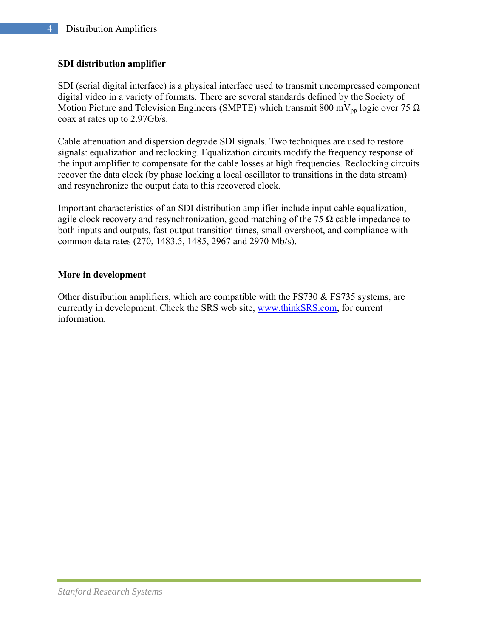#### **SDI distribution amplifier**

SDI (serial digital interface) is a physical interface used to transmit uncompressed component digital video in a variety of formats. There are several standards defined by the Society of Motion Picture and Television Engineers (SMPTE) which transmit 800 mV<sub>pp</sub> logic over 75  $\Omega$ coax at rates up to 2.97Gb/s.

Cable attenuation and dispersion degrade SDI signals. Two techniques are used to restore signals: equalization and reclocking. Equalization circuits modify the frequency response of the input amplifier to compensate for the cable losses at high frequencies. Reclocking circuits recover the data clock (by phase locking a local oscillator to transitions in the data stream) and resynchronize the output data to this recovered clock.

Important characteristics of an SDI distribution amplifier include input cable equalization, agile clock recovery and resynchronization, good matching of the 75  $\Omega$  cable impedance to both inputs and outputs, fast output transition times, small overshoot, and compliance with common data rates (270, 1483.5, 1485, 2967 and 2970 Mb/s).

#### **More in development**

Other distribution amplifiers, which are compatible with the FS730  $&$  FS735 systems, are currently in development. Check the SRS web site, [www.thinkSRS.com,](http://www.thinksrs.com/) for current information.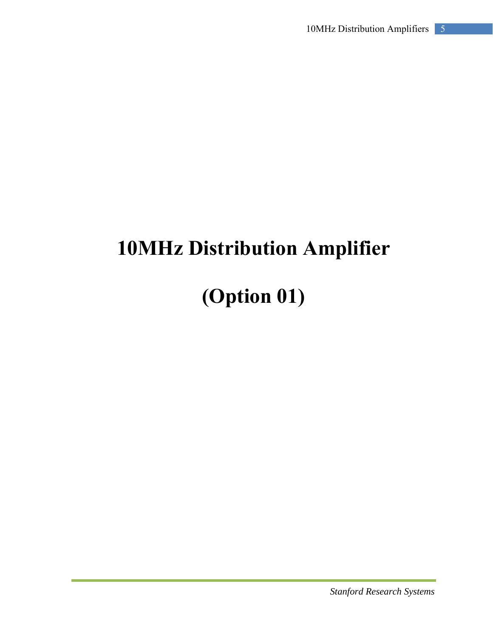# **10MHz Distribution Amplifier**

# **(Option 01)**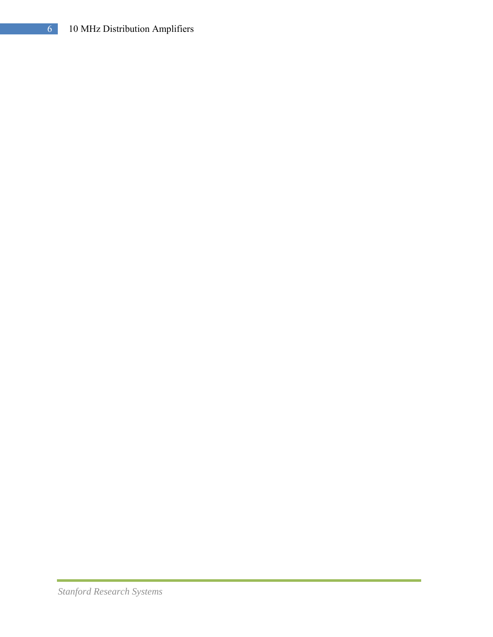# 6 10 MHz Distribution Amplifiers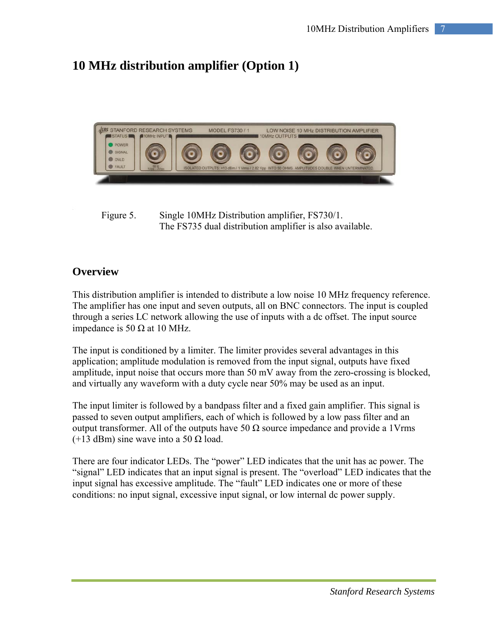# **10 MHz distribution amplifier (Option 1)**



Figure 5. Single 10MHz Distribution amplifier, FS730/1. The FS735 dual distribution amplifier is also available.

#### **Overview**

This distribution amplifier is intended to distribute a low noise 10 MHz frequency reference. The amplifier has one input and seven outputs, all on BNC connectors. The input is coupled through a series LC network allowing the use of inputs with a dc offset. The input source impedance is 50  $Ω$  at 10 MHz.

The input is conditioned by a limiter. The limiter provides several advantages in this application; amplitude modulation is removed from the input signal, outputs have fixed amplitude, input noise that occurs more than 50 mV away from the zero-crossing is blocked, and virtually any waveform with a duty cycle near 50% may be used as an input.

The input limiter is followed by a bandpass filter and a fixed gain amplifier. This signal is passed to seven output amplifiers, each of which is followed by a low pass filter and an output transformer. All of the outputs have 50 Ω source impedance and provide a 1Vrms (+13 dBm) sine wave into a 50  $\Omega$  load.

There are four indicator LEDs. The "power" LED indicates that the unit has ac power. The "signal" LED indicates that an input signal is present. The "overload" LED indicates that the input signal has excessive amplitude. The "fault" LED indicates one or more of these conditions: no input signal, excessive input signal, or low internal dc power supply.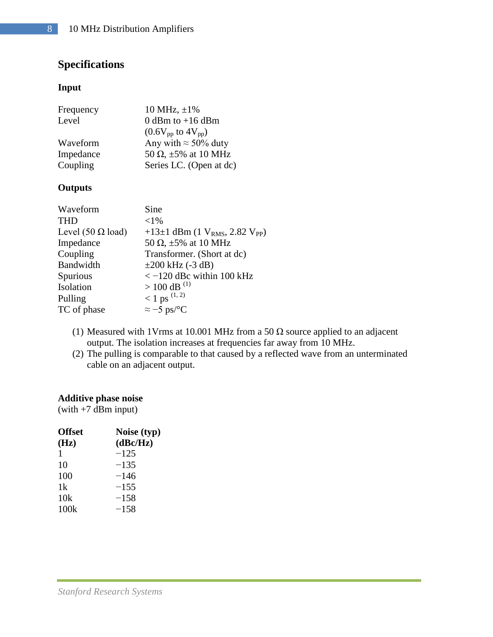#### **Specifications**

#### **Input**

| Frequency | 10 MHz, $\pm 1\%$                |
|-----------|----------------------------------|
| Level     | 0 dBm to $+16$ dBm               |
|           | $(0.6V_{pp}$ to $4V_{pp})$       |
| Waveform  | Any with $\approx$ 50% duty      |
| Impedance | 50 $\Omega$ , $\pm$ 5% at 10 MHz |
| Coupling  | Series LC. (Open at dc)          |

#### **Outputs**

| Sine                                     |
|------------------------------------------|
| ${<}1\%$                                 |
| +13±1 dBm (1 $V_{RMS}$ , 2.82 $V_{PP}$ ) |
| 50 $\Omega$ , $\pm$ 5% at 10 MHz         |
| Transformer. (Short at dc)               |
| $\pm 200$ kHz (-3 dB)                    |
| $<-120$ dBc within 100 kHz               |
| $> 100$ dB <sup>(1)</sup>                |
| $< 1$ ps $(1, 2)$                        |
| $\approx -5$ ps/°C                       |
|                                          |

- (1) Measured with 1Vrms at 10.001 MHz from a 50  $\Omega$  source applied to an adjacent output. The isolation increases at frequencies far away from 10 MHz.
- (2) The pulling is comparable to that caused by a reflected wave from an unterminated cable on an adjacent output.

#### **Additive phase noise**

(with  $+7$  dBm input)

| <b>Offset</b> | Noise (typ) |
|---------------|-------------|
| (Hz)          | (dBc/Hz)    |
| 1             | $-125$      |
| 10            | $-135$      |
| 100           | $-146$      |
| 1k            | $-155$      |
| 10k           | $-158$      |
| 100k          | $-158$      |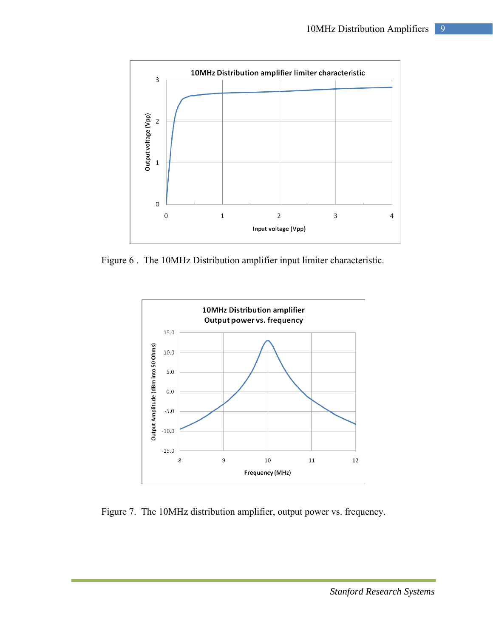

Figure 6 . The 10MHz Distribution amplifier input limiter characteristic.



Figure 7. The 10MHz distribution amplifier, output power vs. frequency.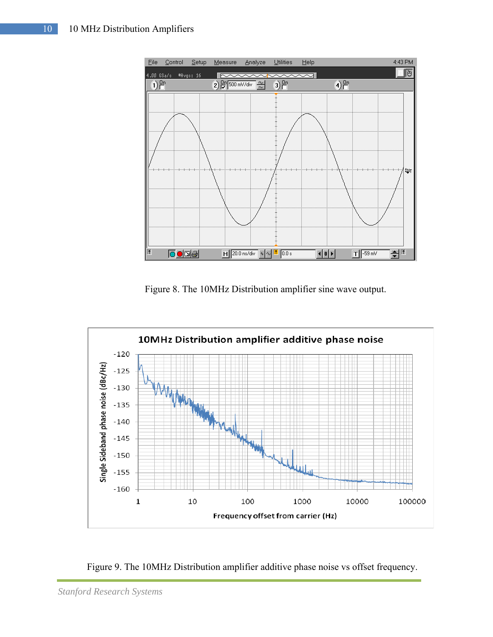

Figure 8. The 10MHz Distribution amplifier sine wave output.



Figure 9. The 10MHz Distribution amplifier additive phase noise vs offset frequency.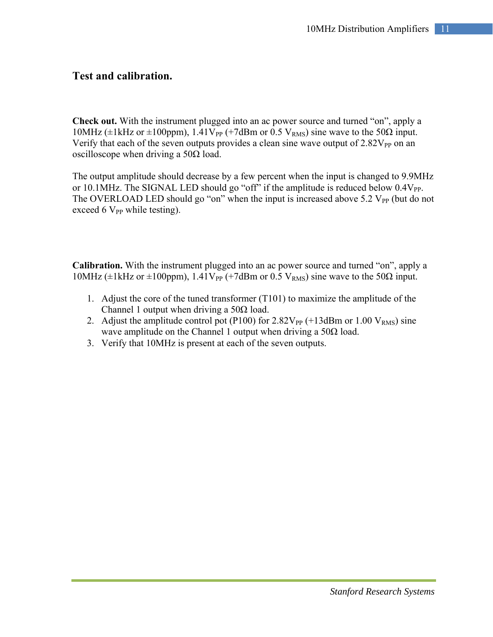#### **Test and calibration.**

**Check out.** With the instrument plugged into an ac power source and turned "on", apply a 10MHz ( $\pm$ 1kHz or  $\pm$ 100ppm), 1.41V<sub>PP</sub> (+7dBm or 0.5 V<sub>RMS</sub>) sine wave to the 50 $\Omega$  input. Verify that each of the seven outputs provides a clean sine wave output of  $2.82V_{PP}$  on an oscilloscope when driving a  $50\Omega$  load.

The output amplitude should decrease by a few percent when the input is changed to 9.9MHz or 10.1MHz. The SIGNAL LED should go "off" if the amplitude is reduced below  $0.4V_{PP}$ . The OVERLOAD LED should go "on" when the input is increased above  $5.2$  V<sub>PP</sub> (but do not exceed 6  $V_{PP}$  while testing).

**Calibration.** With the instrument plugged into an ac power source and turned "on", apply a  $10MHz$  ( $\pm$ 1kHz or  $\pm$ 100ppm), 1.41V<sub>PP</sub> (+7dBm or 0.5 V<sub>RMS</sub>) sine wave to the 50 $\Omega$  input.

- 1. Adjust the core of the tuned transformer (T101) to maximize the amplitude of the Channel 1 output when driving a  $50\Omega$  load.
- 2. Adjust the amplitude control pot (P100) for  $2.82V_{PP}$  (+13dBm or 1.00  $V_{RMS}$ ) sine wave amplitude on the Channel 1 output when driving a  $50\Omega$  load.
- 3. Verify that 10MHz is present at each of the seven outputs.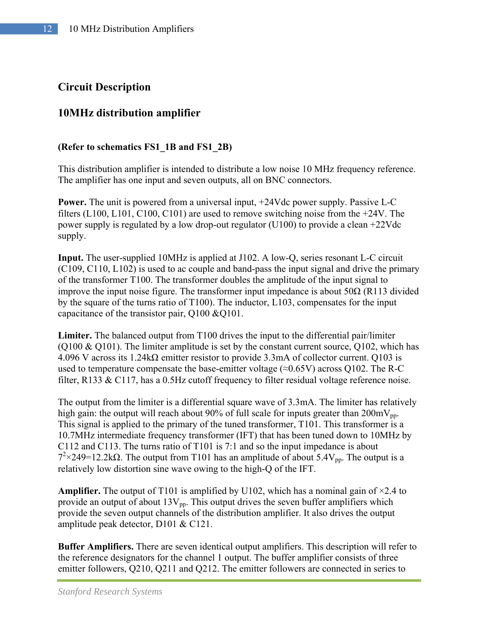#### **Circuit Description**

#### **10MHz distribution amplifier**

#### **(Refer to schematics FS1\_1B and FS1\_2B)**

This distribution amplifier is intended to distribute a low noise 10 MHz frequency reference. The amplifier has one input and seven outputs, all on BNC connectors.

**Power.** The unit is powered from a universal input, +24Vdc power supply. Passive L-C filters (L100, L101, C100, C101) are used to remove switching noise from the +24V. The power supply is regulated by a low drop-out regulator (U100) to provide a clean +22Vdc supply.

**Input.** The user-supplied 10MHz is applied at J102. A low-Q, series resonant L-C circuit (C109, C110, L102) is used to ac couple and band-pass the input signal and drive the primary of the transformer T100. The transformer doubles the amplitude of the input signal to improve the input noise figure. The transformer input impedance is about  $50\Omega$  (R113 divided by the square of the turns ratio of T100). The inductor, L103, compensates for the input capacitance of the transistor pair, Q100 &Q101.

**Limiter.** The balanced output from T100 drives the input to the differential pair/limiter  $(0.000 \& 0.01)$ . The limiter amplitude is set by the constant current source,  $(0.0102)$ , which has 4.096 V across its 1.24kΩ emitter resistor to provide 3.3mA of collector current. Q103 is used to temperature compensate the base-emitter voltage ( $\approx 0.65$ V) across O102. The R-C filter, R133  $& C117$ , has a 0.5Hz cutoff frequency to filter residual voltage reference noise.

The output from the limiter is a differential square wave of 3.3mA. The limiter has relatively high gain: the output will reach about 90% of full scale for inputs greater than  $200 \text{mV}_{\text{pp}}$ . This signal is applied to the primary of the tuned transformer, T101. This transformer is a 10.7MHz intermediate frequency transformer (IFT) that has been tuned down to 10MHz by C112 and C113. The turns ratio of T101 is 7:1 and so the input impedance is about  $7^2 \times 249 = 12.2$  kQ. The output from T101 has an amplitude of about 5.4V<sub>pp</sub>. The output is a relatively low distortion sine wave owing to the high-Q of the IFT.

**Amplifier.** The output of T101 is amplified by U102, which has a nominal gain of  $\times$ 2.4 to provide an output of about  $13V_{\text{pp}}$ . This output drives the seven buffer amplifiers which provide the seven output channels of the distribution amplifier. It also drives the output amplitude peak detector, D101 & C121.

**Buffer Amplifiers.** There are seven identical output amplifiers. This description will refer to the reference designators for the channel 1 output. The buffer amplifier consists of three emitter followers, Q210, Q211 and Q212. The emitter followers are connected in series to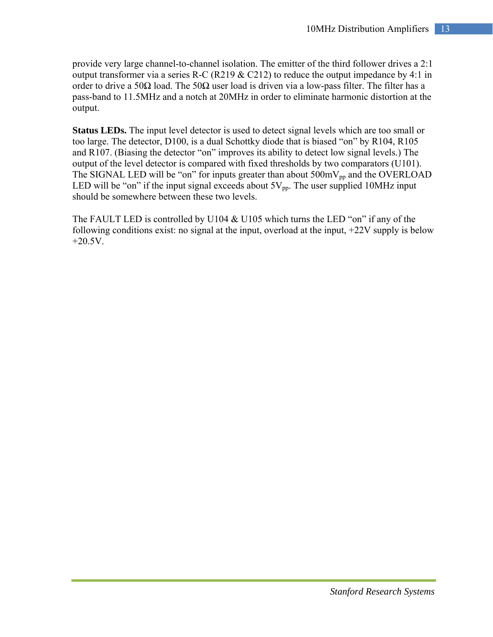provide very large channel-to-channel isolation. The emitter of the third follower drives a 2:1 output transformer via a series R-C (R219  $& C212$ ) to reduce the output impedance by 4:1 in order to drive a 50 $\Omega$  load. The 50 $\Omega$  user load is driven via a low-pass filter. The filter has a pass-band to 11.5MHz and a notch at 20MHz in order to eliminate harmonic distortion at the output.

**Status LEDs.** The input level detector is used to detect signal levels which are too small or too large. The detector, D100, is a dual Schottky diode that is biased "on" by R104, R105 and R107. (Biasing the detector "on" improves its ability to detect low signal levels.) The output of the level detector is compared with fixed thresholds by two comparators (U101). The SIGNAL LED will be "on" for inputs greater than about  $500 \text{mV}_{\text{pp}}$  and the OVERLOAD LED will be "on" if the input signal exceeds about  $5V_{\text{pp}}$ . The user supplied 10MHz input should be somewhere between these two levels.

The FAULT LED is controlled by U104 & U105 which turns the LED "on" if any of the following conditions exist: no signal at the input, overload at the input, +22V supply is below  $+20.5V.$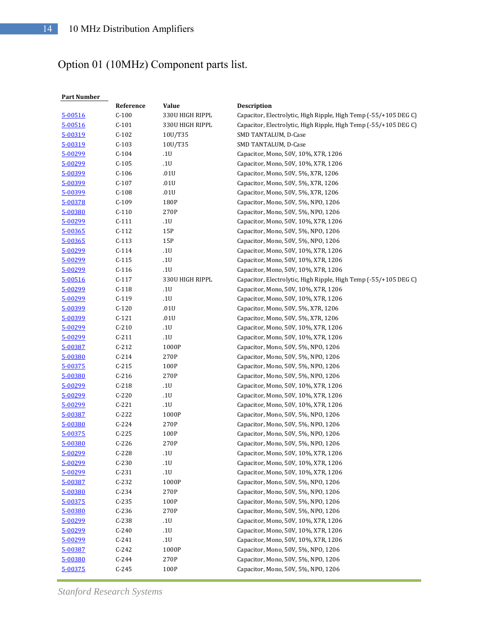# Option 01 (10MHz) Component parts list.

| <b>Part Number</b> |           |                 |                                                                  |
|--------------------|-----------|-----------------|------------------------------------------------------------------|
|                    | Reference | Value           | Description                                                      |
| 5-00516            | $C-100$   | 330U HIGH RIPPL | Capacitor, Electrolytic, High Ripple, High Temp (-55/+105 DEG C) |
| 5-00516            | $C-101$   | 330U HIGH RIPPL | Capacitor, Electrolytic, High Ripple, High Temp (-55/+105 DEG C) |
| 5-00319            | $C-102$   | 10U/T35         | SMD TANTALUM, D-Case                                             |
| 5-00319            | $C-103$   | 10U/T35         | SMD TANTALUM, D-Case                                             |
| 5-00299            | $C-104$   | .1U             | Capacitor, Mono, 50V, 10%, X7R, 1206                             |
| 5-00299            | $C-105$   | .1U             | Capacitor, Mono, 50V, 10%, X7R, 1206                             |
| 5-00399            | $C-106$   | .01U            | Capacitor, Mono, 50V, 5%, X7R, 1206                              |
| 5-00399            | $C-107$   | .01U            | Capacitor, Mono, 50V, 5%, X7R, 1206                              |
| 5-00399            | $C-108$   | .01U            | Capacitor, Mono, 50V, 5%, X7R, 1206                              |
| 5-00378            | $C-109$   | 180P            | Capacitor, Mono, 50V, 5%, NPO, 1206                              |
| 5-00380            | $C-110$   | 270P            | Capacitor, Mono, 50V, 5%, NPO, 1206                              |
| 5-00299            | $C-111$   | .1U             | Capacitor, Mono, 50V, 10%, X7R, 1206                             |
| 5-00365            | $C-112$   | 15P             | Capacitor, Mono, 50V, 5%, NPO, 1206                              |
| 5-00365            | $C-113$   | 15P             | Capacitor, Mono, 50V, 5%, NPO, 1206                              |
| 5-00299            | $C-114$   | .1U             | Capacitor, Mono, 50V, 10%, X7R, 1206                             |
| 5-00299            | $C-115$   | .1U             | Capacitor, Mono, 50V, 10%, X7R, 1206                             |
| 5-00299            | $C-116$   | .1U             | Capacitor, Mono, 50V, 10%, X7R, 1206                             |
| 5-00516            | $C-117$   | 330U HIGH RIPPL | Capacitor, Electrolytic, High Ripple, High Temp (-55/+105 DEG C) |
| 5-00299            | $C-118$   | .1U             | Capacitor, Mono, 50V, 10%, X7R, 1206                             |
| 5-00299            | $C-119$   | .1U             | Capacitor, Mono, 50V, 10%, X7R, 1206                             |
| 5-00399            | $C-120$   | .01U            | Capacitor, Mono, 50V, 5%, X7R, 1206                              |
| 5-00399            | $C-121$   | .01U            | Capacitor, Mono, 50V, 5%, X7R, 1206                              |
| 5-00299            | $C-210$   | .1U             | Capacitor, Mono, 50V, 10%, X7R, 1206                             |
| 5-00299            | $C-211$   | .1U             | Capacitor, Mono, 50V, 10%, X7R, 1206                             |
| 5-00387            | $C-212$   | 1000P           | Capacitor, Mono, 50V, 5%, NPO, 1206                              |
| 5-00380            | $C-214$   | 270P            | Capacitor, Mono, 50V, 5%, NPO, 1206                              |
| 5-00375            | $C-215$   | 100P            | Capacitor, Mono, 50V, 5%, NPO, 1206                              |
| 5-00380            | $C-216$   | 270P            | Capacitor, Mono, 50V, 5%, NPO, 1206                              |
| 5-00299            | $C-218$   | .1U             | Capacitor, Mono, 50V, 10%, X7R, 1206                             |
| 5-00299            | $C-220$   | .1U             | Capacitor, Mono, 50V, 10%, X7R, 1206                             |
| 5-00299            | $C-221$   | .1U             | Capacitor, Mono, 50V, 10%, X7R, 1206                             |
| 5-00387            | $C-222$   | 1000P           | Capacitor, Mono, 50V, 5%, NPO, 1206                              |
| 5-00380            | $C-224$   | 270P            | Capacitor, Mono, 50V, 5%, NPO, 1206                              |
| 5-00375            | $C-225$   | 100P            | Capacitor, Mono, 50V, 5%, NPO, 1206                              |
| 5-00380            | $C-226$   | 270P            | Capacitor, Mono, 50V, 5%, NPO, 1206                              |
| 5-00299            | $C-228$   | .1U             | Capacitor, Mono, 50V, 10%, X7R, 1206                             |
| 5-00299            | $C-230$   | .1U             | Capacitor, Mono, 50V, 10%, X7R, 1206                             |
| 5-00299            | $C-231$   | .1U             | Capacitor, Mono, 50V, 10%, X7R, 1206                             |
| 5-00387            | $C-232$   | 1000P           | Capacitor, Mono, 50V, 5%, NPO, 1206                              |
| 5-00380            | $C-234$   | 270P            | Capacitor, Mono, 50V, 5%, NPO, 1206                              |
| 5-00375            | $C-235$   | 100P            | Capacitor, Mono, 50V, 5%, NPO, 1206                              |
| 5-00380            | $C-236$   | 270P            | Capacitor, Mono, 50V, 5%, NPO, 1206                              |
| 5-00299            | $C-238$   | .1U             | Capacitor, Mono, 50V, 10%, X7R, 1206                             |
| 5-00299            | $C-240$   | .1U             | Capacitor, Mono, 50V, 10%, X7R, 1206                             |
| 5-00299            | $C-241$   | .1U             | Capacitor, Mono, 50V, 10%, X7R, 1206                             |
| 5-00387            | $C-242$   | 1000P           | Capacitor, Mono, 50V, 5%, NPO, 1206                              |
| 5-00380            | $C-244$   | 270P            | Capacitor, Mono, 50V, 5%, NPO, 1206                              |
| 5-00375            | $C-245$   | 100P            | Capacitor, Mono, 50V, 5%, NPO, 1206                              |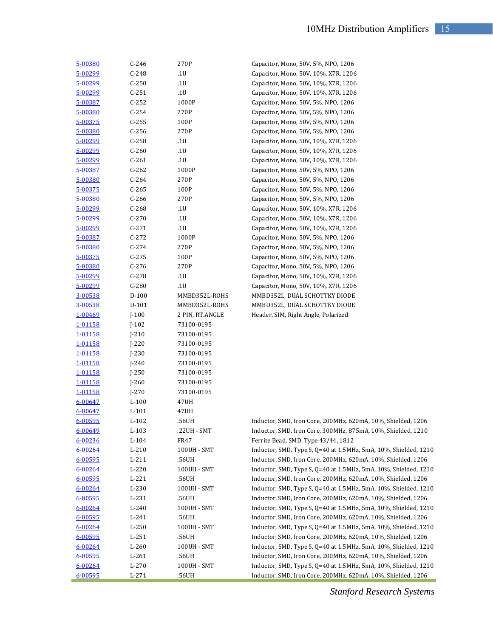| 5-00380        | $C-246$ | 270P                | Capacitor, Mono, 50V, 5%, NPO, 1206                                                                                             |
|----------------|---------|---------------------|---------------------------------------------------------------------------------------------------------------------------------|
| 5-00299        | $C-248$ | $.1\mathrm{U}$      | Capacitor, Mono, 50V, 10%, X7R, 1206                                                                                            |
| 5-00299        | $C-250$ | .1U                 | Capacitor, Mono, 50V, 10%, X7R, 1206                                                                                            |
| 5-00299        | $C-251$ | $.1\mathrm{U}$      | Capacitor, Mono, 50V, 10%, X7R, 1206                                                                                            |
| 5-00387        | $C-252$ | 1000P               | Capacitor, Mono, 50V, 5%, NPO, 1206                                                                                             |
| 5-00380        | $C-254$ | 270P                | Capacitor, Mono, 50V, 5%, NPO, 1206                                                                                             |
| 5-00375        | $C-255$ | 100P                | Capacitor, Mono, 50V, 5%, NPO, 1206                                                                                             |
| 5-00380        | $C-256$ | 270P                | Capacitor, Mono, 50V, 5%, NPO, 1206                                                                                             |
| 5-00299        | $C-258$ | $.1\mathrm{U}$      | Capacitor, Mono, 50V, 10%, X7R, 1206                                                                                            |
| 5-00299        | $C-260$ | $.1\mathrm{U}$      | Capacitor, Mono, 50V, 10%, X7R, 1206                                                                                            |
| 5-00299        | $C-261$ | $.1\mathrm{U}$      | Capacitor, Mono, 50V, 10%, X7R, 1206                                                                                            |
| 5-00387        | $C-262$ | 1000P               | Capacitor, Mono, 50V, 5%, NPO, 1206                                                                                             |
| 5-00380        | $C-264$ | 270P                | Capacitor, Mono, 50V, 5%, NPO, 1206                                                                                             |
| 5-00375        | $C-265$ | 100P                | Capacitor, Mono, 50V, 5%, NPO, 1206                                                                                             |
| 5-00380        | $C-266$ | 270P                | Capacitor, Mono, 50V, 5%, NPO, 1206                                                                                             |
| 5-00299        | $C-268$ | .1U                 | Capacitor, Mono, 50V, 10%, X7R, 1206                                                                                            |
| 5-00299        | $C-270$ | $.1\mathrm{U}$      | Capacitor, Mono, 50V, 10%, X7R, 1206                                                                                            |
| 5-00299        | $C-271$ | $.1\mathrm{U}$      | Capacitor, Mono, 50V, 10%, X7R, 1206                                                                                            |
| 5-00387        | $C-272$ | 1000P               | Capacitor, Mono, 50V, 5%, NPO, 1206                                                                                             |
| 5-00380        | $C-274$ | 270P                | Capacitor, Mono, 50V, 5%, NPO, 1206                                                                                             |
| 5-00375        | $C-275$ | 100P                | Capacitor, Mono, 50V, 5%, NPO, 1206                                                                                             |
| 5-00380        | $C-276$ | 270P                | Capacitor, Mono, 50V, 5%, NPO, 1206                                                                                             |
| 5-00299        | $C-278$ | .1U                 | Capacitor, Mono, 50V, 10%, X7R, 1206                                                                                            |
| 5-00299        | $C-280$ | .1U                 | Capacitor, Mono, 50V, 10%, X7R, 1206                                                                                            |
| 3-00538        | $D-100$ | MMBD352L-ROHS       | MMBD352L, DUAL SCHOTTKY DIODE                                                                                                   |
| 3-00538        | $D-101$ | MMBD352L-ROHS       | MMBD352L, DUAL SCHOTTKY DIODE                                                                                                   |
| 1-00469        | $J-100$ | 2 PIN, RT.ANGLE     | Header, SIM, Right Angle, Polarized                                                                                             |
| 1-01158        | $J-102$ | 73100-0195          |                                                                                                                                 |
| 1-01158        | $J-210$ | 73100-0195          |                                                                                                                                 |
| 1-01158        | $J-220$ | 73100-0195          |                                                                                                                                 |
| 1-01158        | $J-230$ | 73100-0195          |                                                                                                                                 |
| 1-01158        | $J-240$ | 73100-0195          |                                                                                                                                 |
| 1-01158        | $J-250$ | 73100-0195          |                                                                                                                                 |
| 1-01158        | $J-260$ | 73100-0195          |                                                                                                                                 |
| 1-01158        | $J-270$ | 73100-0195          |                                                                                                                                 |
| $6 - 00647$    | $L-100$ | 47UH                |                                                                                                                                 |
| 6-00647        | $L-101$ | 47UH                |                                                                                                                                 |
| 6-00595        | $L-102$ | .56UH               | Inductor, SMD, Iron Core, 200MHz, 620mA, 10%, Shielded, 1206                                                                    |
| <u>6-00649</u> | $L-103$ |                     | Inductor, SMD, Iron Core, 300MHz, 875mA, 10%, Shielded, 1210                                                                    |
| $6 - 00236$    | $L-104$ | .22UH - SMT<br>FR47 | Ferrite Bead, SMD, Type 43/44, 1812                                                                                             |
| 6-00264        | $L-210$ | 100UH - SMT         | Inductor, SMD, Type S, Q=40 at 1.5MHz, 5mA, 10%, Shielded, 1210                                                                 |
| 6-00595        | $L-211$ | .56UH               | Inductor, SMD, Iron Core, 200MHz, 620mA, 10%, Shielded, 1206                                                                    |
| $6 - 00264$    | $L-220$ | 100UH - SMT         | Inductor, SMD, Type S, Q=40 at 1.5MHz, 5mA, 10%, Shielded, 1210                                                                 |
| 6-00595        | L-221   | .56UH               | Inductor, SMD, Iron Core, 200MHz, 620mA, 10%, Shielded, 1206                                                                    |
| 6-00264        |         |                     |                                                                                                                                 |
|                | $L-230$ | 100UH - SMT         | Inductor, SMD, Type S, Q=40 at 1.5MHz, 5mA, 10%, Shielded, 1210                                                                 |
| 6-00595        | L-231   | .56UH               | Inductor, SMD, Iron Core, 200MHz, 620mA, 10%, Shielded, 1206                                                                    |
| $6 - 00264$    | $L-240$ | 100UH - SMT         | Inductor, SMD, Type S, Q=40 at 1.5MHz, 5mA, 10%, Shielded, 1210<br>Inductor, SMD, Iron Core, 200MHz, 620mA, 10%, Shielded, 1206 |
| 6-00595        | L-241   | .56UH               |                                                                                                                                 |
| $6 - 00264$    | $L-250$ | 100UH - SMT         | Inductor, SMD, Type S, Q=40 at 1.5MHz, 5mA, 10%, Shielded, 1210                                                                 |
| 6-00595        | L-251   | .56UH               | Inductor, SMD, Iron Core, 200MHz, 620mA, 10%, Shielded, 1206                                                                    |
| $6 - 00264$    | $L-260$ | 100UH - SMT         | Inductor, SMD, Type S, Q=40 at 1.5MHz, 5mA, 10%, Shielded, 1210                                                                 |
| 6-00595        | $L-261$ | .56UH               | Inductor, SMD, Iron Core, 200MHz, 620mA, 10%, Shielded, 1206                                                                    |
| 6-00264        | $L-270$ | 100UH - SMT         | Inductor, SMD, Type S, Q=40 at 1.5MHz, 5mA, 10%, Shielded, 1210                                                                 |
| 6-00595        | $L-271$ | .56UH               | Inductor, SMD, Iron Core, 200MHz, 620mA, 10%, Shielded, 1206                                                                    |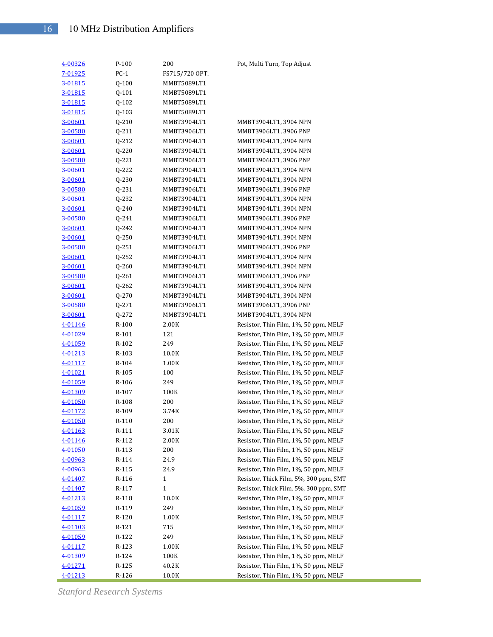| <u>4-00326</u> | $P-100$                | 200            | Pot, Multi Turn, Top Adjust            |
|----------------|------------------------|----------------|----------------------------------------|
| <u>7-01925</u> | $PC-1$                 | FS715/720 OPT. |                                        |
| <u>3-01815</u> | $Q-100$                | MMBT5089LT1    |                                        |
| <u>3-01815</u> | $Q-101$                | MMBT5089LT1    |                                        |
| 3-01815        | $Q-102$                | MMBT5089LT1    |                                        |
| <u>3-01815</u> | $Q - 103$              | MMBT5089LT1    |                                        |
| <u>3-00601</u> | $Q - 210$              | MMBT3904LT1    | MMBT3904LT1, 3904 NPN                  |
| <u>3-00580</u> | $Q - 211$              | MMBT3906LT1    | MMBT3906LT1, 3906 PNP                  |
| 3-00601        | $Q - 212$              | MMBT3904LT1    | MMBT3904LT1, 3904 NPN                  |
| <u>3-00601</u> | $Q - 220$              | MMBT3904LT1    | MMBT3904LT1, 3904 NPN                  |
| <u>3-00580</u> | $Q - 221$              | MMBT3906LT1    | MMBT3906LT1, 3906 PNP                  |
| <u>3-00601</u> | $Q - 222$              | MMBT3904LT1    | MMBT3904LT1, 3904 NPN                  |
| <u>3-00601</u> | $Q - 230$              | MMBT3904LT1    | MMBT3904LT1, 3904 NPN                  |
| <u>3-00580</u> | $Q - 231$              | MMBT3906LT1    | MMBT3906LT1, 3906 PNP                  |
| <u>3-00601</u> | $Q - 232$              | MMBT3904LT1    | MMBT3904LT1, 3904 NPN                  |
| <u>3-00601</u> | $Q - 240$              | MMBT3904LT1    | MMBT3904LT1, 3904 NPN                  |
| 3-00580        | $Q - 241$              | MMBT3906LT1    | MMBT3906LT1, 3906 PNP                  |
| <u>3-00601</u> | $Q - 242$              | MMBT3904LT1    | MMBT3904LT1, 3904 NPN                  |
| <u>3-00601</u> | $Q - 250$              | MMBT3904LT1    | MMBT3904LT1, 3904 NPN                  |
| 3-00580        |                        | MMBT3906LT1    | MMBT3906LT1, 3906 PNP                  |
|                | $Q - 251$<br>$Q - 252$ | MMBT3904LT1    | MMBT3904LT1, 3904 NPN                  |
| <u>3-00601</u> | $Q - 260$              | MMBT3904LT1    |                                        |
| <u>3-00601</u> |                        |                | MMBT3904LT1, 3904 NPN                  |
| 3-00580        | $Q - 261$              | MMBT3906LT1    | MMBT3906LT1, 3906 PNP                  |
| <u>3-00601</u> | $Q - 262$              | MMBT3904LT1    | MMBT3904LT1, 3904 NPN                  |
| <u>3-00601</u> | $Q - 270$              | MMBT3904LT1    | MMBT3904LT1, 3904 NPN                  |
| <u>3-00580</u> | $Q - 271$              | MMBT3906LT1    | MMBT3906LT1, 3906 PNP                  |
| <u>3-00601</u> | $Q - 272$              | MMBT3904LT1    | MMBT3904LT1, 3904 NPN                  |
| <u>4-01146</u> | $R-100$                | 2.00K          | Resistor, Thin Film, 1%, 50 ppm, MELF  |
| <u>4-01029</u> | R-101                  | 121            | Resistor, Thin Film, 1%, 50 ppm, MELF  |
| <u>4-01059</u> | R-102                  | 249            | Resistor, Thin Film, 1%, 50 ppm, MELF  |
| <u>4-01213</u> | R-103                  | 10.0K          | Resistor, Thin Film, 1%, 50 ppm, MELF  |
| <u>4-01117</u> | R-104                  | 1.00K          | Resistor, Thin Film, 1%, 50 ppm, MELF  |
| <u>4-01021</u> | R-105                  | 100            | Resistor, Thin Film, 1%, 50 ppm, MELF  |
| <u>4-01059</u> | R-106                  | 249            | Resistor, Thin Film, 1%, 50 ppm, MELF  |
| <u>4-01309</u> | R-107                  | 100K           | Resistor, Thin Film, 1%, 50 ppm, MELF  |
| <u>4-01050</u> | R-108                  | 200            | Resistor, Thin Film, 1%, 50 ppm, MELF  |
| 4-01172        | R-109                  | 3.74K          | Resistor, Thin Film, 1%, 50 ppm, MELF  |
| 4-01050        | $R-110$                | 200            | Resistor, Thin Film, 1%, 50 ppm, MELF  |
| <u>4-01163</u> | R-111                  | 3.01K          | Resistor, Thin Film, 1%, 50 ppm, MELF  |
| 4-01146        | $R-112$                | 2.00K          | Resistor, Thin Film, 1%, 50 ppm, MELF  |
| <u>4-01050</u> | R-113                  | 200            | Resistor, Thin Film, 1%, 50 ppm, MELF  |
| <u>4-00963</u> | R-114                  | 24.9           | Resistor, Thin Film, 1%, 50 ppm, MELF  |
| <u>4-00963</u> | R-115                  | 24.9           | Resistor, Thin Film, 1%, 50 ppm, MELF  |
| <u>4-01407</u> | R-116                  | 1              | Resistor, Thick Film, 5%, 300 ppm, SMT |
| <u>4-01407</u> | R-117                  | 1              | Resistor, Thick Film, 5%, 300 ppm, SMT |
| 4-01213        | R-118                  | 10.0K          | Resistor, Thin Film, 1%, 50 ppm, MELF  |
| <u>4-01059</u> | R-119                  | 249            | Resistor, Thin Film, 1%, 50 ppm, MELF  |
| <u>4-01117</u> | R-120                  | 1.00K          | Resistor, Thin Film, 1%, 50 ppm, MELF  |
| <u>4-01103</u> | R-121                  | 715            | Resistor, Thin Film, 1%, 50 ppm, MELF  |
| <u>4-01059</u> | R-122                  | 249            | Resistor, Thin Film, 1%, 50 ppm, MELF  |
| <u>4-01117</u> | R-123                  | 1.00K          | Resistor, Thin Film, 1%, 50 ppm, MELF  |
| <u>4-01309</u> | R-124                  | 100K           | Resistor, Thin Film, 1%, 50 ppm, MELF  |
| <u>4-01271</u> | R-125                  | 40.2K          | Resistor, Thin Film, 1%, 50 ppm, MELF  |
| 4-01213        | $R-126$                | 10.0K          | Resistor, Thin Film, 1%, 50 ppm, MELF  |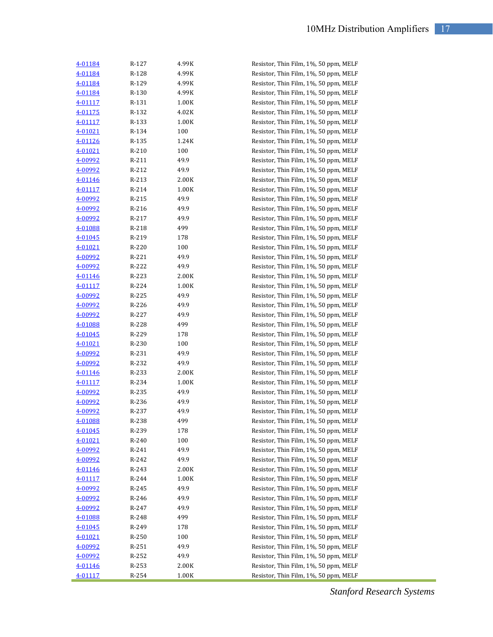| 4-01184        | R-127     | 4.99K | Resistor, Thin Film, 1%, 50 ppm, MELF |
|----------------|-----------|-------|---------------------------------------|
| 4-01184        | R-128     | 4.99K | Resistor, Thin Film, 1%, 50 ppm, MELF |
| 4-01184        | R-129     | 4.99K | Resistor, Thin Film, 1%, 50 ppm, MELF |
| 4-01184        | R-130     | 4.99K | Resistor, Thin Film, 1%, 50 ppm, MELF |
| 4-01117        | R-131     | 1.00K | Resistor, Thin Film, 1%, 50 ppm, MELF |
| 4-01175        | R-132     | 4.02K | Resistor, Thin Film, 1%, 50 ppm, MELF |
| 4-01117        | $R-133$   | 1.00K | Resistor, Thin Film, 1%, 50 ppm, MELF |
| 4-01021        | $R-134$   | 100   | Resistor, Thin Film, 1%, 50 ppm, MELF |
| 4-01126        | R-135     | 1.24K | Resistor, Thin Film, 1%, 50 ppm, MELF |
| 4-01021        | $R-210$   | 100   | Resistor, Thin Film, 1%, 50 ppm, MELF |
| 4-00992        | $R-211$   | 49.9  | Resistor, Thin Film, 1%, 50 ppm, MELF |
| 4-00992        | $R-212$   | 49.9  | Resistor, Thin Film, 1%, 50 ppm, MELF |
| 4-01146        | $R-213$   | 2.00K | Resistor, Thin Film, 1%, 50 ppm, MELF |
| 4-01117        | $R-214$   | 1.00K | Resistor, Thin Film, 1%, 50 ppm, MELF |
| 4-00992        | $R-215$   | 49.9  | Resistor, Thin Film, 1%, 50 ppm, MELF |
| 4-00992        | $R-216$   | 49.9  | Resistor, Thin Film, 1%, 50 ppm, MELF |
| 4-00992        | $R-217$   | 49.9  | Resistor, Thin Film, 1%, 50 ppm, MELF |
| 4-01088        | R-218     | 499   | Resistor, Thin Film, 1%, 50 ppm, MELF |
| 4-01045        | R-219     | 178   | Resistor, Thin Film, 1%, 50 ppm, MELF |
| 4-01021        | R-220     | 100   | Resistor, Thin Film, 1%, 50 ppm, MELF |
| 4-00992        | $R-221$   | 49.9  | Resistor, Thin Film, 1%, 50 ppm, MELF |
| 4-00992        | R-222     | 49.9  | Resistor, Thin Film, 1%, 50 ppm, MELF |
| 4-01146        | R-223     | 2.00K | Resistor, Thin Film, 1%, 50 ppm, MELF |
| 4-01117        | $R-224$   | 1.00K | Resistor, Thin Film, 1%, 50 ppm, MELF |
| 4-00992        | R-225     | 49.9  | Resistor, Thin Film, 1%, 50 ppm, MELF |
| 4-00992        | R-226     | 49.9  | Resistor, Thin Film, 1%, 50 ppm, MELF |
| 4-00992        | R-227     | 49.9  | Resistor, Thin Film, 1%, 50 ppm, MELF |
| 4-01088        | R-228     | 499   | Resistor, Thin Film, 1%, 50 ppm, MELF |
| 4-01045        | R-229     | 178   | Resistor, Thin Film, 1%, 50 ppm, MELF |
| 4-01021        | $R-230$   | 100   | Resistor, Thin Film, 1%, 50 ppm, MELF |
| 4-00992        | R-231     | 49.9  | Resistor, Thin Film, 1%, 50 ppm, MELF |
| 4-00992        | R-232     | 49.9  | Resistor, Thin Film, 1%, 50 ppm, MELF |
| 4-01146        | R-233     | 2.00K | Resistor, Thin Film, 1%, 50 ppm, MELF |
| 4-01117        | R-234     | 1.00K | Resistor, Thin Film, 1%, 50 ppm, MELF |
| 4-00992        | R-235     | 49.9  | Resistor, Thin Film, 1%, 50 ppm, MELF |
| 4-00992        | R-236     | 49.9  | Resistor, Thin Film, 1%, 50 ppm, MELF |
| 4-00992        | R-237     | 49.9  | Resistor, Thin Film, 1%, 50 ppm, MELF |
| <u>4-01088</u> | R-238     | 499   | Resistor, Thin Film, 1%, 50 ppm, MELF |
| <u>4-01045</u> | R-239     | 178   | Resistor, Thin Film, 1%, 50 ppm, MELF |
| 4-01021        | $R - 240$ | 100   | Resistor, Thin Film, 1%, 50 ppm, MELF |
| 4-00992        | R-241     | 49.9  | Resistor, Thin Film, 1%, 50 ppm, MELF |
| 4-00992        | R-242     | 49.9  | Resistor, Thin Film, 1%, 50 ppm, MELF |
| <u>4-01146</u> | R-243     | 2.00K | Resistor, Thin Film, 1%, 50 ppm, MELF |
| 4-01117        | R-244     | 1.00K | Resistor, Thin Film, 1%, 50 ppm, MELF |
| 4-00992        | R-245     | 49.9  | Resistor, Thin Film, 1%, 50 ppm, MELF |
| 4-00992        | R-246     | 49.9  | Resistor, Thin Film, 1%, 50 ppm, MELF |
| 4-00992        | R-247     | 49.9  | Resistor, Thin Film, 1%, 50 ppm, MELF |
| 4-01088        | R-248     | 499   | Resistor, Thin Film, 1%, 50 ppm, MELF |
| 4-01045        | R-249     | 178   | Resistor, Thin Film, 1%, 50 ppm, MELF |
| 4-01021        | R-250     | 100   | Resistor, Thin Film, 1%, 50 ppm, MELF |
| 4-00992        | R-251     | 49.9  | Resistor, Thin Film, 1%, 50 ppm, MELF |
| 4-00992        | R-252     | 49.9  | Resistor, Thin Film, 1%, 50 ppm, MELF |
| 4-01146        | R-253     | 2.00K | Resistor, Thin Film, 1%, 50 ppm, MELF |
| 4-01117        | R-254     | 1.00K | Resistor, Thin Film, 1%, 50 ppm, MELF |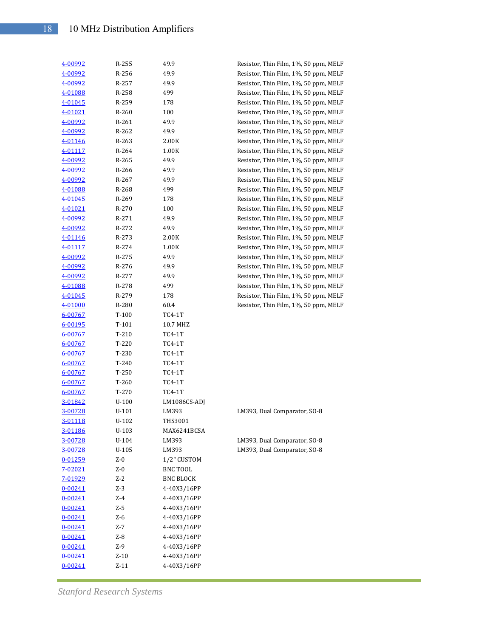| <u>4-00992</u>                | R-255         | 49.9                       | Resistor, Thin Film, 1%, 50 ppm, MELF |
|-------------------------------|---------------|----------------------------|---------------------------------------|
| <u>4-00992</u>                | R-256         | 49.9                       | Resistor, Thin Film, 1%, 50 ppm, MELF |
| <u>4-00992</u>                | R-257         | 49.9                       | Resistor, Thin Film, 1%, 50 ppm, MELF |
| <u>4-01088</u>                | R-258         | 499                        | Resistor, Thin Film, 1%, 50 ppm, MELF |
| 4-01045                       | R-259         | 178                        | Resistor, Thin Film, 1%, 50 ppm, MELF |
| <u>4-01021</u>                | $R-260$       | 100                        | Resistor, Thin Film, 1%, 50 ppm, MELF |
| <u>4-00992</u>                | $R-261$       | 49.9                       | Resistor, Thin Film, 1%, 50 ppm, MELF |
| <u>4-00992</u>                | $R-262$       | 49.9                       | Resistor, Thin Film, 1%, 50 ppm, MELF |
| <u>4-01146</u>                | $R-263$       | 2.00K                      | Resistor, Thin Film, 1%, 50 ppm, MELF |
| <u>4-01117</u>                | $R-264$       | 1.00K                      | Resistor, Thin Film, 1%, 50 ppm, MELF |
| 4-00992                       | $R-265$       | 49.9                       | Resistor, Thin Film, 1%, 50 ppm, MELF |
| <u>4-00992</u>                | R-266         | 49.9                       | Resistor, Thin Film, 1%, 50 ppm, MELF |
| <u>4-00992</u>                | $R-267$       | 49.9                       | Resistor, Thin Film, 1%, 50 ppm, MELF |
| <u>4-01088</u>                | R-268         | 499                        | Resistor, Thin Film, 1%, 50 ppm, MELF |
| <u>4-01045</u>                | R-269         | 178                        | Resistor, Thin Film, 1%, 50 ppm, MELF |
| <u>4-01021</u>                | R-270         | 100                        | Resistor, Thin Film, 1%, 50 ppm, MELF |
| 4-00992                       | R-271         | 49.9                       | Resistor, Thin Film, 1%, 50 ppm, MELF |
| <u>4-00992</u>                | R-272         | 49.9                       | Resistor, Thin Film, 1%, 50 ppm, MELF |
| <u>4-01146</u>                | R-273         | 2.00K                      | Resistor, Thin Film, 1%, 50 ppm, MELF |
| <u>4-01117</u>                | R-274         | 1.00K                      | Resistor, Thin Film, 1%, 50 ppm, MELF |
| 4-00992                       | $R-275$       | 49.9                       | Resistor, Thin Film, 1%, 50 ppm, MELF |
| <u>4-00992</u>                | R-276         | 49.9                       | Resistor, Thin Film, 1%, 50 ppm, MELF |
| <u>4-00992</u>                | R-277         | 49.9                       | Resistor, Thin Film, 1%, 50 ppm, MELF |
| <u>4-01088</u>                | R-278         | 499                        | Resistor, Thin Film, 1%, 50 ppm, MELF |
| <u>4-01045</u>                | R-279         | 178                        | Resistor, Thin Film, 1%, 50 ppm, MELF |
| <u>4-01000</u>                | R-280         | 60.4                       | Resistor, Thin Film, 1%, 50 ppm, MELF |
| <u>6-00767</u>                | T-100         | TC4-1T                     |                                       |
| <u>6-00195</u>                | $T-101$       | 10.7 MHZ                   |                                       |
| <u>6-00767</u>                | $T-210$       | TC4-1T                     |                                       |
| <u>6-00767</u>                | $T-220$       | TC4-1T                     |                                       |
| <u>6-00767</u>                | $T-230$       | TC4-1T                     |                                       |
| <u>6-00767</u>                | T-240         | TC4-1T                     |                                       |
| <u>6-00767</u>                | $T-250$       | TC4-1T                     |                                       |
| <u>6-00767</u>                | T-260         | TC4-1T                     |                                       |
| <u>6-00767</u>                | $T-270$       | TC4-1T                     |                                       |
| <u>3-01842</u>                | $U-100$       | LM1086CS-ADJ               |                                       |
| <u>3-00728</u>                | U-101         | LM393                      | LM393, Dual Comparator, SO-8          |
| 3-01118                       | $U-102$       | THS3001                    |                                       |
| 3-01186                       | $U-103$       | MAX6241BCSA                |                                       |
| <u>3-00728</u>                | $U-104$       | LM393                      | LM393, Dual Comparator, SO-8          |
| <u>3-00728</u>                | $U-105$       | LM393                      | LM393, Dual Comparator, SO-8          |
| <u>0-01259</u>                | Z-0           | 1/2" CUSTOM                |                                       |
| <u>7-02021</u>                | Z-0           | <b>BNC TOOL</b>            |                                       |
| <u>7-01929</u>                | Z-2           | <b>BNC BLOCK</b>           |                                       |
| <u>0-00241</u>                | Z-3           | 4-40X3/16PP                |                                       |
| 0-00241                       |               |                            |                                       |
|                               | Z-4<br>Z-5    | 4-40X3/16PP<br>4-40X3/16PP |                                       |
| <u>0-00241</u>                |               |                            |                                       |
| <u>0-00241</u>                | Z-6           | 4-40X3/16PP                |                                       |
| <u>0-00241</u>                | Z-7           | 4-40X3/16PP                |                                       |
| <u>0-00241</u>                | Z-8           | 4-40X3/16PP                |                                       |
| <u>0-00241</u>                | Z-9<br>$Z-10$ | 4-40X3/16PP<br>4-40X3/16PP |                                       |
| <u>0-00241</u><br>$0 - 00241$ | $Z-11$        | 4-40X3/16PP                |                                       |
|                               |               |                            |                                       |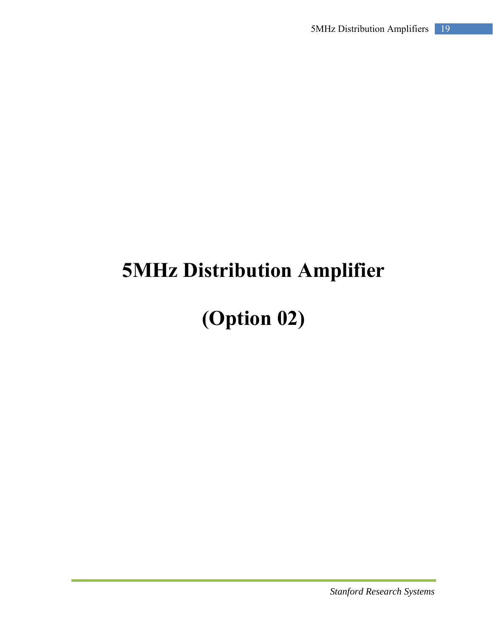# **5MHz Distribution Amplifier**

# **(Option 02)**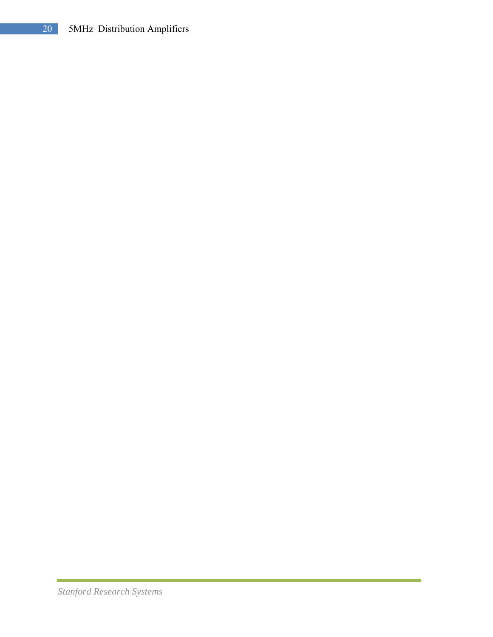# 20 5MHz Distribution Amplifiers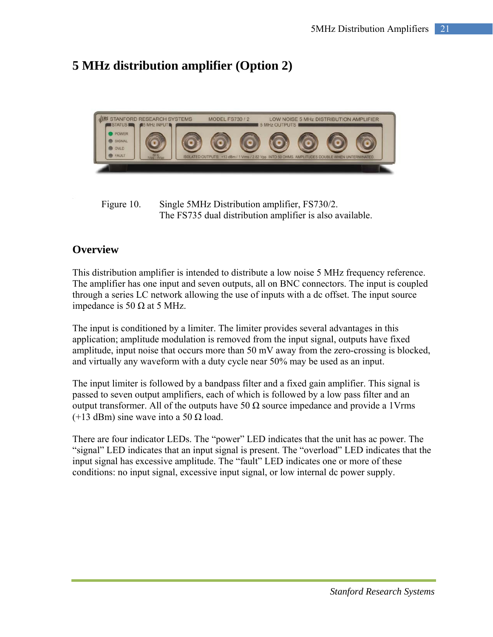### **5 MHz distribution amplifier (Option 2)**



Figure 10. Single 5MHz Distribution amplifier, FS730/2. The FS735 dual distribution amplifier is also available.

#### **Overview**

This distribution amplifier is intended to distribute a low noise 5 MHz frequency reference. The amplifier has one input and seven outputs, all on BNC connectors. The input is coupled through a series LC network allowing the use of inputs with a dc offset. The input source impedance is 50  $\Omega$  at 5 MHz.

The input is conditioned by a limiter. The limiter provides several advantages in this application; amplitude modulation is removed from the input signal, outputs have fixed amplitude, input noise that occurs more than 50 mV away from the zero-crossing is blocked, and virtually any waveform with a duty cycle near 50% may be used as an input.

The input limiter is followed by a bandpass filter and a fixed gain amplifier. This signal is passed to seven output amplifiers, each of which is followed by a low pass filter and an output transformer. All of the outputs have 50  $\Omega$  source impedance and provide a 1Vrms (+13 dBm) sine wave into a 50  $\Omega$  load.

There are four indicator LEDs. The "power" LED indicates that the unit has ac power. The "signal" LED indicates that an input signal is present. The "overload" LED indicates that the input signal has excessive amplitude. The "fault" LED indicates one or more of these conditions: no input signal, excessive input signal, or low internal dc power supply.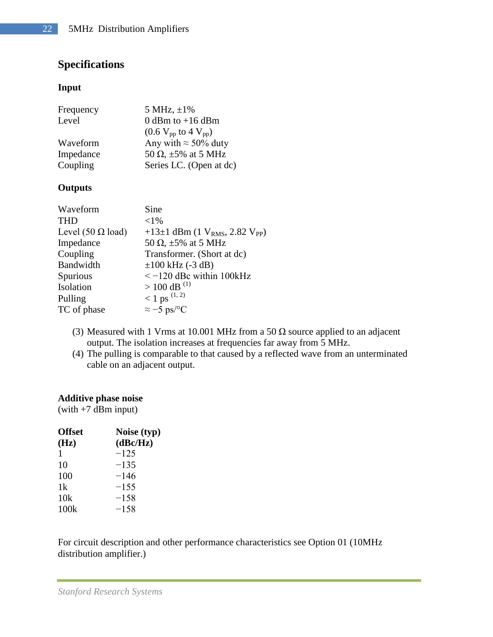#### **Specifications**

#### **Input**

| Frequency | 5 MHz, $\pm 1\%$                |
|-----------|---------------------------------|
| Level     | 0 dBm to $+16$ dBm              |
|           | $(0.6 V_{pp}$ to $4 V_{pp})$    |
| Waveform  | Any with $\approx$ 50% duty     |
| Impedance | 50 $\Omega$ , $\pm$ 5% at 5 MHz |
| Coupling  | Series LC. (Open at dc)         |

#### **Outputs**

| Sine                                                       |
|------------------------------------------------------------|
| ${<}1\%$                                                   |
| $+13\pm1$ dBm (1 V <sub>RMS</sub> , 2.82 V <sub>PP</sub> ) |
| 50 $\Omega$ , $\pm$ 5% at 5 MHz                            |
| Transformer. (Short at dc)                                 |
| $\pm 100$ kHz (-3 dB)                                      |
| $\le$ -120 dBc within 100 kHz                              |
| $> 100$ dB <sup>(1)</sup>                                  |
| $< 1$ ps $(1, 2)$                                          |
| $\approx -5$ ps/°C                                         |
|                                                            |

- (3) Measured with 1 Vrms at 10.001 MHz from a 50  $\Omega$  source applied to an adjacent output. The isolation increases at frequencies far away from 5 MHz.
- (4) The pulling is comparable to that caused by a reflected wave from an unterminated cable on an adjacent output.

#### **Additive phase noise**

(with  $+7$  dBm input)

| <b>Offset</b> | Noise (typ) |
|---------------|-------------|
| (Hz)          | (dBc/Hz)    |
| 1             | $-125$      |
| 10            | $-135$      |
| 100           | $-146$      |
| 1k            | $-1.55$     |
| 10k           | $-158$      |
| 100k          | $-158$      |

For circuit description and other performance characteristics see Option 01 (10MHz distribution amplifier.)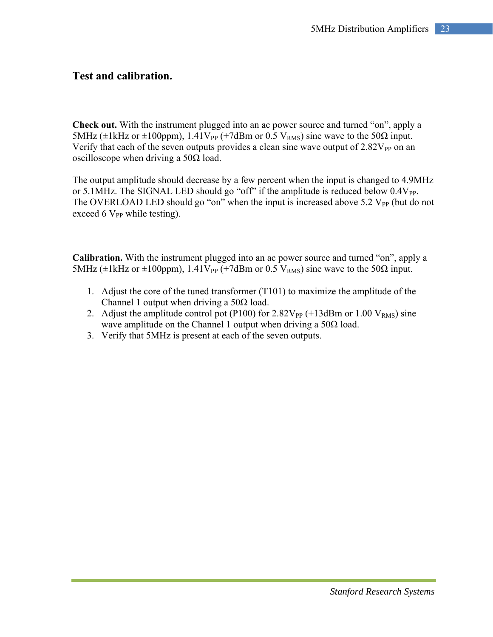#### **Test and calibration.**

**Check out.** With the instrument plugged into an ac power source and turned "on", apply a 5MHz ( $\pm$ 1kHz or  $\pm$ 100ppm), 1.41V<sub>PP</sub> (+7dBm or 0.5 V<sub>RMS</sub>) sine wave to the 50 $\Omega$  input. Verify that each of the seven outputs provides a clean sine wave output of  $2.82V_{PP}$  on an oscilloscope when driving a  $50\Omega$  load.

The output amplitude should decrease by a few percent when the input is changed to 4.9MHz or 5.1MHz. The SIGNAL LED should go "off" if the amplitude is reduced below  $0.4V_{PP}$ . The OVERLOAD LED should go "on" when the input is increased above  $5.2 V_{PP}$  (but do not exceed 6  $V_{PP}$  while testing).

**Calibration.** With the instrument plugged into an ac power source and turned "on", apply a 5MHz ( $\pm$ 1kHz or  $\pm$ 100ppm), 1.41V<sub>PP</sub> (+7dBm or 0.5 V<sub>RMS</sub>) sine wave to the 50Ω input.

- 1. Adjust the core of the tuned transformer (T101) to maximize the amplitude of the Channel 1 output when driving a  $50\Omega$  load.
- 2. Adjust the amplitude control pot (P100) for  $2.82V_{PP}$  (+13dBm or 1.00  $V_{RMS}$ ) sine wave amplitude on the Channel 1 output when driving a  $50\Omega$  load.
- 3. Verify that 5MHz is present at each of the seven outputs.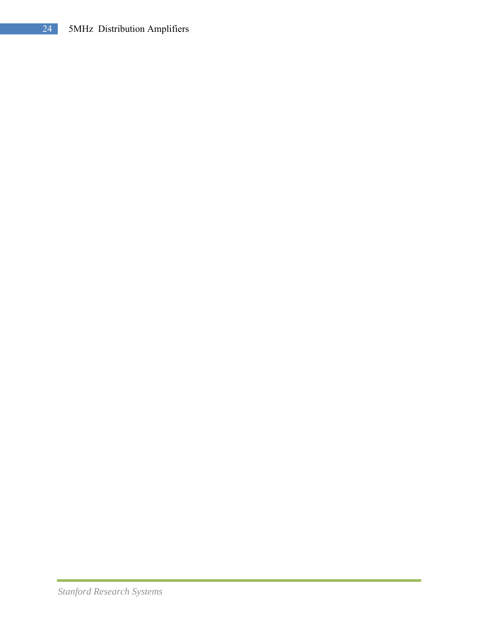# 24 5MHz Distribution Amplifiers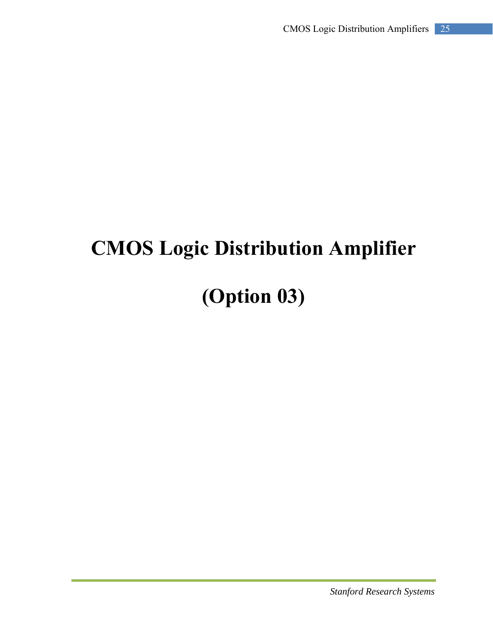# **CMOS Logic Distribution Amplifier (Option 03)**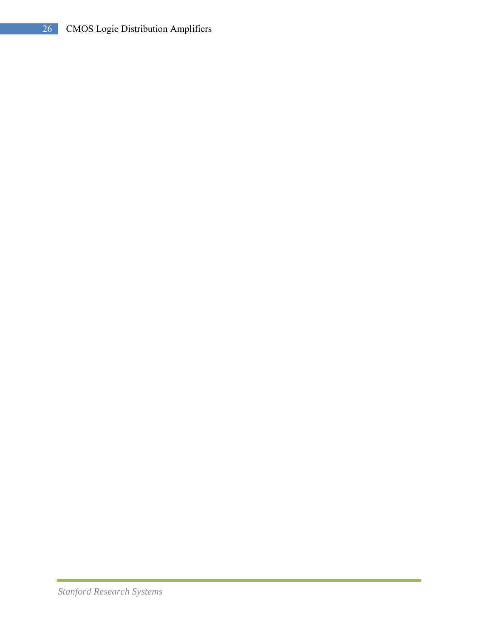# 26 CMOS Logic Distribution Amplifiers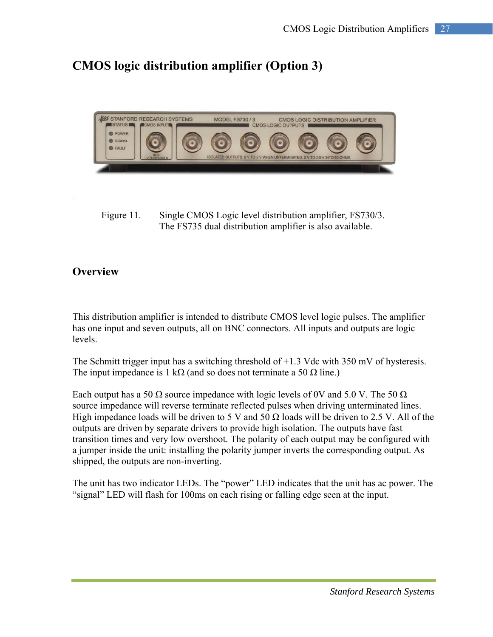### **CMOS logic distribution amplifier (Option 3)**



Figure 11. Single CMOS Logic level distribution amplifier, FS730/3. The FS735 dual distribution amplifier is also available.

#### **Overview**

This distribution amplifier is intended to distribute CMOS level logic pulses. The amplifier has one input and seven outputs, all on BNC connectors. All inputs and outputs are logic levels.

The Schmitt trigger input has a switching threshold of  $+1.3$  Vdc with 350 mV of hysteresis. The input impedance is 1 kΩ (and so does not terminate a 50  $\Omega$  line.)

Each output has a 50  $\Omega$  source impedance with logic levels of 0V and 5.0 V. The 50  $\Omega$ source impedance will reverse terminate reflected pulses when driving unterminated lines. High impedance loads will be driven to 5 V and 50  $\Omega$  loads will be driven to 2.5 V. All of the outputs are driven by separate drivers to provide high isolation. The outputs have fast transition times and very low overshoot. The polarity of each output may be configured with a jumper inside the unit: installing the polarity jumper inverts the corresponding output. As shipped, the outputs are non-inverting.

The unit has two indicator LEDs. The "power" LED indicates that the unit has ac power. The "signal" LED will flash for 100ms on each rising or falling edge seen at the input.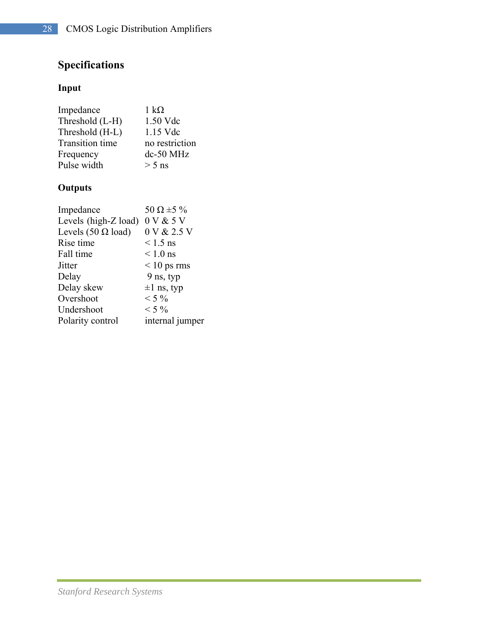# **Specifications**

#### **Input**

| Impedance              | 1 k $\Omega$   |
|------------------------|----------------|
| Threshold (L-H)        | 1.50 Vdc       |
| Threshold (H-L)        | 1.15 Vdc       |
| <b>Transition time</b> | no restriction |
| Frequency              | dc-50 MHz      |
| Pulse width            | $> 5$ ns       |

### **Outputs**

| 50 $\Omega \pm 5 \%$ |
|----------------------|
| 0 V & 5 V            |
| 0 V & 2.5 V          |
| $< 1.5$ ns           |
| $< 1.0$ ns           |
| $< 10$ ps rms        |
| 9 ns, typ            |
| $\pm 1$ ns, typ      |
| $< 5\%$              |
| $< 5\%$              |
| internal jumper      |
|                      |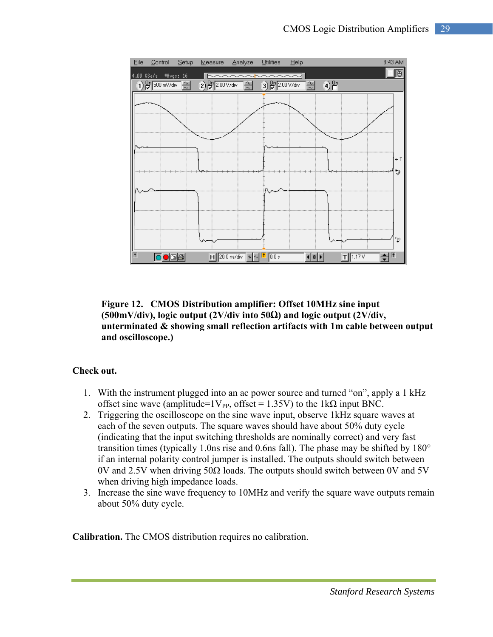

**Figure 12. CMOS Distribution amplifier: Offset 10MHz sine input (500mV/div), logic output (2V/div into 50Ω) and logic output (2V/div, unterminated & showing small reflection artifacts with 1m cable between output and oscilloscope.)** 

#### **Check out.**

- 1. With the instrument plugged into an ac power source and turned "on", apply a 1 kHz offset sine wave (amplitude=1V<sub>PP</sub>, offset = 1.35V) to the 1kΩ input BNC.
- 2. Triggering the oscilloscope on the sine wave input, observe 1kHz square waves at each of the seven outputs. The square waves should have about 50% duty cycle (indicating that the input switching thresholds are nominally correct) and very fast transition times (typically 1.0ns rise and 0.6ns fall). The phase may be shifted by 180° if an internal polarity control jumper is installed. The outputs should switch between 0V and 2.5V when driving 50Ω loads. The outputs should switch between 0V and 5V when driving high impedance loads.
- 3. Increase the sine wave frequency to 10MHz and verify the square wave outputs remain about 50% duty cycle.

**Calibration.** The CMOS distribution requires no calibration.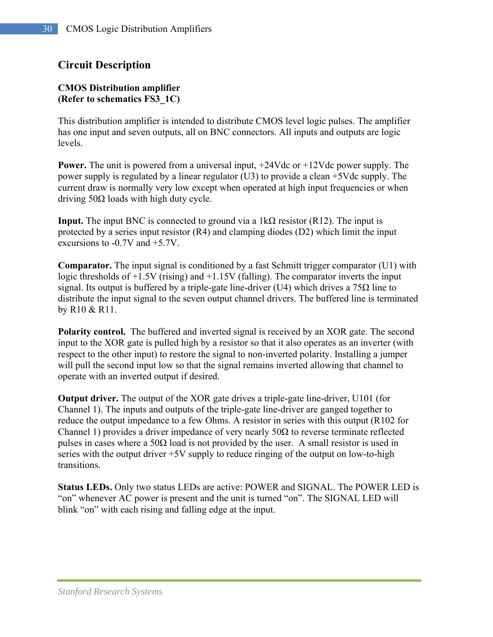#### **Circuit Description**

#### **CMOS Distribution amplifier (Refer to schematics FS3\_1C)**

This distribution amplifier is intended to distribute CMOS level logic pulses. The amplifier has one input and seven outputs, all on BNC connectors. All inputs and outputs are logic levels.

**Power.** The unit is powered from a universal input,  $+24V$ dc or  $+12V$ dc power supply. The power supply is regulated by a linear regulator (U3) to provide a clean +5Vdc supply. The current draw is normally very low except when operated at high input frequencies or when driving  $50Ω$  loads with high duty cycle.

**Input.** The input BNC is connected to ground via a  $1k\Omega$  resistor (R12). The input is protected by a series input resistor (R4) and clamping diodes (D2) which limit the input excursions to -0.7V and +5.7V.

**Comparator.** The input signal is conditioned by a fast Schmitt trigger comparator (U1) with logic thresholds of  $+1.5V$  (rising) and  $+1.15V$  (falling). The comparator inverts the input signal. Its output is buffered by a triple-gate line-driver (U4) which drives a  $75\Omega$  line to distribute the input signal to the seven output channel drivers. The buffered line is terminated by R10 & R11.

**Polarity control.** The buffered and inverted signal is received by an XOR gate. The second input to the XOR gate is pulled high by a resistor so that it also operates as an inverter (with respect to the other input) to restore the signal to non-inverted polarity. Installing a jumper will pull the second input low so that the signal remains inverted allowing that channel to operate with an inverted output if desired.

**Output driver.** The output of the XOR gate drives a triple-gate line-driver, U101 (for Channel 1). The inputs and outputs of the triple-gate line-driver are ganged together to reduce the output impedance to a few Ohms. A resistor in series with this output (R102 for Channel 1) provides a driver impedance of very nearly  $50\Omega$  to reverse terminate reflected pulses in cases where a 50Ω load is not provided by the user. A small resistor is used in series with the output driver +5V supply to reduce ringing of the output on low-to-high transitions.

**Status LEDs.** Only two status LEDs are active: POWER and SIGNAL. The POWER LED is "on" whenever AC power is present and the unit is turned "on". The SIGNAL LED will blink "on" with each rising and falling edge at the input.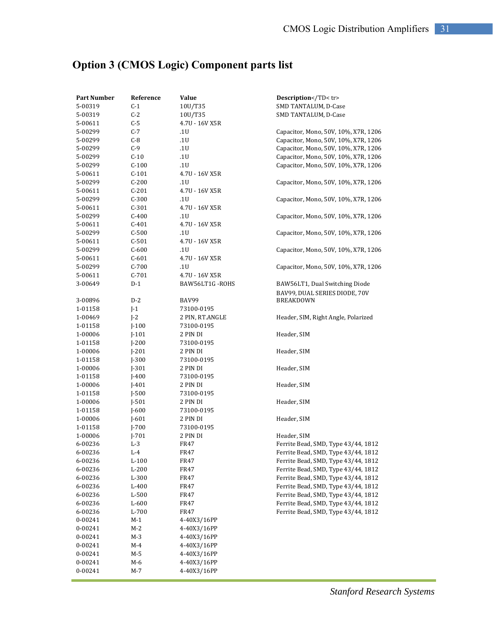# **Option 3 (CMOS Logic) Component parts list**

| <b>Part Number</b> | Reference        | Value                  | Description                                        |
|--------------------|------------------|------------------------|----------------------------------------------------|
| 5-00319            | C-1              | 10U/T35                | SMD TANTALUM, D-Case                               |
| 5-00319            | $C-2$            | 10U/T35                | SMD TANTALUM, D-Case                               |
| 5-00611            | $C-5$            | 4.7U - 16V X5R         |                                                    |
| 5-00299            | $C-7$            | .1U                    | Capacitor, Mono, 50V, 10%, X7R, 1206               |
| 5-00299            | $C-8$            | .1U                    | Capacitor, Mono, 50V, 10%, X7R, 1206               |
| 5-00299            | $C-9$            | .1U                    | Capacitor, Mono, 50V, 10%, X7R, 1206               |
| 5-00299            | $C-10$           | .1U                    | Capacitor, Mono, 50V, 10%, X7R, 1206               |
| 5-00299            | $C-100$          | .1U                    | Capacitor, Mono, 50V, 10%, X7R, 1206               |
| 5-00611            | $C-101$          | 4.7U - 16V X5R         |                                                    |
| 5-00299            | $C-200$          | .1U                    | Capacitor, Mono, 50V, 10%, X7R, 1206               |
| 5-00611            | $C-201$          | 4.7U - 16V X5R         |                                                    |
| 5-00299            | $C-300$          | .1U                    | Capacitor, Mono, 50V, 10%, X7R, 1206               |
| 5-00611            | $C-301$          | 4.7U - 16V X5R         |                                                    |
| 5-00299            | $C-400$          | .1U                    | Capacitor, Mono, 50V, 10%, X7R, 1206               |
| 5-00611            | $C-401$          | 4.7U - 16V X5R         |                                                    |
| 5-00299            | $C-500$          | .1U                    | Capacitor, Mono, 50V, 10%, X7R, 1206               |
| 5-00611            | $C-501$          | 4.7U - 16V X5R         |                                                    |
| 5-00299            | $C - 600$        | .1U                    |                                                    |
|                    | $C - 601$        | 4.7U - 16V X5R         | Capacitor, Mono, 50V, 10%, X7R, 1206               |
| 5-00611<br>5-00299 | $C-700$          | .1U                    |                                                    |
| 5-00611            | $C-701$          |                        | Capacitor, Mono, 50V, 10%, X7R, 1206               |
|                    |                  | 4.7U - 16V X5R         |                                                    |
| 3-00649            | $D-1$            | BAW56LT1G-ROHS         | BAW56LT1, Dual Switching Diode                     |
|                    |                  |                        | BAV99, DUAL SERIES DIODE, 70V                      |
| 3-00896            | $D-2$            | BAV99                  | <b>BREAKDOWN</b>                                   |
| 1-01158            | $I-1$            | 73100-0195             |                                                    |
| 1-00469            | $J-2$            | 2 PIN, RT.ANGLE        | Header, SIM, Right Angle, Polarized                |
| 1-01158            | $J-100$          | 73100-0195             |                                                    |
| 1-00006            | $J-101$          | 2 PIN DI               | Header, SIM                                        |
| 1-01158            | $J-200$          | 73100-0195             |                                                    |
| 1-00006            | $J-201$          | 2 PIN DI               | Header, SIM                                        |
| 1-01158            | $I-300$          | 73100-0195             |                                                    |
| 1-00006            | $J-301$          | 2 PIN DI               | Header, SIM                                        |
| 1-01158            | $J-400$          | 73100-0195             |                                                    |
| 1-00006            | $J-401$          | 2 PIN DI               | Header, SIM                                        |
| 1-01158            | $J-500$          | 73100-0195             |                                                    |
| 1-00006            | $J-501$          | 2 PIN DI               | Header, SIM                                        |
| 1-01158<br>1-00006 | $J-600$          | 73100-0195             |                                                    |
| 1-01158            | $J-601$          | 2 PIN DI<br>73100-0195 | Header, SIM                                        |
|                    | $J-700$          |                        |                                                    |
| 1-00006<br>6-00236 | $J-701$<br>L-3   | 2 PIN DI<br>FR47       | Header, SIM<br>Ferrite Bead, SMD, Type 43/44, 1812 |
| 6-00236            | $L-4$            | <b>FR47</b>            | Ferrite Bead, SMD, Type 43/44, 1812                |
|                    |                  |                        | Ferrite Bead, SMD, Type 43/44, 1812                |
| 6-00236<br>6-00236 | L-100<br>$L-200$ | FR47<br>FR47           | Ferrite Bead, SMD, Type 43/44, 1812                |
| 6-00236            | $L-300$          | FR47                   | Ferrite Bead, SMD, Type 43/44, 1812                |
| 6-00236            | $L-400$          | FR47                   | Ferrite Bead, SMD, Type 43/44, 1812                |
| 6-00236            | L-500            |                        | Ferrite Bead, SMD, Type 43/44, 1812                |
| 6-00236            | L-600            | FR47<br>FR47           | Ferrite Bead, SMD, Type 43/44, 1812                |
| 6-00236            | L-700            | FR47                   | Ferrite Bead, SMD, Type 43/44, 1812                |
| 0-00241            | $M-1$            | 4-40X3/16PP            |                                                    |
| 0-00241            | $M-2$            | 4-40X3/16PP            |                                                    |
| 0-00241            | M-3              | 4-40X3/16PP            |                                                    |
| 0-00241            | $M-4$            | 4-40X3/16PP            |                                                    |
| 0-00241            |                  |                        |                                                    |
|                    | $M-5$            | 4-40X3/16PP            |                                                    |
| 0-00241            | $M-6$            | 4-40X3/16PP            |                                                    |
| 0-00241            | M-7              | 4-40X3/16PP            |                                                    |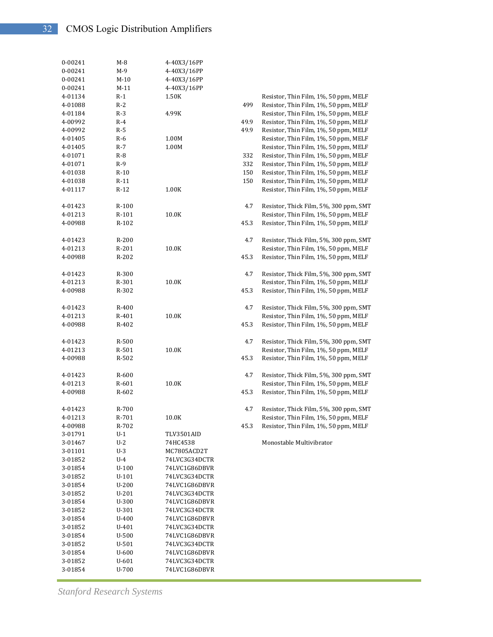| 0-00241            | M-8     | 4-40X3/16PP   |      |                                        |
|--------------------|---------|---------------|------|----------------------------------------|
| 0-00241            | M-9     | 4-40X3/16PP   |      |                                        |
| 0-00241            | $M-10$  | 4-40X3/16PP   |      |                                        |
| 0-00241            | $M-11$  | 4-40X3/16PP   |      |                                        |
| 4-01134            | $R-1$   | 1.50K         |      | Resistor, Thin Film, 1%, 50 ppm, MELF  |
| 4-01088            | $R-2$   |               | 499  | Resistor, Thin Film, 1%, 50 ppm, MELF  |
| 4-01184            | R-3     | 4.99K         |      | Resistor, Thin Film, 1%, 50 ppm, MELF  |
| 4-00992            | R-4     |               | 49.9 | Resistor, Thin Film, 1%, 50 ppm, MELF  |
| 4-00992            | R-5     |               | 49.9 | Resistor, Thin Film, 1%, 50 ppm, MELF  |
| 4-01405            | R-6     | 1.00M         |      | Resistor, Thin Film, 1%, 50 ppm, MELF  |
| 4-01405            | $R-7$   | 1.00M         |      | Resistor, Thin Film, 1%, 50 ppm, MELF  |
| 4-01071            | $R-8$   |               | 332  | Resistor, Thin Film, 1%, 50 ppm, MELF  |
| 4-01071            | R-9     |               | 332  | Resistor, Thin Film, 1%, 50 ppm, MELF  |
| 4-01038            | $R-10$  |               | 150  | Resistor, Thin Film, 1%, 50 ppm, MELF  |
| 4-01038            | $R-11$  |               | 150  | Resistor, Thin Film, 1%, 50 ppm, MELF  |
| 4-01117            | $R-12$  | 1.00K         |      | Resistor, Thin Film, 1%, 50 ppm, MELF  |
|                    |         |               |      |                                        |
| 4-01423            | $R-100$ |               | 4.7  | Resistor, Thick Film, 5%, 300 ppm, SMT |
|                    |         |               |      |                                        |
| 4-01213            | R-101   | 10.0K         |      | Resistor, Thin Film, 1%, 50 ppm, MELF  |
| 4-00988            | R-102   |               | 45.3 | Resistor, Thin Film, 1%, 50 ppm, MELF  |
|                    | $R-200$ |               | 4.7  | Resistor, Thick Film, 5%, 300 ppm, SMT |
| 4-01423<br>4-01213 |         | 10.0K         |      |                                        |
|                    | R-201   |               |      | Resistor, Thin Film, 1%, 50 ppm, MELF  |
| 4-00988            | $R-202$ |               | 45.3 | Resistor, Thin Film, 1%, 50 ppm, MELF  |
| 4-01423            | R-300   |               | 4.7  | Resistor, Thick Film, 5%, 300 ppm, SMT |
|                    |         | 10.0K         |      |                                        |
| 4-01213            | R-301   |               |      | Resistor, Thin Film, 1%, 50 ppm, MELF  |
| 4-00988            | $R-302$ |               | 45.3 | Resistor, Thin Film, 1%, 50 ppm, MELF  |
| 4-01423            | $R-400$ |               | 4.7  | Resistor, Thick Film, 5%, 300 ppm, SMT |
| 4-01213            | R-401   | 10.0K         |      | Resistor, Thin Film, 1%, 50 ppm, MELF  |
| 4-00988            | $R-402$ |               | 45.3 | Resistor, Thin Film, 1%, 50 ppm, MELF  |
|                    |         |               |      |                                        |
| 4-01423            | R-500   |               | 4.7  | Resistor, Thick Film, 5%, 300 ppm, SMT |
| 4-01213            | R-501   | 10.0K         |      | Resistor, Thin Film, 1%, 50 ppm, MELF  |
| 4-00988            | R-502   |               | 45.3 | Resistor, Thin Film, 1%, 50 ppm, MELF  |
|                    |         |               |      |                                        |
| 4-01423            | $R-600$ |               | 4.7  | Resistor, Thick Film, 5%, 300 ppm, SMT |
| 4-01213            | R-601   | 10.0K         |      | Resistor, Thin Film, 1%, 50 ppm, MELF  |
| 4-00988            | R-602   |               | 45.3 | Resistor, Thin Film, 1%, 50 ppm, MELF  |
|                    |         |               |      |                                        |
| 4-01423            | R-700   |               | 4.7  | Resistor, Thick Film, 5%, 300 ppm, SMT |
| 4-01213            | R-701   | 10.0K         |      | Resistor, Thin Film, 1%, 50 ppm, MELF  |
| 4-00988            | R-702   |               | 45.3 | Resistor, Thin Film, 1%, 50 ppm, MELF  |
| 3-01791            | $U-1$   | TLV3501AID    |      |                                        |
| 3-01467            | $U-2$   | 74HC4538      |      | Monostable Multivibrator               |
| 3-01101            | $U-3$   | MC7805ACD2T   |      |                                        |
| 3-01852            | $U-4$   | 74LVC3G34DCTR |      |                                        |
| 3-01854            | $U-100$ | 74LVC1G86DBVR |      |                                        |
|                    |         |               |      |                                        |
| 3-01852            | $U-101$ | 74LVC3G34DCTR |      |                                        |
| 3-01854            | $U-200$ | 74LVC1G86DBVR |      |                                        |
| 3-01852            | $U-201$ | 74LVC3G34DCTR |      |                                        |
| 3-01854            | $U-300$ | 74LVC1G86DBVR |      |                                        |
| 3-01852            | U-301   | 74LVC3G34DCTR |      |                                        |
| 3-01854            | $U-400$ | 74LVC1G86DBVR |      |                                        |
| 3-01852            | $U-401$ | 74LVC3G34DCTR |      |                                        |
| 3-01854            | $U-500$ | 74LVC1G86DBVR |      |                                        |
| 3-01852            | $U-501$ | 74LVC3G34DCTR |      |                                        |
| 3-01854            | $U-600$ | 74LVC1G86DBVR |      |                                        |
| 3-01852            | $U-601$ | 74LVC3G34DCTR |      |                                        |
| 3-01854            | U-700   | 74LVC1G86DBVR |      |                                        |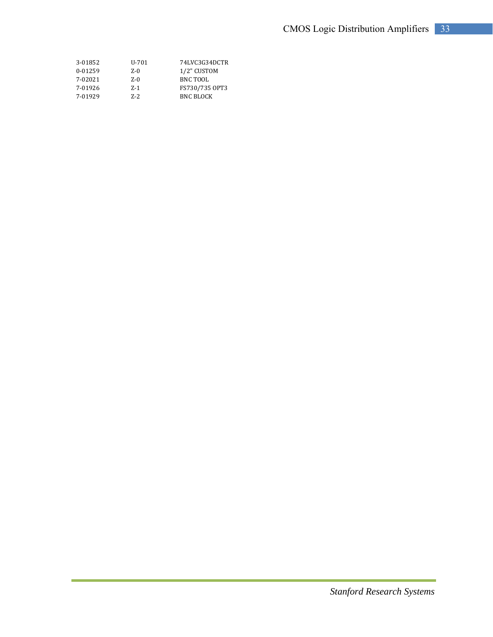| 3-01852 | U-701   | 74LVC3G34DCTR    |
|---------|---------|------------------|
| 0-01259 | $Z-0$   | 1/2" CUSTOM      |
| 7-02021 | $Z-0$   | BNC TOOL         |
| 7-01926 | $7-1$   | FS730/735 OPT3   |
| 7-01929 | $7 - 2$ | <b>BNC BLOCK</b> |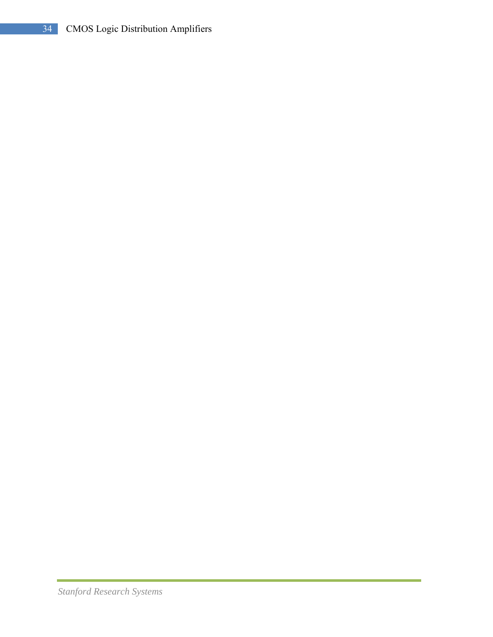# 34 CMOS Logic Distribution Amplifiers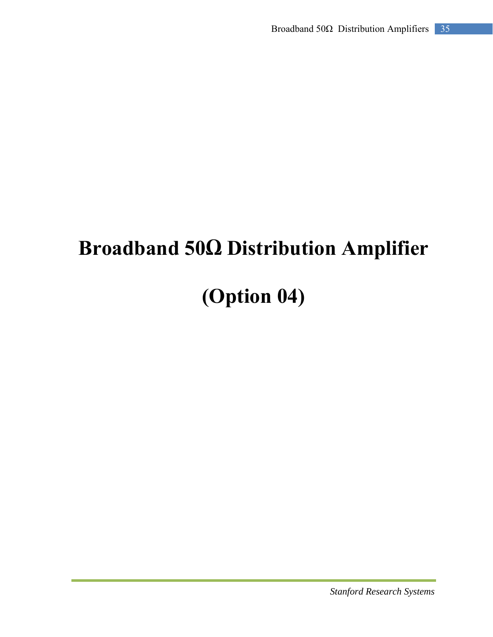# **Broadband 50Ω Distribution Amplifier (Option 04)**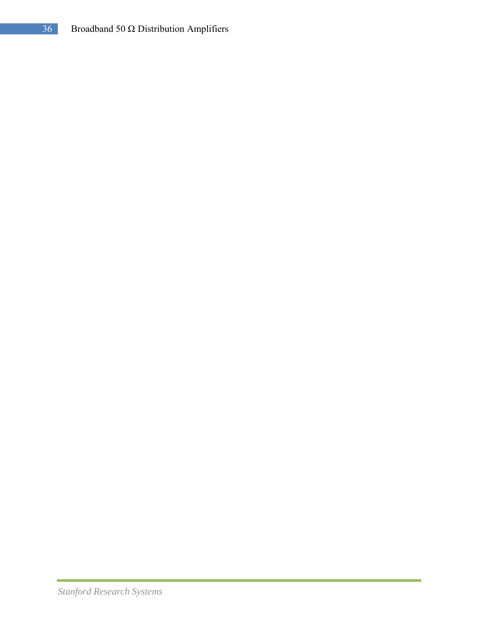# 36 Broadband 50  $\Omega$  Distribution Amplifiers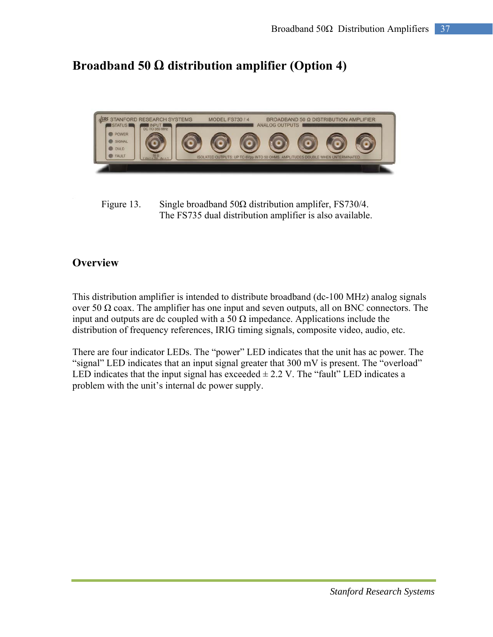# **Broadband 50 Ω distribution amplifier (Option 4)**



Figure 13. Single broadband 50Ω distribution amplifer, FS730/4. The FS735 dual distribution amplifier is also available.

#### **Overview**

This distribution amplifier is intended to distribute broadband (dc-100 MHz) analog signals over 50 Ω coax. The amplifier has one input and seven outputs, all on BNC connectors. The input and outputs are dc coupled with a 50  $\Omega$  impedance. Applications include the distribution of frequency references, IRIG timing signals, composite video, audio, etc.

There are four indicator LEDs. The "power" LED indicates that the unit has ac power. The "signal" LED indicates that an input signal greater that 300 mV is present. The "overload" LED indicates that the input signal has exceeded  $\pm$  2.2 V. The "fault" LED indicates a problem with the unit's internal dc power supply.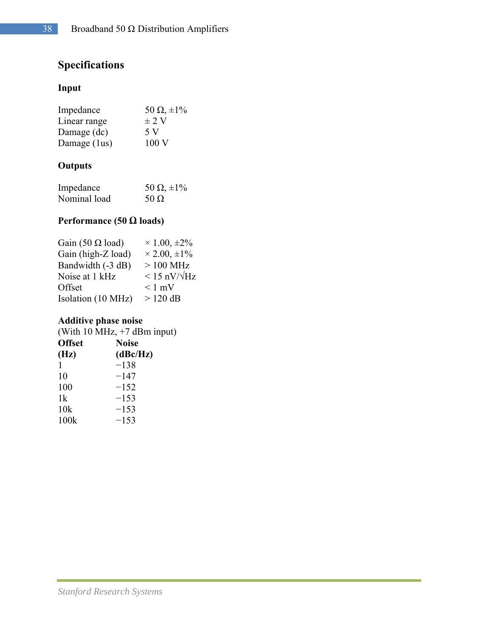# **Specifications**

#### **Input**

| Impedance    | 50 $\Omega$ , $\pm$ 1% |
|--------------|------------------------|
| Linear range | $\pm$ 2 V              |
| Damage (dc)  | 5 V                    |
| Damage (1us) | 100V                   |

## **Outputs**

| Impedance    | 50 $\Omega$ , $\pm 1\%$ |
|--------------|-------------------------|
| Nominal load | 50 $\Omega$             |

#### **Performance (50 Ω loads)**

| Gain (50 $\Omega$ load) | $\times 1.00, \pm 2\%$        |
|-------------------------|-------------------------------|
| Gain (high-Z load)      | $\times$ 2.00, $\pm$ 1%       |
| Bandwidth (-3 dB)       | $>100$ MHz                    |
| Noise at 1 kHz          | $< 15$ nV/ $\sqrt{\text{Hz}}$ |
| Offset                  | $\leq 1$ mV                   |
| Isolation (10 MHz)      | $> 120$ dB                    |
|                         |                               |

#### **Additive phase noise**

(With 10 MHz, +7 dBm input)

| <b>Offset</b> | <b>Noise</b> |
|---------------|--------------|
| (Hz)          | (dBc/Hz)     |
| 1             | $-138$       |
| 10            | $-147$       |
| 100           | $-152$       |
| 1k            | $-153$       |
| 10k           | $-153$       |
| 100k          | $-153$       |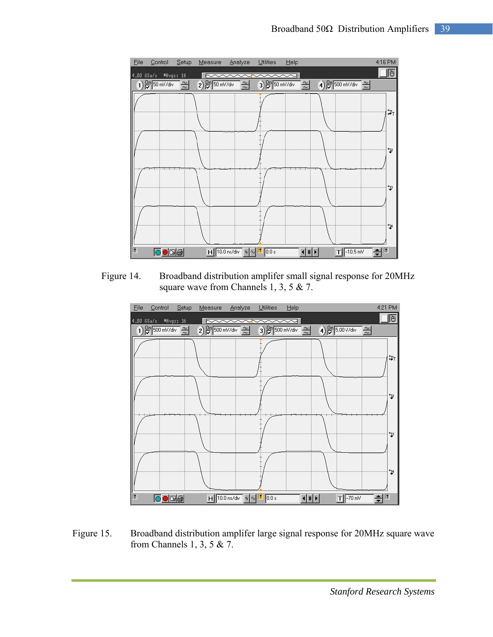

Figure 14. Broadband distribution amplifer small signal response for 20MHz square wave from Channels 1, 3, 5 & 7.



Figure 15. Broadband distribution amplifer large signal response for 20MHz square wave from Channels 1, 3, 5 & 7.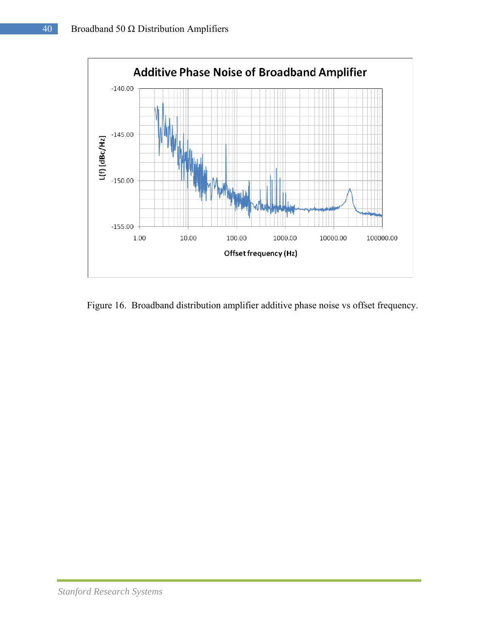

Figure 16. Broadband distribution amplifier additive phase noise vs offset frequency.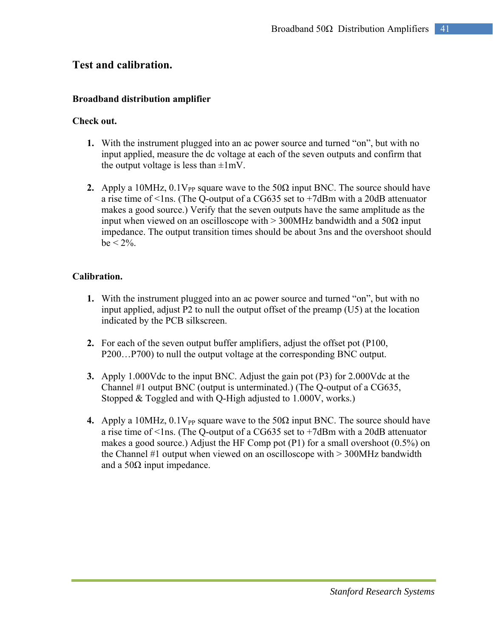#### **Test and calibration.**

#### **Broadband distribution amplifier**

#### **Check out.**

- **1.** With the instrument plugged into an ac power source and turned "on", but with no input applied, measure the dc voltage at each of the seven outputs and confirm that the output voltage is less than  $\pm 1$ mV.
- **2.** Apply a 10MHz,  $0.1V_{PP}$  square wave to the 50 $\Omega$  input BNC. The source should have a rise time of <1ns. (The Q-output of a CG635 set to +7dBm with a 20dB attenuator makes a good source.) Verify that the seven outputs have the same amplitude as the input when viewed on an oscilloscope with  $> 300$ MHz bandwidth and a 50 $\Omega$  input impedance. The output transition times should be about 3ns and the overshoot should  $be < 2\%$ .

#### **Calibration.**

- **1.** With the instrument plugged into an ac power source and turned "on", but with no input applied, adjust P2 to null the output offset of the preamp (U5) at the location indicated by the PCB silkscreen.
- **2.** For each of the seven output buffer amplifiers, adjust the offset pot (P100, P200…P700) to null the output voltage at the corresponding BNC output.
- **3.** Apply 1.000Vdc to the input BNC. Adjust the gain pot (P3) for 2.000Vdc at the Channel #1 output BNC (output is unterminated.) (The Q-output of a CG635, Stopped & Toggled and with Q-High adjusted to 1.000V, works.)
- **4.** Apply a 10MHz,  $0.1V_{PP}$  square wave to the 50 $\Omega$  input BNC. The source should have a rise time of  $\leq$ lns. (The Q-output of a CG635 set to  $+7d$ Bm with a 20dB attenuator makes a good source.) Adjust the HF Comp pot (P1) for a small overshoot (0.5%) on the Channel #1 output when viewed on an oscilloscope with > 300MHz bandwidth and a  $50\Omega$  input impedance.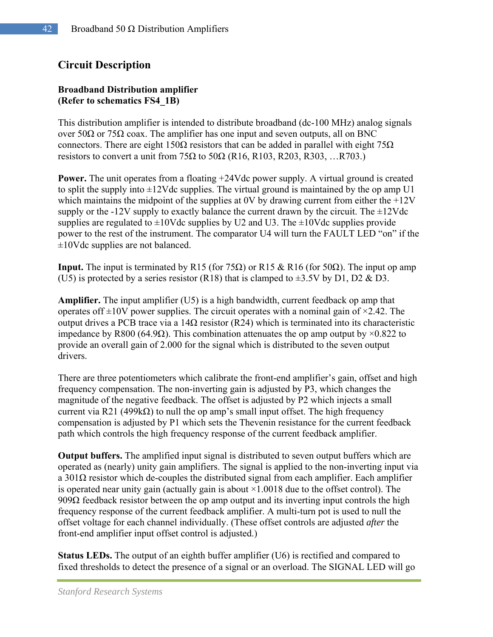#### **Circuit Description**

#### **Broadband Distribution amplifier (Refer to schematics FS4\_1B)**

This distribution amplifier is intended to distribute broadband (dc-100 MHz) analog signals over 50Ω or 75Ω coax. The amplifier has one input and seven outputs, all on BNC connectors. There are eight  $150\Omega$  resistors that can be added in parallel with eight  $75\Omega$ resistors to convert a unit from 75 $\Omega$  to 50 $\Omega$  (R16, R103, R203, R303, ...R703.)

**Power.** The unit operates from a floating +24Vdc power supply. A virtual ground is created to split the supply into  $\pm 12$ Vdc supplies. The virtual ground is maintained by the op amp U1 which maintains the midpoint of the supplies at 0V by drawing current from either the  $+12V$ supply or the  $-12V$  supply to exactly balance the current drawn by the circuit. The  $\pm 12V$ dc supplies are regulated to  $\pm 10$ Vdc supplies by U2 and U3. The  $\pm 10$ Vdc supplies provide power to the rest of the instrument. The comparator U4 will turn the FAULT LED "on" if the ±10Vdc supplies are not balanced.

**Input.** The input is terminated by R15 (for 75Ω) or R15 & R16 (for 50Ω). The input op amp (U5) is protected by a series resistor (R18) that is clamped to  $\pm 3.5V$  by D1, D2 & D3.

**Amplifier.** The input amplifier (U5) is a high bandwidth, current feedback op amp that operates of  $\pm 10V$  power supplies. The circuit operates with a nominal gain of  $\times 2.42$ . The output drives a PCB trace via a 14Ω resistor (R24) which is terminated into its characteristic impedance by R800 (64.9Ω). This combination attenuates the op amp output by ×0.822 to provide an overall gain of 2.000 for the signal which is distributed to the seven output drivers.

There are three potentiometers which calibrate the front-end amplifier's gain, offset and high frequency compensation. The non-inverting gain is adjusted by P3, which changes the magnitude of the negative feedback. The offset is adjusted by P2 which injects a small current via R21 (499kΩ) to null the op amp's small input offset. The high frequency compensation is adjusted by P1 which sets the Thevenin resistance for the current feedback path which controls the high frequency response of the current feedback amplifier.

**Output buffers.** The amplified input signal is distributed to seven output buffers which are operated as (nearly) unity gain amplifiers. The signal is applied to the non-inverting input via a 301 $\Omega$  resistor which de-couples the distributed signal from each amplifier. Each amplifier is operated near unity gain (actually gain is about  $\times$ 1.0018 due to the offset control). The 909Ω feedback resistor between the op amp output and its inverting input controls the high frequency response of the current feedback amplifier. A multi-turn pot is used to null the offset voltage for each channel individually. (These offset controls are adjusted *after* the front-end amplifier input offset control is adjusted.)

**Status LEDs.** The output of an eighth buffer amplifier (U6) is rectified and compared to fixed thresholds to detect the presence of a signal or an overload. The SIGNAL LED will go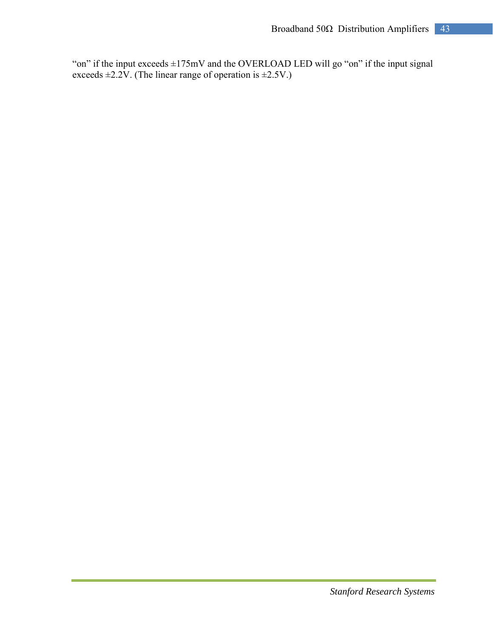"on" if the input exceeds  $\pm 175$ mV and the OVERLOAD LED will go "on" if the input signal exceeds  $\pm 2.2V$ . (The linear range of operation is  $\pm 2.5V$ .)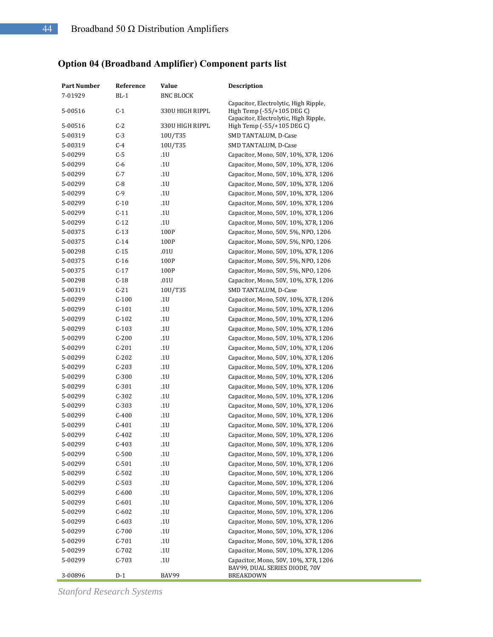## **Option 04 (Broadband Amplifier) Component parts list**

| Part Number | Reference | Value            | <b>Description</b>                                                                                           |
|-------------|-----------|------------------|--------------------------------------------------------------------------------------------------------------|
| 7-01929     | $BL-1$    | <b>BNC BLOCK</b> |                                                                                                              |
| 5-00516     | $C-1$     | 330U HIGH RIPPL  | Capacitor, Electrolytic, High Ripple,<br>High Temp (-55/+105 DEG C)<br>Capacitor, Electrolytic, High Ripple, |
| 5-00516     | $C-2$     | 330U HIGH RIPPL  | High Temp (-55/+105 DEG C)                                                                                   |
| 5-00319     | $C-3$     | 10U/T35          | SMD TANTALUM, D-Case                                                                                         |
| 5-00319     | $C-4$     | 10U/T35          | SMD TANTALUM, D-Case                                                                                         |
| 5-00299     | $C-5$     | .1U              | Capacitor, Mono, 50V, 10%, X7R, 1206                                                                         |
| 5-00299     | C-6       | .1U              | Capacitor, Mono, 50V, 10%, X7R, 1206                                                                         |
| 5-00299     | $C-7$     | .1U              | Capacitor, Mono, 50V, 10%, X7R, 1206                                                                         |
| 5-00299     | $C-8$     | .1U              | Capacitor, Mono, 50V, 10%, X7R, 1206                                                                         |
| 5-00299     | $C-9$     | .1U              | Capacitor, Mono, 50V, 10%, X7R, 1206                                                                         |
| 5-00299     | $C-10$    | .1U              | Capacitor, Mono, 50V, 10%, X7R, 1206                                                                         |
| 5-00299     | $C-11$    | .1U              | Capacitor, Mono, 50V, 10%, X7R, 1206                                                                         |
| 5-00299     | $C-12$    | .1U              | Capacitor, Mono, 50V, 10%, X7R, 1206                                                                         |
| 5-00375     | $C-13$    | 100P             | Capacitor, Mono, 50V, 5%, NPO, 1206                                                                          |
| 5-00375     | $C-14$    | 100P             | Capacitor, Mono, 50V, 5%, NPO, 1206                                                                          |
| 5-00298     | $C-15$    | .01U             | Capacitor, Mono, 50V, 10%, X7R, 1206                                                                         |
| 5-00375     | $C-16$    | 100P             | Capacitor, Mono, 50V, 5%, NPO, 1206                                                                          |
| 5-00375     | $C-17$    | 100P             | Capacitor, Mono, 50V, 5%, NPO, 1206                                                                          |
| 5-00298     | $C-18$    | .01U             | Capacitor, Mono, 50V, 10%, X7R, 1206                                                                         |
| 5-00319     | $C-21$    | 10U/T35          | SMD TANTALUM, D-Case                                                                                         |
| 5-00299     | $C-100$   | .1U              | Capacitor, Mono, 50V, 10%, X7R, 1206                                                                         |
| 5-00299     | $C-101$   | .1U              | Capacitor, Mono, 50V, 10%, X7R, 1206                                                                         |
| 5-00299     | $C-102$   | .1U              | Capacitor, Mono, 50V, 10%, X7R, 1206                                                                         |
| 5-00299     | $C-103$   | .1U              | Capacitor, Mono, 50V, 10%, X7R, 1206                                                                         |
| 5-00299     | $C-200$   | .1U              | Capacitor, Mono, 50V, 10%, X7R, 1206                                                                         |
| 5-00299     | $C-201$   | .1U              | Capacitor, Mono, 50V, 10%, X7R, 1206                                                                         |
| 5-00299     | $C-202$   | .1U              | Capacitor, Mono, 50V, 10%, X7R, 1206                                                                         |
| 5-00299     | $C-203$   | .1U              | Capacitor, Mono, 50V, 10%, X7R, 1206                                                                         |
| 5-00299     | $C-300$   | .1U              | Capacitor, Mono, 50V, 10%, X7R, 1206                                                                         |
| 5-00299     | $C-301$   | .1U              | Capacitor, Mono, 50V, 10%, X7R, 1206                                                                         |
| 5-00299     | $C-302$   | .1U              | Capacitor, Mono, 50V, 10%, X7R, 1206                                                                         |
| 5-00299     | $C-303$   | .1U              | Capacitor, Mono, 50V, 10%, X7R, 1206                                                                         |
| 5-00299     | $C-400$   | .1U              | Capacitor, Mono, 50V, 10%, X7R, 1206                                                                         |
| 5-00299     | $C-401$   | .1U              | Capacitor, Mono, 50V, 10%, X7R, 1206                                                                         |
| 5-00299     | C-402     | .1U              | Capacitor, Mono, 50V, 10%, X7R, 1206                                                                         |
| 5-00299     | C-403     | .1U              | Capacitor, Mono, 50V, 10%, X7R, 1206                                                                         |
| 5-00299     | $C-500$   | .1U              | Capacitor, Mono, 50V, 10%, X7R, 1206                                                                         |
| 5-00299     | $C-501$   | .1U              | Capacitor, Mono, 50V, 10%, X7R, 1206                                                                         |
| 5-00299     | $C-502$   | .1U              | Capacitor, Mono, 50V, 10%, X7R, 1206                                                                         |
| 5-00299     | $C-503$   | .1U              | Capacitor, Mono, 50V, 10%, X7R, 1206                                                                         |
| 5-00299     | $C - 600$ | .1U              | Capacitor, Mono, 50V, 10%, X7R, 1206                                                                         |
| 5-00299     | $C - 601$ | .1U              | Capacitor, Mono, 50V, 10%, X7R, 1206                                                                         |
| 5-00299     | $C-602$   | .1U              | Capacitor, Mono, 50V, 10%, X7R, 1206                                                                         |
| 5-00299     | $C-603$   | .1U              | Capacitor, Mono, 50V, 10%, X7R, 1206                                                                         |
| 5-00299     | $C-700$   | .1U              | Capacitor, Mono, 50V, 10%, X7R, 1206                                                                         |
| 5-00299     | $C-701$   | .1U              | Capacitor, Mono, 50V, 10%, X7R, 1206                                                                         |
| 5-00299     | $C-702$   | .1U              | Capacitor, Mono, 50V, 10%, X7R, 1206                                                                         |
| 5-00299     | $C-703$   | .1U              | Capacitor, Mono, 50V, 10%, X7R, 1206                                                                         |
| 3-00896     | D-1       | BAV99            | BAV99, DUAL SERIES DIODE, 70V<br><b>BREAKDOWN</b>                                                            |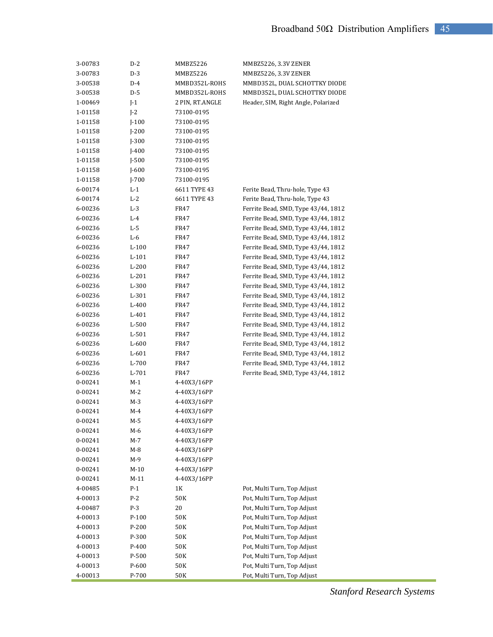| 3-00783 | $D-2$   | MMBZ5226        | MMBZ5226, 3.3V ZENER                |
|---------|---------|-----------------|-------------------------------------|
| 3-00783 | $D-3$   | MMBZ5226        | MMBZ5226, 3.3V ZENER                |
| 3-00538 | $D-4$   | MMBD352L-ROHS   | MMBD352L, DUAL SCHOTTKY DIODE       |
| 3-00538 | $D-5$   | MMBD352L-ROHS   | MMBD352L, DUAL SCHOTTKY DIODE       |
| 1-00469 | $J-1$   | 2 PIN, RT.ANGLE | Header, SIM, Right Angle, Polarized |
| 1-01158 | $I-2$   | 73100-0195      |                                     |
| 1-01158 | $J-100$ | 73100-0195      |                                     |
| 1-01158 | $J-200$ | 73100-0195      |                                     |
| 1-01158 | $I-300$ | 73100-0195      |                                     |
| 1-01158 | $I-400$ | 73100-0195      |                                     |
| 1-01158 | $I-500$ | 73100-0195      |                                     |
| 1-01158 | $I-600$ | 73100-0195      |                                     |
| 1-01158 | $J-700$ | 73100-0195      |                                     |
| 6-00174 | $L-1$   | 6611 TYPE 43    | Ferite Bead, Thru-hole, Type 43     |
| 6-00174 | $L-2$   | 6611 TYPE 43    | Ferite Bead, Thru-hole, Type 43     |
| 6-00236 | $L-3$   |                 | Ferrite Bead, SMD, Type 43/44, 1812 |
|         |         | <b>FR47</b>     |                                     |
| 6-00236 | $L-4$   | FR47            | Ferrite Bead, SMD, Type 43/44, 1812 |
| 6-00236 | $L-5$   | <b>FR47</b>     | Ferrite Bead, SMD, Type 43/44, 1812 |
| 6-00236 | L-6     | <b>FR47</b>     | Ferrite Bead, SMD, Type 43/44, 1812 |
| 6-00236 | $L-100$ | <b>FR47</b>     | Ferrite Bead, SMD, Type 43/44, 1812 |
| 6-00236 | $L-101$ | <b>FR47</b>     | Ferrite Bead, SMD, Type 43/44, 1812 |
| 6-00236 | $L-200$ | <b>FR47</b>     | Ferrite Bead, SMD, Type 43/44, 1812 |
| 6-00236 | $L-201$ | <b>FR47</b>     | Ferrite Bead, SMD, Type 43/44, 1812 |
| 6-00236 | L-300   | <b>FR47</b>     | Ferrite Bead, SMD, Type 43/44, 1812 |
| 6-00236 | L-301   | <b>FR47</b>     | Ferrite Bead, SMD, Type 43/44, 1812 |
| 6-00236 | $L-400$ | <b>FR47</b>     | Ferrite Bead, SMD, Type 43/44, 1812 |
| 6-00236 | $L-401$ | <b>FR47</b>     | Ferrite Bead, SMD, Type 43/44, 1812 |
| 6-00236 | L-500   | <b>FR47</b>     | Ferrite Bead, SMD, Type 43/44, 1812 |
| 6-00236 | L-501   | <b>FR47</b>     | Ferrite Bead, SMD, Type 43/44, 1812 |
| 6-00236 | L-600   | <b>FR47</b>     | Ferrite Bead, SMD, Type 43/44, 1812 |
| 6-00236 | L-601   | <b>FR47</b>     | Ferrite Bead, SMD, Type 43/44, 1812 |
| 6-00236 | L-700   | <b>FR47</b>     | Ferrite Bead, SMD, Type 43/44, 1812 |
| 6-00236 | $L-701$ | <b>FR47</b>     | Ferrite Bead, SMD, Type 43/44, 1812 |
| 0-00241 | $M-1$   | 4-40X3/16PP     |                                     |
| 0-00241 | $M-2$   | 4-40X3/16PP     |                                     |
| 0-00241 | $M-3$   | 4-40X3/16PP     |                                     |
| 0-00241 | $M-4$   | 4-40X3/16PP     |                                     |
| 0-00241 | $M-5$   | 4-40X3/16PP     |                                     |
| 0-00241 | $M-6$   | 4-40X3/16PP     |                                     |
| 0-00241 | $M-7$   | 4-40X3/16PP     |                                     |
| 0-00241 | M-8     | 4-40X3/16PP     |                                     |
| 0-00241 | $M-9$   | 4-40X3/16PP     |                                     |
| 0-00241 | $M-10$  | 4-40X3/16PP     |                                     |
| 0-00241 | $M-11$  | 4-40X3/16PP     |                                     |
| 4-00485 | $P-1$   | 1K              | Pot, Multi Turn, Top Adjust         |
| 4-00013 | $P-2$   | 50K             | Pot, Multi Turn, Top Adjust         |
| 4-00487 | $P-3$   | 20              | Pot, Multi Turn, Top Adjust         |
| 4-00013 | $P-100$ | 50K             | Pot, Multi Turn, Top Adjust         |
| 4-00013 | $P-200$ | 50K             | Pot, Multi Turn, Top Adjust         |
| 4-00013 | P-300   | 50K             | Pot, Multi Turn, Top Adjust         |
| 4-00013 | P-400   | 50K             | Pot, Multi Turn, Top Adjust         |
| 4-00013 | P-500   | 50K             | Pot, Multi Turn, Top Adjust         |
| 4-00013 | P-600   | 50K             | Pot, Multi Turn, Top Adjust         |
| 4-00013 | P-700   | 50K             | Pot, Multi Turn, Top Adjust         |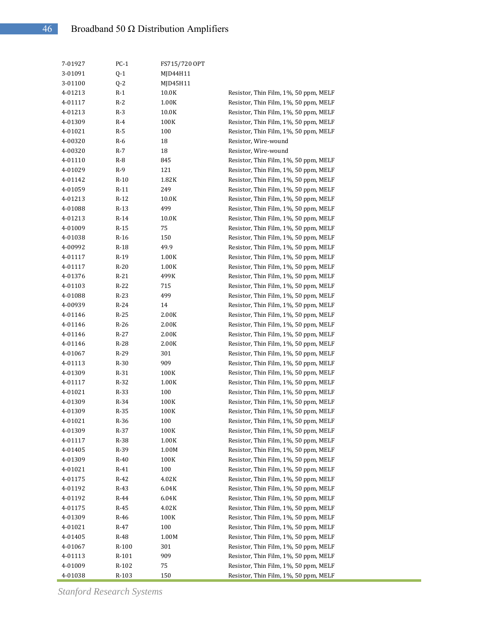| 7-01927 | $PC-1$ | FS715/720 OPT |                                       |
|---------|--------|---------------|---------------------------------------|
| 3-01091 | $Q-1$  | MJD44H11      |                                       |
| 3-01100 | $Q-2$  | MJD45H11      |                                       |
| 4-01213 | $R-1$  | 10.0K         | Resistor, Thin Film, 1%, 50 ppm, MELF |
| 4-01117 | $R-2$  | 1.00K         | Resistor, Thin Film, 1%, 50 ppm, MELF |
| 4-01213 | $R-3$  | 10.0K         | Resistor, Thin Film, 1%, 50 ppm, MELF |
| 4-01309 | $R-4$  | 100K          | Resistor, Thin Film, 1%, 50 ppm, MELF |
| 4-01021 | $R-5$  | 100           | Resistor, Thin Film, 1%, 50 ppm, MELF |
| 4-00320 | $R-6$  | $18\,$        | Resistor, Wire-wound                  |
| 4-00320 | $R-7$  | $18\,$        | Resistor, Wire-wound                  |
| 4-01110 | $R-8$  | 845           | Resistor, Thin Film, 1%, 50 ppm, MELF |
| 4-01029 | $R-9$  | 121           | Resistor, Thin Film, 1%, 50 ppm, MELF |
| 4-01142 | $R-10$ | 1.82K         | Resistor, Thin Film, 1%, 50 ppm, MELF |
| 4-01059 | $R-11$ | 249           | Resistor, Thin Film, 1%, 50 ppm, MELF |
| 4-01213 | $R-12$ | 10.0K         | Resistor, Thin Film, 1%, 50 ppm, MELF |
| 4-01088 | $R-13$ | 499           | Resistor, Thin Film, 1%, 50 ppm, MELF |
| 4-01213 | $R-14$ | 10.0K         | Resistor, Thin Film, 1%, 50 ppm, MELF |
| 4-01009 | $R-15$ | 75            | Resistor, Thin Film, 1%, 50 ppm, MELF |
| 4-01038 | $R-16$ | 150           | Resistor, Thin Film, 1%, 50 ppm, MELF |
| 4-00992 | $R-18$ | 49.9          | Resistor, Thin Film, 1%, 50 ppm, MELF |
| 4-01117 | $R-19$ | 1.00K         | Resistor, Thin Film, 1%, 50 ppm, MELF |
| 4-01117 | $R-20$ | 1.00K         | Resistor, Thin Film, 1%, 50 ppm, MELF |
| 4-01376 | $R-21$ | 499K          | Resistor, Thin Film, 1%, 50 ppm, MELF |
| 4-01103 | $R-22$ | 715           | Resistor, Thin Film, 1%, 50 ppm, MELF |
| 4-01088 | $R-23$ | 499           | Resistor, Thin Film, 1%, 50 ppm, MELF |
| 4-00939 | $R-24$ | 14            | Resistor, Thin Film, 1%, 50 ppm, MELF |
| 4-01146 | $R-25$ | 2.00K         | Resistor, Thin Film, 1%, 50 ppm, MELF |
| 4-01146 | $R-26$ | 2.00K         | Resistor, Thin Film, 1%, 50 ppm, MELF |
| 4-01146 | $R-27$ | 2.00K         | Resistor, Thin Film, 1%, 50 ppm, MELF |
| 4-01146 | $R-28$ | 2.00K         | Resistor, Thin Film, 1%, 50 ppm, MELF |
| 4-01067 | $R-29$ | 301           | Resistor, Thin Film, 1%, 50 ppm, MELF |
| 4-01113 | $R-30$ | 909           | Resistor, Thin Film, 1%, 50 ppm, MELF |
| 4-01309 | $R-31$ | 100K          | Resistor, Thin Film, 1%, 50 ppm, MELF |
| 4-01117 | $R-32$ | 1.00K         | Resistor, Thin Film, 1%, 50 ppm, MELF |
| 4-01021 | $R-33$ | 100           | Resistor, Thin Film, 1%, 50 ppm, MELF |
| 4-01309 | $R-34$ | 100K          | Resistor, Thin Film, 1%, 50 ppm, MELF |
| 4-01309 | $R-35$ | 100K          | Resistor, Thin Film, 1%, 50 ppm, MELF |
| 4-01021 | $R-36$ | $100\,$       | Resistor, Thin Film, 1%, 50 ppm, MELF |
| 4-01309 | R-37   | 100K          | Resistor, Thin Film, 1%, 50 ppm, MELF |
| 4-01117 | R-38   | 1.00K         | Resistor, Thin Film, 1%, 50 ppm, MELF |
| 4-01405 | $R-39$ | 1.00M         | Resistor, Thin Film, 1%, 50 ppm, MELF |
| 4-01309 | R-40   | 100K          | Resistor, Thin Film, 1%, 50 ppm, MELF |
| 4-01021 | R-41   | 100           | Resistor, Thin Film, 1%, 50 ppm, MELF |
| 4-01175 | R-42   | 4.02K         | Resistor, Thin Film, 1%, 50 ppm, MELF |
| 4-01192 | $R-43$ | 6.04K         | Resistor, Thin Film, 1%, 50 ppm, MELF |
| 4-01192 | R-44   | 6.04K         | Resistor, Thin Film, 1%, 50 ppm, MELF |
| 4-01175 | R-45   | 4.02K         | Resistor, Thin Film, 1%, 50 ppm, MELF |
| 4-01309 | R-46   | 100K          | Resistor, Thin Film, 1%, 50 ppm, MELF |
| 4-01021 | R-47   | 100           | Resistor, Thin Film, 1%, 50 ppm, MELF |
| 4-01405 | R-48   | 1.00M         | Resistor, Thin Film, 1%, 50 ppm, MELF |
| 4-01067 | R-100  | 301           | Resistor, Thin Film, 1%, 50 ppm, MELF |
| 4-01113 | R-101  | 909           | Resistor, Thin Film, 1%, 50 ppm, MELF |
| 4-01009 | R-102  | 75            | Resistor, Thin Film, 1%, 50 ppm, MELF |
| 4-01038 | R-103  | 150           | Resistor, Thin Film, 1%, 50 ppm, MELF |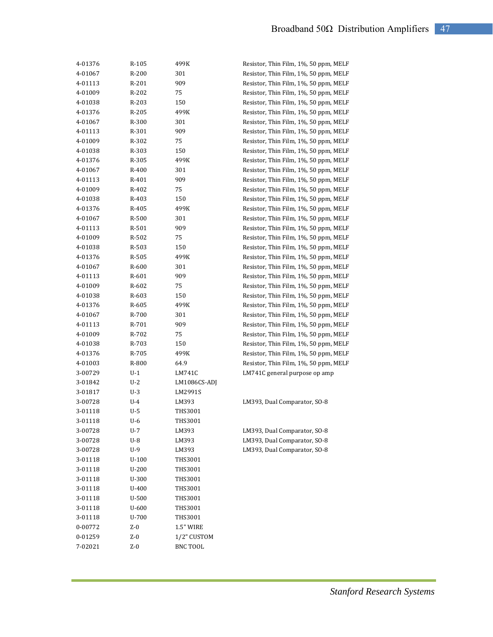| 4-01376 | $R-105$   | 499K           | Resistor, Thin Film, 1%, 50 ppm, MELF |
|---------|-----------|----------------|---------------------------------------|
| 4-01067 | R-200     | 301            | Resistor, Thin Film, 1%, 50 ppm, MELF |
| 4-01113 | $R-201$   | 909            | Resistor, Thin Film, 1%, 50 ppm, MELF |
| 4-01009 | $R-202$   | 75             | Resistor, Thin Film, 1%, 50 ppm, MELF |
| 4-01038 | $R-203$   | 150            | Resistor, Thin Film, 1%, 50 ppm, MELF |
| 4-01376 | $R-205$   | 499K           | Resistor, Thin Film, 1%, 50 ppm, MELF |
| 4-01067 | R-300     | 301            | Resistor, Thin Film, 1%, 50 ppm, MELF |
| 4-01113 | R-301     | 909            | Resistor, Thin Film, 1%, 50 ppm, MELF |
| 4-01009 | R-302     | 75             | Resistor, Thin Film, 1%, 50 ppm, MELF |
| 4-01038 | R-303     | 150            | Resistor, Thin Film, 1%, 50 ppm, MELF |
| 4-01376 | R-305     | 499K           | Resistor, Thin Film, 1%, 50 ppm, MELF |
| 4-01067 | R-400     | 301            | Resistor, Thin Film, 1%, 50 ppm, MELF |
| 4-01113 | R-401     | 909            | Resistor, Thin Film, 1%, 50 ppm, MELF |
| 4-01009 | R-402     | 75             | Resistor, Thin Film, 1%, 50 ppm, MELF |
| 4-01038 | R-403     | 150            | Resistor, Thin Film, 1%, 50 ppm, MELF |
| 4-01376 | R-405     | 499K           | Resistor, Thin Film, 1%, 50 ppm, MELF |
| 4-01067 | R-500     | 301            | Resistor, Thin Film, 1%, 50 ppm, MELF |
| 4-01113 | R-501     | 909            | Resistor, Thin Film, 1%, 50 ppm, MELF |
| 4-01009 | R-502     | 75             | Resistor, Thin Film, 1%, 50 ppm, MELF |
|         |           |                |                                       |
| 4-01038 | R-503     | 150            | Resistor, Thin Film, 1%, 50 ppm, MELF |
| 4-01376 | R-505     | 499K           | Resistor, Thin Film, 1%, 50 ppm, MELF |
| 4-01067 | R-600     | 301            | Resistor, Thin Film, 1%, 50 ppm, MELF |
| 4-01113 | R-601     | 909            | Resistor, Thin Film, 1%, 50 ppm, MELF |
| 4-01009 | $R - 602$ | 75             | Resistor, Thin Film, 1%, 50 ppm, MELF |
| 4-01038 | $R-603$   | 150            | Resistor, Thin Film, 1%, 50 ppm, MELF |
| 4-01376 | R-605     | 499K           | Resistor, Thin Film, 1%, 50 ppm, MELF |
| 4-01067 | R-700     | 301            | Resistor, Thin Film, 1%, 50 ppm, MELF |
| 4-01113 | R-701     | 909            | Resistor, Thin Film, 1%, 50 ppm, MELF |
| 4-01009 | R-702     | 75             | Resistor, Thin Film, 1%, 50 ppm, MELF |
| 4-01038 | R-703     | 150            | Resistor, Thin Film, 1%, 50 ppm, MELF |
| 4-01376 | R-705     | 499K           | Resistor, Thin Film, 1%, 50 ppm, MELF |
| 4-01003 | R-800     | 64.9           | Resistor, Thin Film, 1%, 50 ppm, MELF |
| 3-00729 | $U-1$     | LM741C         | LM741C general purpose op amp         |
| 3-01842 | $U-2$     | LM1086CS-ADJ   |                                       |
| 3-01817 | $U-3$     | LM2991S        |                                       |
| 3-00728 | $U-4$     | LM393          | LM393, Dual Comparator, SO-8          |
| 3-01118 | U-5       | THS3001        |                                       |
| 3-01118 | $U-6$     | THS3001        |                                       |
| 3-00728 | U-7       | LM393          | LM393, Dual Comparator, SO-8          |
| 3-00728 | $U-8$     | LM393          | LM393, Dual Comparator, SO-8          |
| 3-00728 | $U-9$     | LM393          | LM393, Dual Comparator, SO-8          |
| 3-01118 | $U-100$   | <b>THS3001</b> |                                       |
| 3-01118 | $U-200$   | <b>THS3001</b> |                                       |
| 3-01118 | U-300     | <b>THS3001</b> |                                       |
| 3-01118 | $U-400$   | <b>THS3001</b> |                                       |
| 3-01118 | U-500     | <b>THS3001</b> |                                       |
| 3-01118 | $U-600$   | <b>THS3001</b> |                                       |
| 3-01118 | U-700     | <b>THS3001</b> |                                       |
| 0-00772 | $Z-0$     | 1.5" WIRE      |                                       |
| 0-01259 | $Z-0$     | 1/2" CUSTOM    |                                       |
| 7-02021 | $Z-0$     | BNC TOOL       |                                       |
|         |           |                |                                       |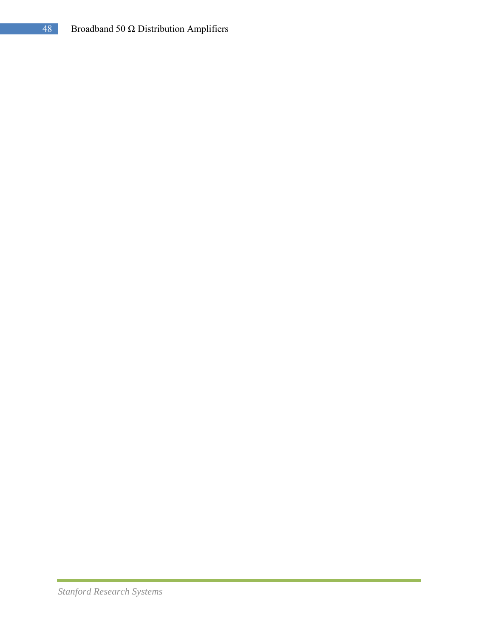# 48 Broadband 50  $\Omega$  Distribution Amplifiers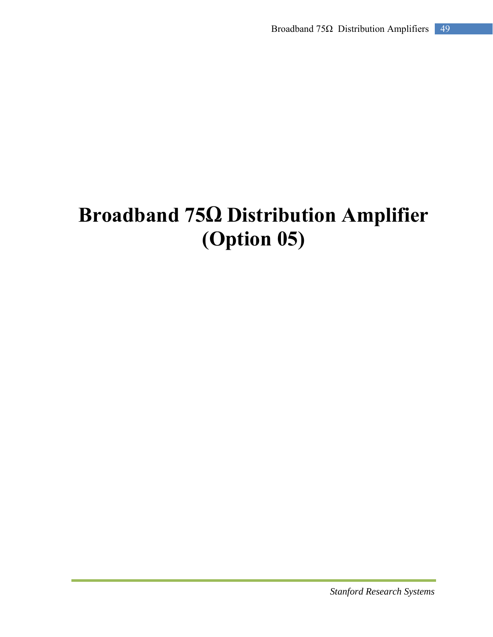# **Broadband 75Ω Distribution Amplifier (Option 05)**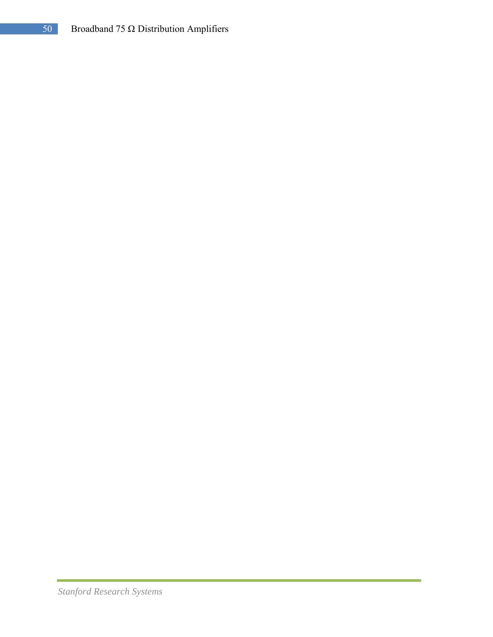# 50 Broadband 75 Ω Distribution Amplifiers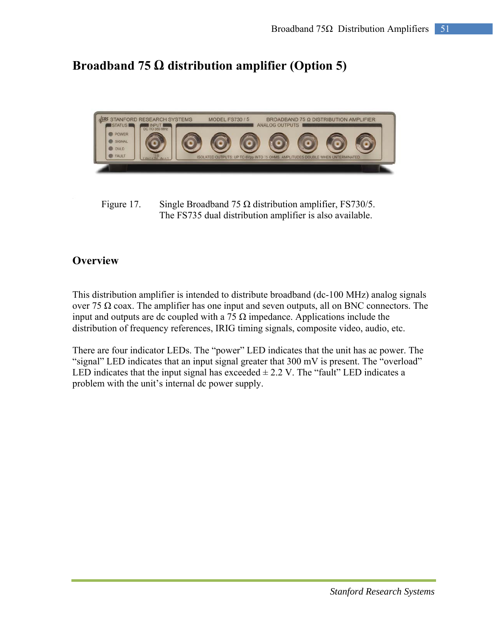# **Broadband 75 Ω distribution amplifier (Option 5)**



Figure 17. Single Broadband 75  $\Omega$  distribution amplifier, FS730/5. The FS735 dual distribution amplifier is also available.

#### **Overview**

This distribution amplifier is intended to distribute broadband (dc-100 MHz) analog signals over 75 Ω coax. The amplifier has one input and seven outputs, all on BNC connectors. The input and outputs are dc coupled with a 75  $\Omega$  impedance. Applications include the distribution of frequency references, IRIG timing signals, composite video, audio, etc.

There are four indicator LEDs. The "power" LED indicates that the unit has ac power. The "signal" LED indicates that an input signal greater that 300 mV is present. The "overload" LED indicates that the input signal has exceeded  $\pm$  2.2 V. The "fault" LED indicates a problem with the unit's internal dc power supply.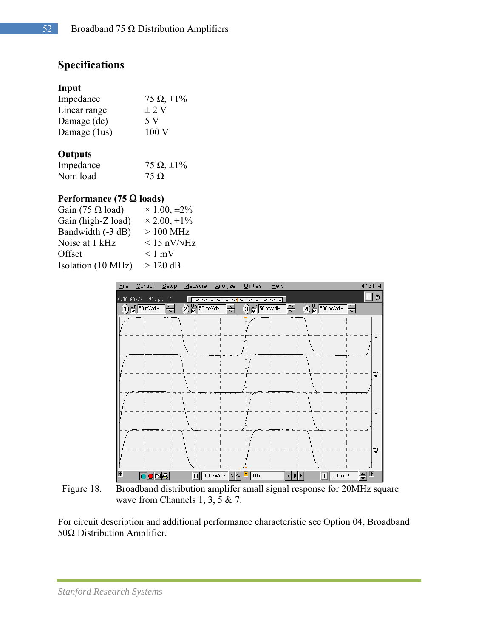# **Specifications**

#### **Input**

| 75 $\Omega$ , $\pm$ 1% |
|------------------------|
| $\pm$ 2 V              |
| 5 V                    |
| 100 V                  |
|                        |

#### **Outputs**

| Impedance | 75 $\Omega$ , $\pm 1\%$ |
|-----------|-------------------------|
| Nom load  | $75\,\Omega$            |

#### **Performance (75 Ω loads)**

| Gain (75 $\Omega$ load) | $\times 1.00, \pm 2\%$        |
|-------------------------|-------------------------------|
| Gain (high-Z load)      | $\times$ 2.00, $\pm$ 1%       |
| Bandwidth (-3 dB)       | $>100$ MHz                    |
| Noise at 1 kHz          | $< 15$ nV/ $\sqrt{\text{Hz}}$ |
| Offset                  | $\leq 1$ mV                   |
| Isolation (10 MHz)      | $> 120$ dB                    |





For circuit description and additional performance characteristic see Option 04, Broadband 50Ω Distribution Amplifier.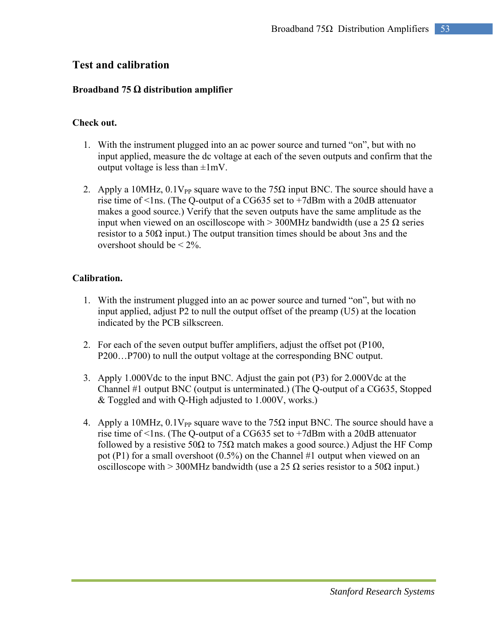#### **Test and calibration**

#### **Broadband 75 Ω distribution amplifier**

#### **Check out.**

- 1. With the instrument plugged into an ac power source and turned "on", but with no input applied, measure the dc voltage at each of the seven outputs and confirm that the output voltage is less than  $\pm 1$ mV.
- 2. Apply a 10MHz,  $0.1V_{PP}$  square wave to the 75 $\Omega$  input BNC. The source should have a rise time of <1ns. (The Q-output of a CG635 set to +7dBm with a 20dB attenuator makes a good source.) Verify that the seven outputs have the same amplitude as the input when viewed on an oscilloscope with > 300MHz bandwidth (use a 25  $\Omega$  series resistor to a  $50\Omega$  input.) The output transition times should be about 3ns and the overshoot should be  $\leq 2\%$ .

#### **Calibration.**

- 1. With the instrument plugged into an ac power source and turned "on", but with no input applied, adjust P2 to null the output offset of the preamp (U5) at the location indicated by the PCB silkscreen.
- 2. For each of the seven output buffer amplifiers, adjust the offset pot (P100, P200…P700) to null the output voltage at the corresponding BNC output.
- 3. Apply 1.000Vdc to the input BNC. Adjust the gain pot (P3) for 2.000Vdc at the Channel #1 output BNC (output is unterminated.) (The Q-output of a CG635, Stopped & Toggled and with Q-High adjusted to 1.000V, works.)
- 4. Apply a 10MHz,  $0.1V_{PP}$  square wave to the 75 $\Omega$  input BNC. The source should have a rise time of <1ns. (The Q-output of a CG635 set to +7dBm with a 20dB attenuator followed by a resistive 50 $\Omega$  to 75 $\Omega$  match makes a good source.) Adjust the HF Comp pot (P1) for a small overshoot (0.5%) on the Channel #1 output when viewed on an oscilloscope with > 300MHz bandwidth (use a 25  $\Omega$  series resistor to a 50 $\Omega$  input.)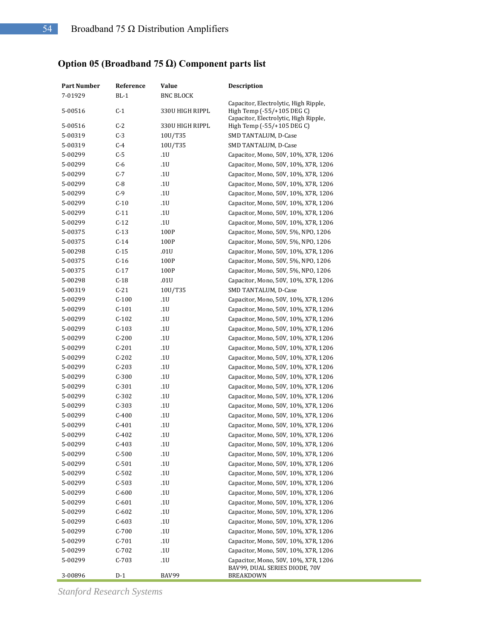## **Option 05 (Broadband 75 Ω) Component parts list**

| <b>Part Number</b> | Reference | Value            | <b>Description</b>                                                                                           |
|--------------------|-----------|------------------|--------------------------------------------------------------------------------------------------------------|
| 7-01929            | $BL-1$    | <b>BNC BLOCK</b> |                                                                                                              |
| 5-00516            | $C-1$     | 330U HIGH RIPPL  | Capacitor, Electrolytic, High Ripple,<br>High Temp (-55/+105 DEG C)<br>Capacitor, Electrolytic, High Ripple, |
| 5-00516            | $C-2$     | 330U HIGH RIPPL  | High Temp (-55/+105 DEG C)                                                                                   |
| 5-00319            | $C-3$     | 10U/T35          | SMD TANTALUM, D-Case                                                                                         |
| 5-00319            | $C-4$     | 10U/T35          | SMD TANTALUM, D-Case                                                                                         |
| 5-00299            | $C-5$     | .1U              | Capacitor, Mono, 50V, 10%, X7R, 1206                                                                         |
| 5-00299            | $C-6$     | .1U              | Capacitor, Mono, 50V, 10%, X7R, 1206                                                                         |
| 5-00299            | $C-7$     | .1U              | Capacitor, Mono, 50V, 10%, X7R, 1206                                                                         |
| 5-00299            | $C-8$     | .1U              | Capacitor, Mono, 50V, 10%, X7R, 1206                                                                         |
| 5-00299            | $C-9$     | .1U              | Capacitor, Mono, 50V, 10%, X7R, 1206                                                                         |
| 5-00299            | $C-10$    | .1U              | Capacitor, Mono, 50V, 10%, X7R, 1206                                                                         |
| 5-00299            | $C-11$    | .1U              | Capacitor, Mono, 50V, 10%, X7R, 1206                                                                         |
| 5-00299            | $C-12$    | .1U              | Capacitor, Mono, 50V, 10%, X7R, 1206                                                                         |
| 5-00375            | $C-13$    | 100P             | Capacitor, Mono, 50V, 5%, NPO, 1206                                                                          |
| 5-00375            | $C-14$    | 100P             | Capacitor, Mono, 50V, 5%, NPO, 1206                                                                          |
| 5-00298            | $C-15$    | .01U             | Capacitor, Mono, 50V, 10%, X7R, 1206                                                                         |
| 5-00375            | $C-16$    | 100P             | Capacitor, Mono, 50V, 5%, NPO, 1206                                                                          |
| 5-00375            | $C-17$    | 100P             | Capacitor, Mono, 50V, 5%, NPO, 1206                                                                          |
| 5-00298            | $C-18$    | .01U             | Capacitor, Mono, 50V, 10%, X7R, 1206                                                                         |
| 5-00319            | $C-21$    | 10U/T35          | SMD TANTALUM, D-Case                                                                                         |
| 5-00299            | $C-100$   | .1U              | Capacitor, Mono, 50V, 10%, X7R, 1206                                                                         |
| 5-00299            | $C-101$   | .1U              | Capacitor, Mono, 50V, 10%, X7R, 1206                                                                         |
| 5-00299            | $C-102$   | .1U              | Capacitor, Mono, 50V, 10%, X7R, 1206                                                                         |
| 5-00299            | $C-103$   | .1U              | Capacitor, Mono, 50V, 10%, X7R, 1206                                                                         |
| 5-00299            | $C-200$   | .1U              | Capacitor, Mono, 50V, 10%, X7R, 1206                                                                         |
| 5-00299            | $C-201$   | .1U              | Capacitor, Mono, 50V, 10%, X7R, 1206                                                                         |
| 5-00299            | $C-202$   | .1U              | Capacitor, Mono, 50V, 10%, X7R, 1206                                                                         |
| 5-00299            | $C-203$   | .1U              | Capacitor, Mono, 50V, 10%, X7R, 1206                                                                         |
| 5-00299            | $C-300$   | .1U              | Capacitor, Mono, 50V, 10%, X7R, 1206                                                                         |
| 5-00299            | $C-301$   | .1U              | Capacitor, Mono, 50V, 10%, X7R, 1206                                                                         |
| 5-00299            | $C-302$   | .1U              | Capacitor, Mono, 50V, 10%, X7R, 1206                                                                         |
| 5-00299            | $C-303$   | .1U              | Capacitor, Mono, 50V, 10%, X7R, 1206                                                                         |
| 5-00299            | $C-400$   | .1U              | Capacitor, Mono, 50V, 10%, X7R, 1206                                                                         |
| 5-00299            | $C-401$   | .1U              | Capacitor, Mono, 50V, 10%, X7R, 1206                                                                         |
| 5-00299            | $C-402$   | .1U              | Capacitor, Mono, 50V, 10%, X7R, 1206                                                                         |
| 5-00299            | $C-403$   | .1U              | Capacitor, Mono, 50V, 10%, X7R, 1206                                                                         |
| 5-00299            | $C-500$   | .1U              | Capacitor, Mono, 50V, 10%, X7R, 1206                                                                         |
| 5-00299            | $C-501$   | .1U              | Capacitor, Mono, 50V, 10%, X7R, 1206                                                                         |
| 5-00299            | $C-502$   | .1U              | Capacitor, Mono, 50V, 10%, X7R, 1206                                                                         |
| 5-00299            | $C-503$   | .1U              | Capacitor, Mono, 50V, 10%, X7R, 1206                                                                         |
| 5-00299            | $C-600$   | .1U              | Capacitor, Mono, 50V, 10%, X7R, 1206                                                                         |
| 5-00299            | $C - 601$ | .1U              | Capacitor, Mono, 50V, 10%, X7R, 1206                                                                         |
| 5-00299            | $C - 602$ | .1U              | Capacitor, Mono, 50V, 10%, X7R, 1206                                                                         |
| 5-00299            | $C - 603$ | .1U              | Capacitor, Mono, 50V, 10%, X7R, 1206                                                                         |
| 5-00299            | $C-700$   | .1U              | Capacitor, Mono, 50V, 10%, X7R, 1206                                                                         |
| 5-00299            | $C-701$   | .1U              | Capacitor, Mono, 50V, 10%, X7R, 1206                                                                         |
| 5-00299            | $C-702$   | .1U              | Capacitor, Mono, 50V, 10%, X7R, 1206                                                                         |
| 5-00299            | $C-703$   | .1U              | Capacitor, Mono, 50V, 10%, X7R, 1206                                                                         |
| 3-00896            | $D-1$     | BAV99            | BAV99, DUAL SERIES DIODE, 70V<br>BREAKDOWN                                                                   |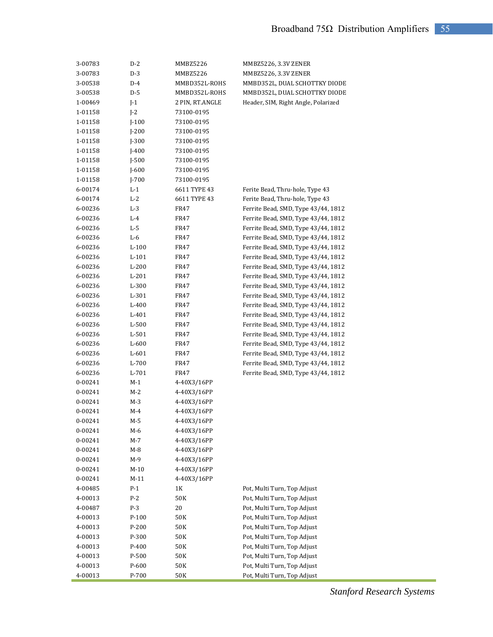| 3-00783 | $D-2$     | MMBZ5226        | MMBZ5226, 3.3V ZENER                |
|---------|-----------|-----------------|-------------------------------------|
| 3-00783 | $D-3$     | MMBZ5226        | MMBZ5226, 3.3V ZENER                |
| 3-00538 | $D-4$     | MMBD352L-ROHS   | MMBD352L, DUAL SCHOTTKY DIODE       |
| 3-00538 | $D-5$     | MMBD352L-ROHS   | MMBD352L, DUAL SCHOTTKY DIODE       |
| 1-00469 | $I-1$     | 2 PIN, RT.ANGLE | Header, SIM, Right Angle, Polarized |
| 1-01158 | $I-2$     | 73100-0195      |                                     |
| 1-01158 | $I-100$   | 73100-0195      |                                     |
| 1-01158 | $J-200$   | 73100-0195      |                                     |
| 1-01158 | $I-300$   | 73100-0195      |                                     |
| 1-01158 | $I - 400$ | 73100-0195      |                                     |
| 1-01158 | $I-500$   | 73100-0195      |                                     |
| 1-01158 | $J-600$   | 73100-0195      |                                     |
| 1-01158 | $J-700$   | 73100-0195      |                                     |
| 6-00174 | $L-1$     | 6611 TYPE 43    | Ferite Bead, Thru-hole, Type 43     |
| 6-00174 | $L-2$     | 6611 TYPE 43    | Ferite Bead, Thru-hole, Type 43     |
| 6-00236 | $L-3$     | FR47            | Ferrite Bead, SMD, Type 43/44, 1812 |
| 6-00236 | $L-4$     | FR47            | Ferrite Bead, SMD, Type 43/44, 1812 |
| 6-00236 | $L-5$     | FR47            | Ferrite Bead, SMD, Type 43/44, 1812 |
| 6-00236 | $L-6$     | FR47            | Ferrite Bead, SMD, Type 43/44, 1812 |
|         | $L-100$   |                 |                                     |
| 6-00236 | $L-101$   | FR47            | Ferrite Bead, SMD, Type 43/44, 1812 |
| 6-00236 |           | FR47            | Ferrite Bead, SMD, Type 43/44, 1812 |
| 6-00236 | $L-200$   | FR47            | Ferrite Bead, SMD, Type 43/44, 1812 |
| 6-00236 | $L-201$   | FR47            | Ferrite Bead, SMD, Type 43/44, 1812 |
| 6-00236 | L-300     | FR47            | Ferrite Bead, SMD, Type 43/44, 1812 |
| 6-00236 | L-301     | FR47            | Ferrite Bead, SMD, Type 43/44, 1812 |
| 6-00236 | $L-400$   | FR47            | Ferrite Bead, SMD, Type 43/44, 1812 |
| 6-00236 | L-401     | FR47            | Ferrite Bead, SMD, Type 43/44, 1812 |
| 6-00236 | L-500     | FR47            | Ferrite Bead, SMD, Type 43/44, 1812 |
| 6-00236 | L-501     | FR47            | Ferrite Bead, SMD, Type 43/44, 1812 |
| 6-00236 | L-600     | FR47            | Ferrite Bead, SMD, Type 43/44, 1812 |
| 6-00236 | L-601     | FR47            | Ferrite Bead, SMD, Type 43/44, 1812 |
| 6-00236 | L-700     | FR47            | Ferrite Bead, SMD, Type 43/44, 1812 |
| 6-00236 | L-701     | FR47            | Ferrite Bead, SMD, Type 43/44, 1812 |
| 0-00241 | $M-1$     | 4-40X3/16PP     |                                     |
| 0-00241 | $M-2$     | 4-40X3/16PP     |                                     |
| 0-00241 | $M-3$     | 4-40X3/16PP     |                                     |
| 0-00241 | $M-4$     | 4-40X3/16PP     |                                     |
| 0-00241 | $M-5$     | 4-40X3/16PP     |                                     |
| 0-00241 | M-6       | 4-40X3/16PP     |                                     |
| 0-00241 | $M-7$     | 4-40X3/16PP     |                                     |
| 0-00241 | $M-8$     | 4-40X3/16PP     |                                     |
| 0-00241 | $M-9$     | 4-40X3/16PP     |                                     |
| 0-00241 | $M-10$    | 4-40X3/16PP     |                                     |
| 0-00241 | $M-11$    | 4-40X3/16PP     |                                     |
| 4-00485 | $P-1$     | 1K              | Pot, Multi Turn, Top Adjust         |
| 4-00013 | $P-2$     | 50K             | Pot, Multi Turn, Top Adjust         |
| 4-00487 | $P-3$     | 20              | Pot, Multi Turn, Top Adjust         |
| 4-00013 | $P-100$   | 50K             | Pot, Multi Turn, Top Adjust         |
| 4-00013 | P-200     | 50K             | Pot, Multi Turn, Top Adjust         |
| 4-00013 | P-300     | 50K             | Pot, Multi Turn, Top Adjust         |
| 4-00013 | P-400     | 50K             | Pot, Multi Turn, Top Adjust         |
| 4-00013 | P-500     | 50K             | Pot, Multi Turn, Top Adjust         |
| 4-00013 | P-600     | 50K             | Pot, Multi Turn, Top Adjust         |
| 4-00013 | P-700     | 50K             | Pot, Multi Turn, Top Adjust         |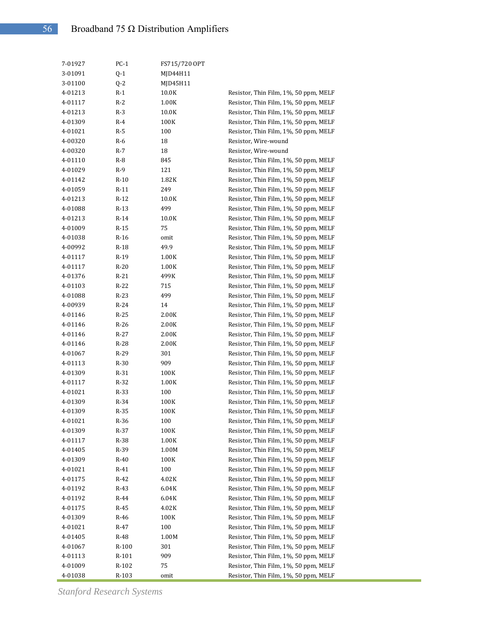| 7-01927 | $PC-1$  | FS715/720 OPT |                                       |
|---------|---------|---------------|---------------------------------------|
| 3-01091 | $Q-1$   | MJD44H11      |                                       |
| 3-01100 | $Q-2$   | MJD45H11      |                                       |
| 4-01213 | $R-1$   | 10.0K         | Resistor, Thin Film, 1%, 50 ppm, MELF |
| 4-01117 | $R-2$   | 1.00K         | Resistor, Thin Film, 1%, 50 ppm, MELF |
| 4-01213 | $R-3$   | 10.0K         | Resistor, Thin Film, 1%, 50 ppm, MELF |
| 4-01309 | $R-4$   | 100K          | Resistor, Thin Film, 1%, 50 ppm, MELF |
| 4-01021 | $R-5$   | 100           | Resistor, Thin Film, 1%, 50 ppm, MELF |
| 4-00320 | $R-6$   | 18            | Resistor, Wire-wound                  |
| 4-00320 | $R-7$   | $18\,$        | Resistor, Wire-wound                  |
| 4-01110 | $R-8$   | 845           | Resistor, Thin Film, 1%, 50 ppm, MELF |
| 4-01029 | $R-9$   | 121           | Resistor, Thin Film, 1%, 50 ppm, MELF |
| 4-01142 | $R-10$  | 1.82K         | Resistor, Thin Film, 1%, 50 ppm, MELF |
| 4-01059 | $R-11$  | 249           | Resistor, Thin Film, 1%, 50 ppm, MELF |
| 4-01213 | $R-12$  | 10.0K         | Resistor, Thin Film, 1%, 50 ppm, MELF |
| 4-01088 | $R-13$  | 499           | Resistor, Thin Film, 1%, 50 ppm, MELF |
| 4-01213 | $R-14$  | 10.0K         | Resistor, Thin Film, 1%, 50 ppm, MELF |
| 4-01009 | $R-15$  | 75            | Resistor, Thin Film, 1%, 50 ppm, MELF |
| 4-01038 | $R-16$  | omit          | Resistor, Thin Film, 1%, 50 ppm, MELF |
| 4-00992 | $R-18$  | 49.9          | Resistor, Thin Film, 1%, 50 ppm, MELF |
| 4-01117 | $R-19$  | 1.00K         | Resistor, Thin Film, 1%, 50 ppm, MELF |
| 4-01117 | $R-20$  | 1.00K         | Resistor, Thin Film, 1%, 50 ppm, MELF |
| 4-01376 | $R-21$  | 499K          | Resistor, Thin Film, 1%, 50 ppm, MELF |
| 4-01103 | $R-22$  | 715           | Resistor, Thin Film, 1%, 50 ppm, MELF |
| 4-01088 | $R-23$  | 499           | Resistor, Thin Film, 1%, 50 ppm, MELF |
| 4-00939 | $R-24$  | 14            | Resistor, Thin Film, 1%, 50 ppm, MELF |
| 4-01146 | $R-25$  | 2.00K         | Resistor, Thin Film, 1%, 50 ppm, MELF |
| 4-01146 | $R-26$  | 2.00K         | Resistor, Thin Film, 1%, 50 ppm, MELF |
| 4-01146 | $R-27$  | 2.00K         | Resistor, Thin Film, 1%, 50 ppm, MELF |
| 4-01146 | $R-28$  | 2.00K         | Resistor, Thin Film, 1%, 50 ppm, MELF |
| 4-01067 | $R-29$  | 301           | Resistor, Thin Film, 1%, 50 ppm, MELF |
| 4-01113 | $R-30$  | 909           | Resistor, Thin Film, 1%, 50 ppm, MELF |
| 4-01309 | $R-31$  | 100K          | Resistor, Thin Film, 1%, 50 ppm, MELF |
| 4-01117 | $R-32$  | 1.00K         | Resistor, Thin Film, 1%, 50 ppm, MELF |
| 4-01021 | $R-33$  | 100           | Resistor, Thin Film, 1%, 50 ppm, MELF |
| 4-01309 | $R-34$  | 100K          | Resistor, Thin Film, 1%, 50 ppm, MELF |
| 4-01309 | R-35    | 100K          | Resistor, Thin Film, 1%, 50 ppm, MELF |
| 4-01021 | $R-36$  | 100           | Resistor, Thin Film, 1%, 50 ppm, MELF |
| 4-01309 | R-37    | 100K          | Resistor, Thin Film, 1%, 50 ppm, MELF |
| 4-01117 | $R-38$  | 1.00K         | Resistor, Thin Film, 1%, 50 ppm, MELF |
| 4-01405 | $R-39$  | 1.00M         | Resistor, Thin Film, 1%, 50 ppm, MELF |
| 4-01309 | R-40    | 100K          | Resistor, Thin Film, 1%, 50 ppm, MELF |
| 4-01021 | R-41    | 100           | Resistor, Thin Film, 1%, 50 ppm, MELF |
| 4-01175 | R-42    | 4.02K         | Resistor, Thin Film, 1%, 50 ppm, MELF |
| 4-01192 | R-43    | 6.04K         | Resistor, Thin Film, 1%, 50 ppm, MELF |
| 4-01192 | R-44    | 6.04K         | Resistor, Thin Film, 1%, 50 ppm, MELF |
| 4-01175 | R-45    | 4.02K         | Resistor, Thin Film, 1%, 50 ppm, MELF |
| 4-01309 | $R-46$  | 100K          | Resistor, Thin Film, 1%, 50 ppm, MELF |
| 4-01021 | $R-47$  | 100           | Resistor, Thin Film, 1%, 50 ppm, MELF |
| 4-01405 | R-48    | 1.00M         | Resistor, Thin Film, 1%, 50 ppm, MELF |
| 4-01067 | R-100   | 301           | Resistor, Thin Film, 1%, 50 ppm, MELF |
| 4-01113 | $R-101$ | 909           | Resistor, Thin Film, 1%, 50 ppm, MELF |
| 4-01009 | R-102   | 75            | Resistor, Thin Film, 1%, 50 ppm, MELF |
| 4-01038 | R-103   | omit          | Resistor, Thin Film, 1%, 50 ppm, MELF |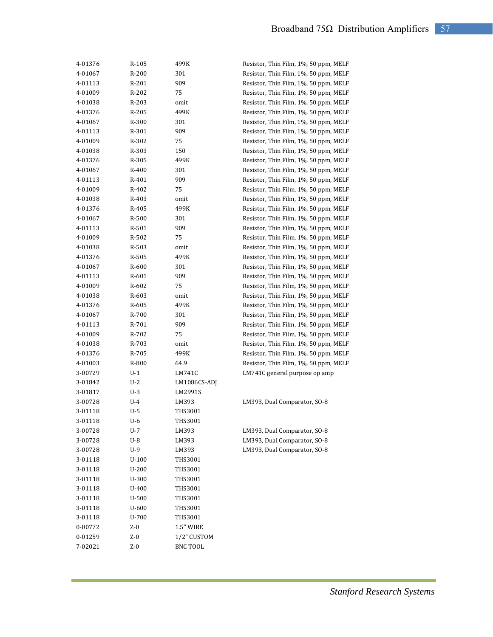| 4-01376            | $R-105$      | 499K           | Resistor, Thin Film, 1%, 50 ppm, MELF                        |
|--------------------|--------------|----------------|--------------------------------------------------------------|
| 4-01067            | R-200        | 301            | Resistor, Thin Film, 1%, 50 ppm, MELF                        |
| 4-01113            | $R-201$      | 909            | Resistor, Thin Film, 1%, 50 ppm, MELF                        |
| 4-01009            | R-202        | 75             | Resistor, Thin Film, 1%, 50 ppm, MELF                        |
| 4-01038            | $R-203$      | omit           | Resistor, Thin Film, 1%, 50 ppm, MELF                        |
| 4-01376            | $R-205$      | 499K           | Resistor, Thin Film, 1%, 50 ppm, MELF                        |
| 4-01067            | R-300        | 301            | Resistor, Thin Film, 1%, 50 ppm, MELF                        |
| 4-01113            | R-301        | 909            | Resistor, Thin Film, 1%, 50 ppm, MELF                        |
| 4-01009            | R-302        | 75             | Resistor, Thin Film, 1%, 50 ppm, MELF                        |
| 4-01038            | R-303        | 150            | Resistor, Thin Film, 1%, 50 ppm, MELF                        |
| 4-01376            | R-305        | 499K           | Resistor, Thin Film, 1%, 50 ppm, MELF                        |
| 4-01067            | R-400        | 301            | Resistor, Thin Film, 1%, 50 ppm, MELF                        |
| 4-01113            | R-401        | 909            | Resistor, Thin Film, 1%, 50 ppm, MELF                        |
| 4-01009            | R-402        | 75             | Resistor, Thin Film, 1%, 50 ppm, MELF                        |
| 4-01038            | R-403        | omit           | Resistor, Thin Film, 1%, 50 ppm, MELF                        |
| 4-01376            | R-405        | 499K           | Resistor, Thin Film, 1%, 50 ppm, MELF                        |
| 4-01067            | R-500        | 301            | Resistor, Thin Film, 1%, 50 ppm, MELF                        |
| 4-01113            | R-501        | 909            | Resistor, Thin Film, 1%, 50 ppm, MELF                        |
| 4-01009            | R-502        | 75             | Resistor, Thin Film, 1%, 50 ppm, MELF                        |
| 4-01038            | R-503        | omit           | Resistor, Thin Film, 1%, 50 ppm, MELF                        |
| 4-01376            | R-505        | 499K           | Resistor, Thin Film, 1%, 50 ppm, MELF                        |
| 4-01067            | R-600        | 301            | Resistor, Thin Film, 1%, 50 ppm, MELF                        |
| 4-01113            | R-601        | 909            | Resistor, Thin Film, 1%, 50 ppm, MELF                        |
| 4-01009            | R-602        | 75             | Resistor, Thin Film, 1%, 50 ppm, MELF                        |
| 4-01038            | R-603        | omit           | Resistor, Thin Film, 1%, 50 ppm, MELF                        |
| 4-01376            | R-605        | 499K           | Resistor, Thin Film, 1%, 50 ppm, MELF                        |
| 4-01067            | R-700        | 301            | Resistor, Thin Film, 1%, 50 ppm, MELF                        |
| 4-01113            | R-701        | 909            | Resistor, Thin Film, 1%, 50 ppm, MELF                        |
| 4-01009            | R-702        | 75             | Resistor, Thin Film, 1%, 50 ppm, MELF                        |
| 4-01038            | R-703        |                | Resistor, Thin Film, 1%, 50 ppm, MELF                        |
| 4-01376            | R-705        | omit<br>499K   | Resistor, Thin Film, 1%, 50 ppm, MELF                        |
| 4-01003            | R-800        | 64.9           | Resistor, Thin Film, 1%, 50 ppm, MELF                        |
| 3-00729            | $U-1$        | LM741C         | LM741C general purpose op amp                                |
| 3-01842            |              |                |                                                              |
|                    | $U-2$        | LM1086CS-ADJ   |                                                              |
| 3-01817            | U-3          | LM2991S        | LM393, Dual Comparator, SO-8                                 |
| 3-00728            | $U-4$        | LM393          |                                                              |
| 3-01118<br>3-01118 | U-5<br>$U-6$ | THS3001        |                                                              |
|                    |              | THS3001        | LM393, Dual Comparator, SO-8                                 |
| 3-00728            | U-7<br>$U-8$ | LM393          |                                                              |
| 3-00728            | $U-9$        | LM393          | LM393, Dual Comparator, SO-8<br>LM393, Dual Comparator, SO-8 |
| 3-00728            |              | LM393          |                                                              |
| 3-01118            | $U-100$      | <b>THS3001</b> |                                                              |
| 3-01118            | $U-200$      | <b>THS3001</b> |                                                              |
| 3-01118            | $U-300$      | <b>THS3001</b> |                                                              |
| 3-01118            | $U-400$      | <b>THS3001</b> |                                                              |
| 3-01118            | $U-500$      | <b>THS3001</b> |                                                              |
| 3-01118            | $U-600$      | <b>THS3001</b> |                                                              |
| 3-01118            | U-700        | <b>THS3001</b> |                                                              |
| 0-00772            | $Z-0$        | 1.5" WIRE      |                                                              |
| 0-01259            | $Z-0$        | 1/2" CUSTOM    |                                                              |
| 7-02021            | $Z-0$        | BNC TOOL       |                                                              |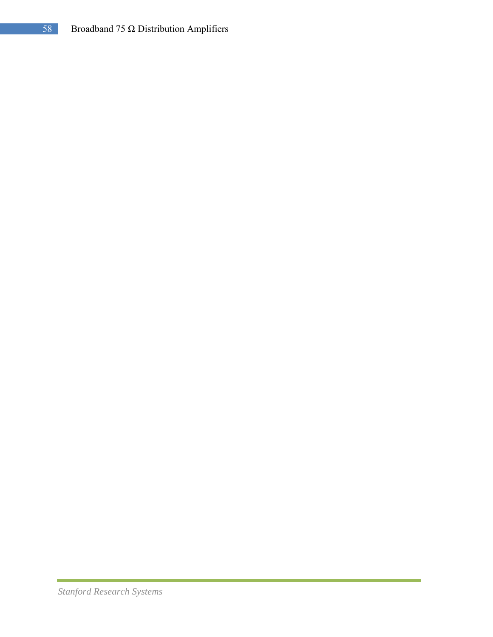# 58 Broadband 75 Ω Distribution Amplifiers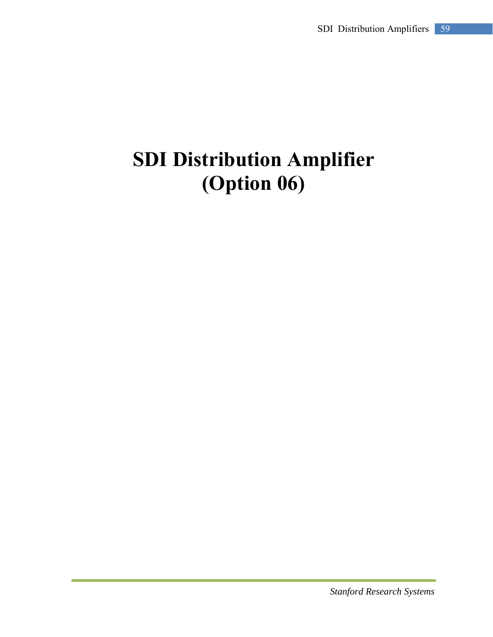# **SDI Distribution Amplifier (Option 06)**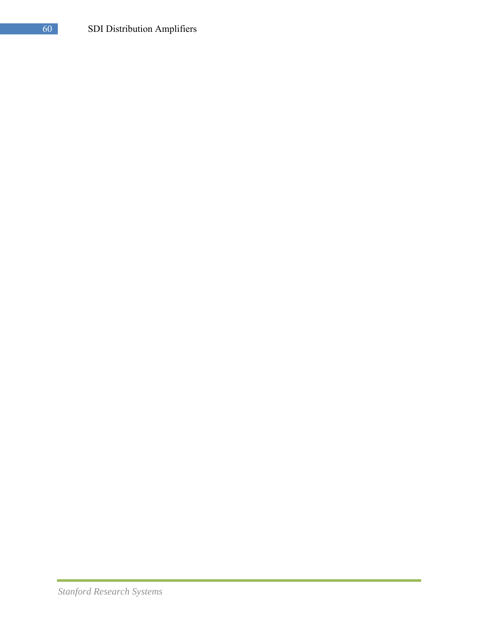# 60 SDI Distribution Amplifiers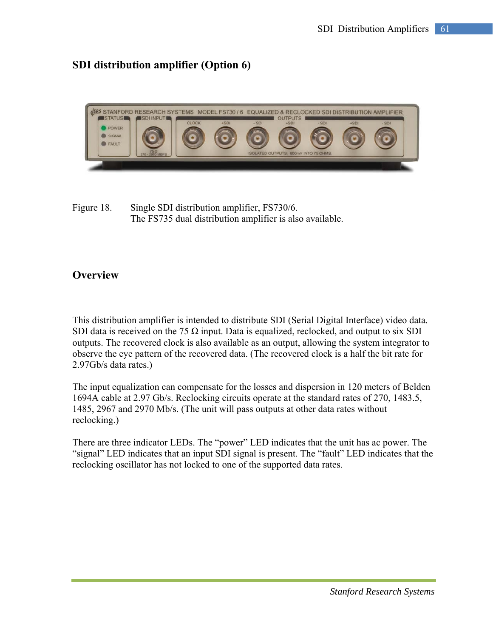### **SDI distribution amplifier (Option 6)**



Figure 18. Single SDI distribution amplifier, FS730/6. The FS735 dual distribution amplifier is also available.

#### **Overview**

This distribution amplifier is intended to distribute SDI (Serial Digital Interface) video data. SDI data is received on the 75  $\Omega$  input. Data is equalized, reclocked, and output to six SDI outputs. The recovered clock is also available as an output, allowing the system integrator to observe the eye pattern of the recovered data. (The recovered clock is a half the bit rate for 2.97Gb/s data rates.)

The input equalization can compensate for the losses and dispersion in 120 meters of Belden 1694A cable at 2.97 Gb/s. Reclocking circuits operate at the standard rates of 270, 1483.5, 1485, 2967 and 2970 Mb/s. (The unit will pass outputs at other data rates without reclocking.)

There are three indicator LEDs. The "power" LED indicates that the unit has ac power. The "signal" LED indicates that an input SDI signal is present. The "fault" LED indicates that the reclocking oscillator has not locked to one of the supported data rates.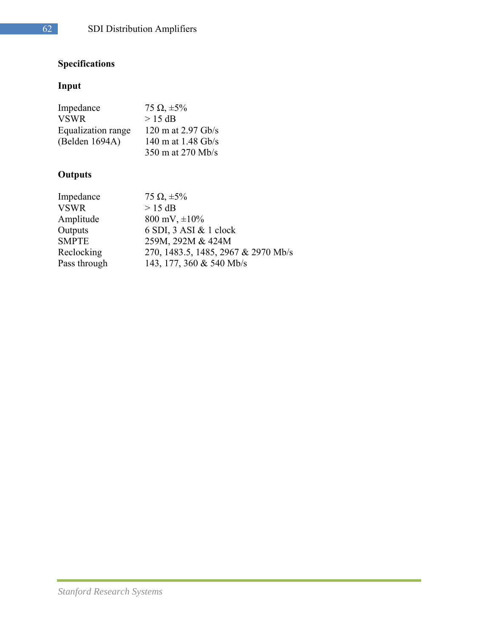# **Specifications**

# **Input**

| Impedance          | 75 $\Omega$ , $\pm 5\%$ |
|--------------------|-------------------------|
| <b>VSWR</b>        | $> 15$ dB               |
| Equalization range | 120 m at 2.97 Gb/s      |
| (Belden 1694A)     | 140 m at 1.48 Gb/s      |
|                    | 350 m at 270 Mb/s       |

# **Outputs**

| Impedance    | 75 $\Omega$ , $\pm$ 5%              |
|--------------|-------------------------------------|
| <b>VSWR</b>  | $> 15$ dB                           |
| Amplitude    | 800 mV, $\pm 10\%$                  |
| Outputs      | 6 SDI, 3 ASI & 1 clock              |
| <b>SMPTE</b> | 259M, 292M & 424M                   |
| Reclocking   | 270, 1483.5, 1485, 2967 & 2970 Mb/s |
| Pass through | 143, 177, 360 & 540 Mb/s            |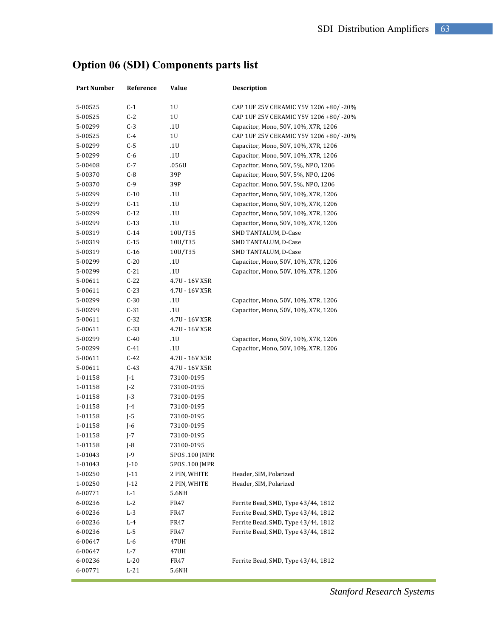# **Option 06 (SDI) Components parts list**

| $C-1$<br>5-00525<br>1U<br>CAP 1UF 25V CERAMIC Y5V 1206 +80/-20%  |  |
|------------------------------------------------------------------|--|
| $C-2$<br>1U<br>5-00525<br>CAP 1UF 25V CERAMIC Y5V 1206 +80/-20%  |  |
| $C-3$<br>.1U<br>5-00299<br>Capacitor, Mono, 50V, 10%, X7R, 1206  |  |
| 1U<br>CAP 1UF 25V CERAMIC Y5V 1206 +80/-20%<br>5-00525<br>$C-4$  |  |
| .1U<br>5-00299<br>$C-5$<br>Capacitor, Mono, 50V, 10%, X7R, 1206  |  |
| $C-6$<br>.1U<br>Capacitor, Mono, 50V, 10%, X7R, 1206<br>5-00299  |  |
| $C-7$<br>Capacitor, Mono, 50V, 5%, NPO, 1206<br>5-00408<br>.056U |  |
| $C-8$<br>Capacitor, Mono, 50V, 5%, NPO, 1206<br>5-00370<br>39P   |  |
| Capacitor, Mono, 50V, 5%, NPO, 1206<br>5-00370<br>$C-9$<br>39P   |  |
| Capacitor, Mono, 50V, 10%, X7R, 1206<br>5-00299<br>$C-10$<br>.1U |  |
| Capacitor, Mono, 50V, 10%, X7R, 1206<br>5-00299<br>$C-11$<br>.1U |  |
| Capacitor, Mono, 50V, 10%, X7R, 1206<br>5-00299<br>$C-12$<br>.1U |  |
| .1U<br>Capacitor, Mono, 50V, 10%, X7R, 1206<br>5-00299<br>$C-13$ |  |
| SMD TANTALUM, D-Case<br>5-00319<br>$C-14$<br>10U/T35             |  |
| 10U/T35<br>5-00319<br>$C-15$<br>SMD TANTALUM, D-Case             |  |
| 10U/T35<br>5-00319<br>$C-16$<br>SMD TANTALUM, D-Case             |  |
| $C-20$<br>.1U<br>Capacitor, Mono, 50V, 10%, X7R, 1206<br>5-00299 |  |
| .1U<br>Capacitor, Mono, 50V, 10%, X7R, 1206<br>5-00299<br>$C-21$ |  |
| 5-00611<br>$C-22$<br>4.7U - 16V X5R                              |  |
| 5-00611<br>$C-23$<br>4.7U - 16V X5R                              |  |
| $C-30$<br>5-00299<br>.1U<br>Capacitor, Mono, 50V, 10%, X7R, 1206 |  |
| $C-31$<br>.1U<br>Capacitor, Mono, 50V, 10%, X7R, 1206<br>5-00299 |  |
| 5-00611<br>$C-32$<br>4.7U - 16V X5R                              |  |
| 5-00611<br>$C-33$<br>4.7U - 16V X5R                              |  |
| $C-40$<br>5-00299<br>.1U<br>Capacitor, Mono, 50V, 10%, X7R, 1206 |  |
| Capacitor, Mono, 50V, 10%, X7R, 1206<br>5-00299<br>$C-41$<br>.1U |  |
| 5-00611<br>$C-42$<br>4.7U - 16V X5R                              |  |
| 5-00611<br>$C-43$<br>4.7U - 16V X5R                              |  |
| 1-01158<br>$J-1$<br>73100-0195                                   |  |
| 1-01158<br>$I-2$<br>73100-0195                                   |  |
| 1-01158<br>$J-3$<br>73100-0195                                   |  |
| 1-01158<br>73100-0195<br>$J-4$                                   |  |
| 1-01158<br>$J-5$<br>73100-0195                                   |  |
| 1-01158<br>$J-6$<br>73100-0195                                   |  |
| $I - 7$<br>1-01158<br>73100-0195                                 |  |
| $_{\mathrm{J-8}}$<br>1-01158<br>73100-0195                       |  |
| $J-9$<br>5POS .100 JMPR<br>1-01043                               |  |
| 5POS .100 JMPR<br>1-01043<br>$J-10$                              |  |
| 1-00250<br>$J-11$<br>2 PIN, WHITE<br>Header, SIM, Polarized      |  |
| Header, SIM, Polarized<br>1-00250<br>$J-12$<br>2 PIN, WHITE      |  |
| $L-1$<br>6-00771<br>5.6NH                                        |  |
| $L-2$<br>6-00236<br>FR47<br>Ferrite Bead, SMD, Type 43/44, 1812  |  |
| Ferrite Bead, SMD, Type 43/44, 1812<br>6-00236<br>L-3<br>FR47    |  |
| Ferrite Bead, SMD, Type 43/44, 1812<br>6-00236<br>$L-4$<br>FR47  |  |
| Ferrite Bead, SMD, Type 43/44, 1812<br>6-00236<br>L-5<br>FR47    |  |
| 6-00647<br>$L-6$<br>47UH                                         |  |
| $L-7$<br>6-00647<br>47UH                                         |  |
| Ferrite Bead, SMD, Type 43/44, 1812<br>6-00236<br>$L-20$<br>FR47 |  |
| 6-00771<br>$L-21$<br>5.6NH                                       |  |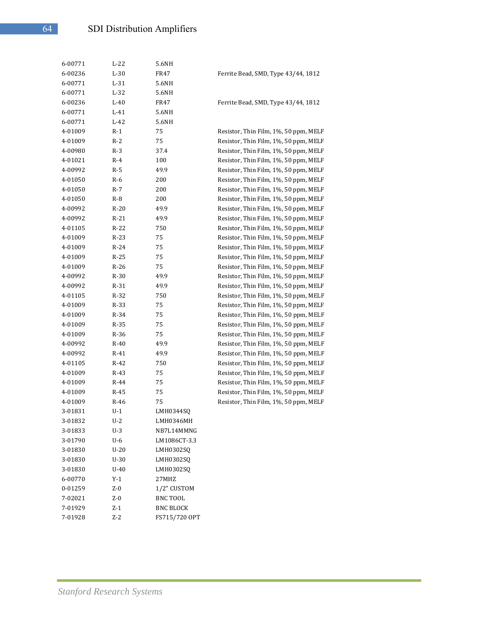| 6-00771 | $L-22$ | 5.6NH            |                                       |
|---------|--------|------------------|---------------------------------------|
| 6-00236 | $L-30$ | FR47             | Ferrite Bead, SMD, Type 43/44, 1812   |
| 6-00771 | $L-31$ | 5.6NH            |                                       |
| 6-00771 | $L-32$ | 5.6NH            |                                       |
| 6-00236 | $L-40$ | FR47             | Ferrite Bead, SMD, Type 43/44, 1812   |
| 6-00771 | L-41   | 5.6NH            |                                       |
| 6-00771 | L-42   | 5.6NH            |                                       |
| 4-01009 | R-1    | 75               | Resistor, Thin Film, 1%, 50 ppm, MELF |
| 4-01009 | $R-2$  | 75               | Resistor, Thin Film, 1%, 50 ppm, MELF |
| 4-00980 | $R-3$  | 37.4             | Resistor, Thin Film, 1%, 50 ppm, MELF |
| 4-01021 | R-4    | 100              | Resistor, Thin Film, 1%, 50 ppm, MELF |
| 4-00992 | R-5    | 49.9             | Resistor, Thin Film, 1%, 50 ppm, MELF |
| 4-01050 | R-6    | 200              | Resistor, Thin Film, 1%, 50 ppm, MELF |
| 4-01050 | R-7    | 200              | Resistor, Thin Film, 1%, 50 ppm, MELF |
| 4-01050 | R-8    | 200              | Resistor, Thin Film, 1%, 50 ppm, MELF |
| 4-00992 | $R-20$ | 49.9             | Resistor, Thin Film, 1%, 50 ppm, MELF |
| 4-00992 | $R-21$ | 49.9             | Resistor, Thin Film, 1%, 50 ppm, MELF |
| 4-01105 | $R-22$ | 750              | Resistor, Thin Film, 1%, 50 ppm, MELF |
| 4-01009 | $R-23$ | 75               | Resistor, Thin Film, 1%, 50 ppm, MELF |
| 4-01009 | $R-24$ | 75               | Resistor, Thin Film, 1%, 50 ppm, MELF |
| 4-01009 | $R-25$ | 75               | Resistor, Thin Film, 1%, 50 ppm, MELF |
| 4-01009 | $R-26$ | 75               | Resistor, Thin Film, 1%, 50 ppm, MELF |
| 4-00992 | $R-30$ | 49.9             | Resistor, Thin Film, 1%, 50 ppm, MELF |
| 4-00992 | $R-31$ | 49.9             | Resistor, Thin Film, 1%, 50 ppm, MELF |
| 4-01105 | $R-32$ | 750              | Resistor, Thin Film, 1%, 50 ppm, MELF |
| 4-01009 | $R-33$ | 75               | Resistor, Thin Film, 1%, 50 ppm, MELF |
| 4-01009 | $R-34$ | 75               | Resistor, Thin Film, 1%, 50 ppm, MELF |
| 4-01009 | $R-35$ | 75               | Resistor, Thin Film, 1%, 50 ppm, MELF |
| 4-01009 | $R-36$ | 75               | Resistor, Thin Film, 1%, 50 ppm, MELF |
| 4-00992 | $R-40$ | 49.9             | Resistor, Thin Film, 1%, 50 ppm, MELF |
| 4-00992 | $R-41$ | 49.9             | Resistor, Thin Film, 1%, 50 ppm, MELF |
| 4-01105 | $R-42$ | 750              | Resistor, Thin Film, 1%, 50 ppm, MELF |
| 4-01009 | $R-43$ | 75               | Resistor, Thin Film, 1%, 50 ppm, MELF |
| 4-01009 | R-44   | 75               | Resistor, Thin Film, 1%, 50 ppm, MELF |
| 4-01009 | $R-45$ | 75               | Resistor, Thin Film, 1%, 50 ppm, MELF |
| 4-01009 | $R-46$ | 75               | Resistor, Thin Film, 1%, 50 ppm, MELF |
| 3-01831 | $U-1$  | LMH0344SQ        |                                       |
| 3-01832 | U-2    | LMH0346MH        |                                       |
| 3-01833 | $U-3$  | NB7L14MMNG       |                                       |
| 3-01790 | $U-6$  | LM1086CT-3.3     |                                       |
| 3-01830 | $U-20$ | LMH0302SQ        |                                       |
| 3-01830 | $U-30$ | LMH0302SQ        |                                       |
| 3-01830 | $U-40$ | LMH0302SQ        |                                       |
| 6-00770 | $Y-1$  | 27MHZ            |                                       |
| 0-01259 | Z-0    | 1/2" CUSTOM      |                                       |
| 7-02021 | Z-0    | <b>BNC TOOL</b>  |                                       |
| 7-01929 | Z-1    | <b>BNC BLOCK</b> |                                       |
| 7-01928 | Z-2    | FS715/720 OPT    |                                       |
|         |        |                  |                                       |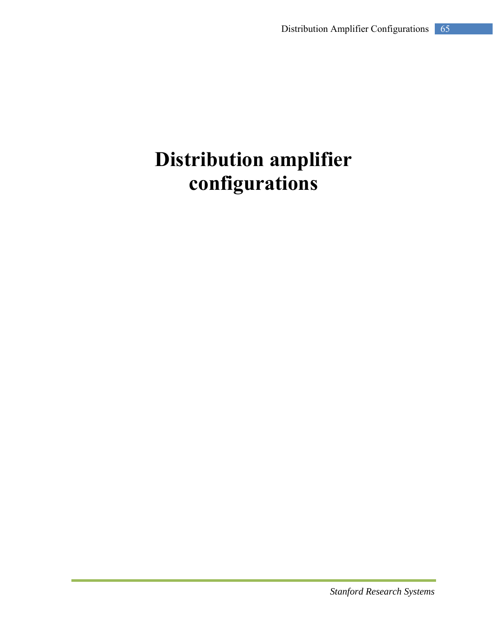# **Distribution amplifier configurations**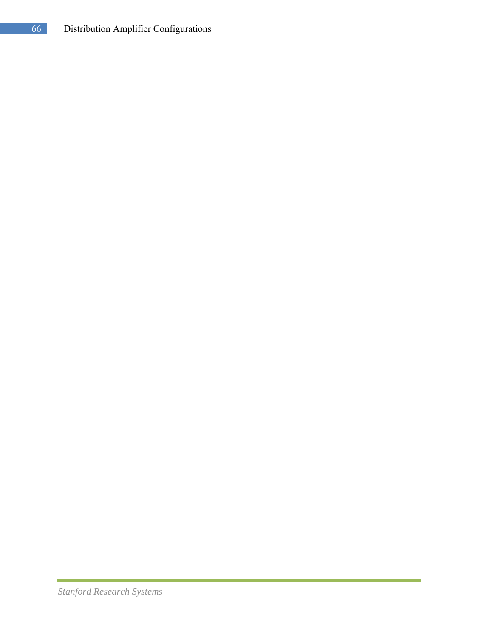# 66 Distribution Amplifier Configurations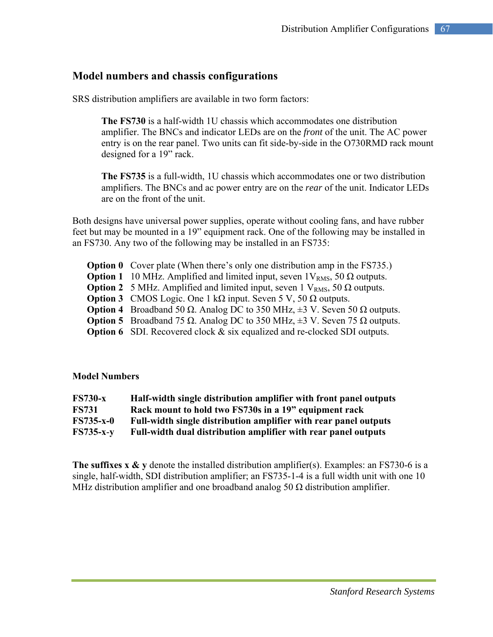#### **Model numbers and chassis configurations**

SRS distribution amplifiers are available in two form factors:

**The FS730** is a half-width 1U chassis which accommodates one distribution amplifier. The BNCs and indicator LEDs are on the *front* of the unit. The AC power entry is on the rear panel. Two units can fit side-by-side in the O730RMD rack mount designed for a 19" rack.

**The FS735** is a full-width, 1U chassis which accommodates one or two distribution amplifiers. The BNCs and ac power entry are on the *rear* of the unit. Indicator LEDs are on the front of the unit.

Both designs have universal power supplies, operate without cooling fans, and have rubber feet but may be mounted in a 19" equipment rack. One of the following may be installed in an FS730. Any two of the following may be installed in an FS735:

- **Option 0** Cover plate (When there's only one distribution amp in the FS735.)
- **Option 1** 10 MHz. Amplified and limited input, seven  $1V_{RMS}$ , 50  $\Omega$  outputs.
- **Option 2** 5 MHz. Amplified and limited input, seven 1  $V_{RMS}$ , 50  $\Omega$  outputs.
- **Option 3** CMOS Logic. One 1 kΩ input. Seven 5 V, 50 Ω outputs.
- **Option 4** Broadband 50 Ω. Analog DC to 350 MHz,  $\pm$ 3 V. Seven 50 Ω outputs.
- **Option 5** Broadband 75 Ω. Analog DC to 350 MHz,  $\pm$ 3 V. Seven 75 Ω outputs.
- **Option 6** SDI. Recovered clock & six equalized and re-clocked SDI outputs.

#### **Model Numbers**

| $FS730-x$    | Half-width single distribution amplifier with front panel outputs |
|--------------|-------------------------------------------------------------------|
| <b>FS731</b> | Rack mount to hold two FS730s in a 19" equipment rack             |
| $FS735-x-0$  | Full-width single distribution amplifier with rear panel outputs  |
| $FS735-x-y$  | Full-width dual distribution amplifier with rear panel outputs    |

**The suffixes x & y** denote the installed distribution amplifier(s). Examples: an FS730-6 is a single, half-width, SDI distribution amplifier; an FS735-1-4 is a full width unit with one 10 MHz distribution amplifier and one broadband analog 50  $\Omega$  distribution amplifier.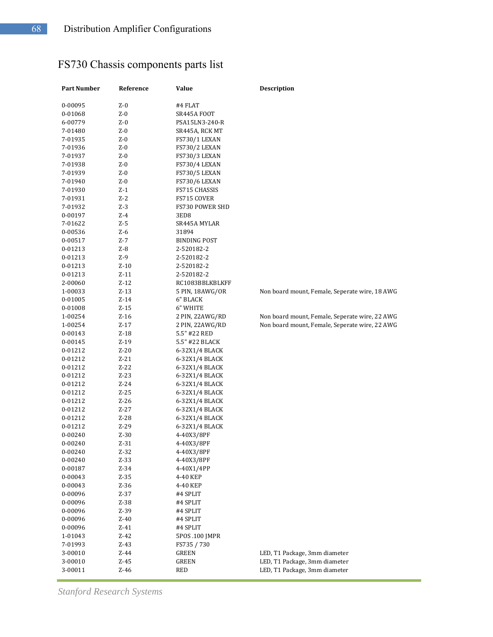# FS730 Chassis components parts list

| <b>Part Number</b> | Reference | Value           | Description                                    |
|--------------------|-----------|-----------------|------------------------------------------------|
| 0-00095            | $Z-0$     | #4 FLAT         |                                                |
| 0-01068            | $Z-0$     | SR445A FOOT     |                                                |
| 6-00779            | $Z-0$     | PSA15LN3-240-R  |                                                |
| 7-01480            | Z-0       | SR445A, RCK MT  |                                                |
| 7-01935            | $Z-0$     | FS730/1 LEXAN   |                                                |
| 7-01936            | Z-0       | FS730/2 LEXAN   |                                                |
| 7-01937            | $Z-0$     | FS730/3 LEXAN   |                                                |
| 7-01938            | $Z-0$     | FS730/4 LEXAN   |                                                |
| 7-01939            | $Z-0$     | FS730/5 LEXAN   |                                                |
| 7-01940            | $Z-0$     | FS730/6 LEXAN   |                                                |
| 7-01930            | Z-1       | FS715 CHASSIS   |                                                |
| 7-01931            | $Z-2$     | FS715 COVER     |                                                |
| 7-01932            | $Z-3$     | FS730 POWER SHD |                                                |
| 0-00197            | Z-4       | 3ED8            |                                                |
| 7-01622            | Z-5       | SR445A MYLAR    |                                                |
| 0-00536            | $Z-6$     | 31894           |                                                |
| 0-00517            | $Z-7$     | BINDING POST    |                                                |
| 0-01213            | $Z-8$     | 2-520182-2      |                                                |
| 0-01213            | $Z-9$     | 2-520182-2      |                                                |
| 0-01213            | $Z-10$    | 2-520182-2      |                                                |
| 0-01213            | Z-11      | 2-520182-2      |                                                |
| 2-00060            | $Z-12$    | RC1083BBLKBLKFF |                                                |
| 1-00033            | $Z-13$    | 5 PIN, 18AWG/OR | Non board mount, Female, Seperate wire, 18 AWG |
| 0-01005            | $Z-14$    | 6" BLACK        |                                                |
| 0-01008            | $Z-15$    | 6" WHITE        |                                                |
| 1-00254            | $Z-16$    | 2 PIN, 22AWG/RD | Non board mount, Female, Seperate wire, 22 AWG |
| 1-00254            | $Z-17$    | 2 PIN, 22AWG/RD | Non board mount, Female, Seperate wire, 22 AWG |
| 0-00143            | Z-18      | 5.5" #22 RED    |                                                |
| 0-00145            | $Z-19$    | 5.5" #22 BLACK  |                                                |
| 0-01212            | $Z-20$    | 6-32X1/4 BLACK  |                                                |
| 0-01212            | $Z-21$    | 6-32X1/4 BLACK  |                                                |
| 0-01212            | $Z-22$    | 6-32X1/4 BLACK  |                                                |
| 0-01212            | $Z-23$    | 6-32X1/4 BLACK  |                                                |
| 0-01212            | $Z-24$    | 6-32X1/4 BLACK  |                                                |
| 0-01212            | $Z-25$    | 6-32X1/4 BLACK  |                                                |
| 0-01212            | $Z-26$    | 6-32X1/4 BLACK  |                                                |
| 0-01212            | $Z-27$    | 6-32X1/4 BLACK  |                                                |
| 0-01212            | Z-28      | 6-32X1/4 BLACK  |                                                |
| 0-01212            | $Z-29$    | 6-32X1/4 BLACK  |                                                |
| 0-00240            | $Z-30$    | 4-40X3/8PF      |                                                |
| 0-00240            | $Z-31$    | 4-40X3/8PF      |                                                |
| 0-00240            | $Z-32$    | 4-40X3/8PF      |                                                |
| 0-00240            | $Z-33$    | 4-40X3/8PF      |                                                |
| 0-00187            | $Z-34$    | 4-40X1/4PP      |                                                |
| 0-00043            | $Z-35$    | 4-40 KEP        |                                                |
| 0-00043            | $Z-36$    | 4-40 KEP        |                                                |
| 0-00096            | $Z-37$    | #4 SPLIT        |                                                |
| 0-00096            | $Z-38$    | #4 SPLIT        |                                                |
| 0-00096            | $Z-39$    | #4 SPLIT        |                                                |
| 0-00096            | $Z-40$    | #4 SPLIT        |                                                |
| 0-00096            | $Z-41$    | #4 SPLIT        |                                                |
| 1-01043            | $Z-42$    | 5POS .100 JMPR  |                                                |
| 7-01993            | $Z-43$    | FS735 / 730     |                                                |
| 3-00010            | $Z-44$    | <b>GREEN</b>    | LED, T1 Package, 3mm diameter                  |
| 3-00010            | $Z-45$    | <b>GREEN</b>    | LED, T1 Package, 3mm diameter                  |
| 3-00011            | $Z-46$    | RED             | LED, T1 Package, 3mm diameter                  |

*Stanford Research Systems*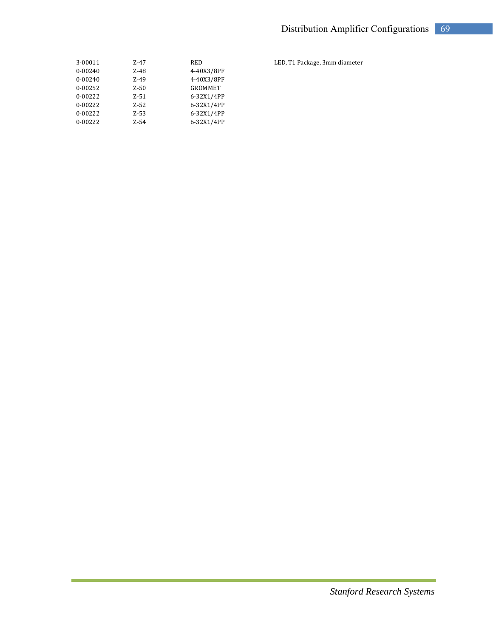| $7 - 47$ | <b>RED</b>     |
|----------|----------------|
| $Z - 48$ | 4-40X3/8PF     |
| $7-49$   | 4-40X3/8PF     |
| $Z - 50$ | <b>GROMMET</b> |
| $Z - 51$ | 6-32X1/4PP     |
| $7-52$   | 6-32X1/4PP     |
| $Z-53$   | 6-32X1/4PP     |
| $7 - 54$ | 6-32X1/4PP     |
|          |                |

LED, T1 Package, 3mm diameter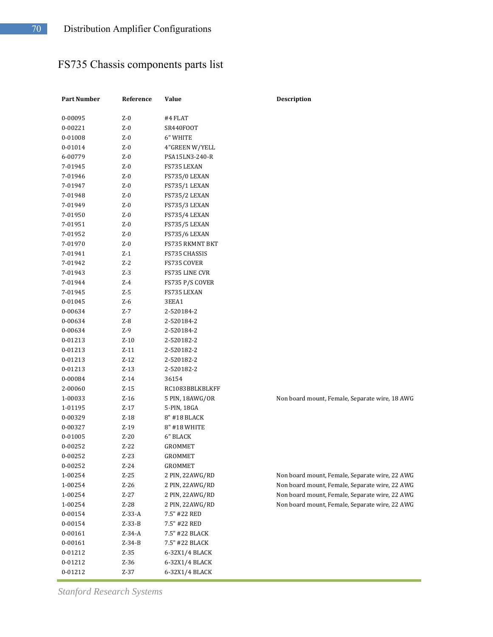# FS735 Chassis components parts list

| <b>Part Number</b> | Reference | Value                | <b>Description</b>                             |
|--------------------|-----------|----------------------|------------------------------------------------|
| 0-00095            | Z-0       | #4 FLAT              |                                                |
| 0-00221            | $Z-0$     | SR440FOOT            |                                                |
| 0-01008            | Z-0       | 6" WHITE             |                                                |
| 0-01014            | Z-0       | 4"GREEN W/YELL       |                                                |
| 6-00779            | Z-0       | PSA15LN3-240-R       |                                                |
| 7-01945            | Z-0       | FS735 LEXAN          |                                                |
| 7-01946            | Z-0       | FS735/0 LEXAN        |                                                |
| 7-01947            | Z-0       | FS735/1 LEXAN        |                                                |
| 7-01948            | Z-0       | <b>FS735/2 LEXAN</b> |                                                |
| 7-01949            | Z-0       | FS735/3 LEXAN        |                                                |
| 7-01950            | Z-0       | FS735/4 LEXAN        |                                                |
| 7-01951            | $Z-0$     | <b>FS735/5 LEXAN</b> |                                                |
| 7-01952            | Z-0       | <b>FS735/6 LEXAN</b> |                                                |
| 7-01970            | $Z-0$     | FS735 RKMNT BKT      |                                                |
| 7-01941            | Z-1       | FS735 CHASSIS        |                                                |
| 7-01942            | Z-2       | FS735 COVER          |                                                |
| 7-01943            | Z-3       | FS735 LINE CVR       |                                                |
| 7-01944            | Z-4       | FS735 P/S COVER      |                                                |
| 7-01945            | Z-5       | FS735 LEXAN          |                                                |
| 0-01045            | Z-6       | 3EEA1                |                                                |
| 0-00634            | Z-7       | 2-520184-2           |                                                |
| 0-00634            | Z-8       | 2-520184-2           |                                                |
| 0-00634            | $Z-9$     | 2-520184-2           |                                                |
| 0-01213            | $Z-10$    | 2-520182-2           |                                                |
| 0-01213            | $Z-11$    | 2-520182-2           |                                                |
| 0-01213            | $Z-12$    | 2-520182-2           |                                                |
| 0-01213            | Z-13      | 2-520182-2           |                                                |
| 0-00084            | $Z-14$    | 36154                |                                                |
| 2-00060            | $Z-15$    | RC1083BBLKBLKFF      |                                                |
| 1-00033            | $Z-16$    | 5 PIN, 18AWG/OR      | Non board mount, Female, Separate wire, 18 AWG |
| 1-01195            | $Z-17$    | 5-PIN, 18GA          |                                                |
| 0-00329            | $Z-18$    | 8" #18 BLACK         |                                                |
| 0-00327            | $Z-19$    | 8" #18 WHITE         |                                                |
| 0-01005            | $Z-20$    | 6" BLACK             |                                                |
| 0-00252            | $Z-22$    | GROMMET              |                                                |
| 0-00252            | $Z-23$    | GROMMET              |                                                |
| 0-00252            | $Z-24$    | <b>GROMMET</b>       |                                                |
| 1-00254            | $Z-25$    | 2 PIN, 22AWG/RD      | Non board mount, Female, Separate wire, 22 AWG |
| 1-00254            | $Z-26$    | 2 PIN, 22AWG/RD      | Non board mount, Female, Separate wire, 22 AWG |
| 1-00254            | $Z-27$    | 2 PIN, 22AWG/RD      | Non board mount, Female, Separate wire, 22 AWG |
| 1-00254            | $Z-28$    | 2 PIN, 22AWG/RD      | Non board mount, Female, Separate wire, 22 AWG |
| 0-00154            | $Z-33-A$  | 7.5" #22 RED         |                                                |
| 0-00154            | $Z-33-B$  | 7.5" #22 RED         |                                                |
| $0 - 00161$        | $Z-34-A$  | 7.5" #22 BLACK       |                                                |
| $0 - 00161$        | $Z-34-B$  | 7.5" #22 BLACK       |                                                |
| 0-01212            | $Z-35$    | 6-32X1/4 BLACK       |                                                |
| 0-01212            | $Z-36$    | 6-32X1/4 BLACK       |                                                |
| 0-01212            | $Z-37$    | 6-32X1/4 BLACK       |                                                |

*Stanford Research Systems*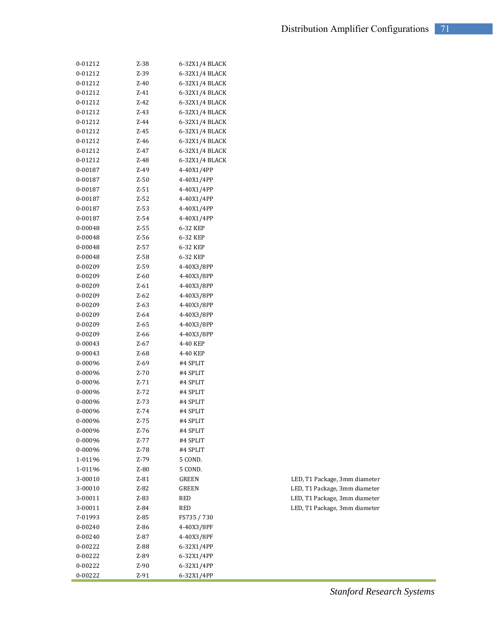| 0-01212 | Z-38     | 6-32X1/4 BLACK         |
|---------|----------|------------------------|
| 0-01212 | Z-39     | 6-32X1/4 BLACK         |
| 0-01212 | Z-40     | 6-32X1/4 BLACK         |
| 0-01212 | Z-41     | 6-32X1/4 BLACK         |
| 0-01212 | $Z-42$   | 6-32X1/4 BLACK         |
| 0-01212 | $Z-43$   | 6-32X1/4 BLACK         |
| 0-01212 | $Z-44$   | 6-32X1/4 BLACK         |
| 0-01212 | $Z-45$   | 6-32X1/4 BLACK         |
| 0-01212 | $Z-46$   | 6-32X1/4 BLACK         |
| 0-01212 | $Z-47$   | 6-32X1/4 BLACK         |
| 0-01212 | Z-48     | 6-32X1/4 BLACK         |
| 0-00187 | Z-49     | 4-40X1/4PP             |
| 0-00187 | Z-50     | 4-40X1/4PP             |
| 0-00187 | $Z-51$   | 4-40X1/4PP             |
| 0-00187 | $Z-52$   | 4-40X1/4PP             |
| 0-00187 | Z-53     | 4-40X1/4PP             |
| 0-00187 | $Z-54$   |                        |
|         |          | 4-40X1/4PP<br>6-32 KEP |
| 0-00048 | Z-55     |                        |
| 0-00048 | Z-56     | 6-32 KEP               |
| 0-00048 | Z-57     | 6-32 KEP               |
| 0-00048 | Z-58     | 6-32 KEP               |
| 0-00209 | Z-59     | 4-40X3/8PP             |
| 0-00209 | $Z-60$   | 4-40X3/8PP             |
| 0-00209 | $Z-61$   | 4-40X3/8PP             |
| 0-00209 | $Z-62$   | 4-40X3/8PP             |
| 0-00209 | $Z-63$   | 4-40X3/8PP             |
| 0-00209 | $Z-64$   | 4-40X3/8PP             |
| 0-00209 | $Z-65$   | 4-40X3/8PP             |
| 0-00209 | Z-66     | 4-40X3/8PP             |
| 0-00043 | Z-67     | 4-40 KEP               |
| 0-00043 | Z-68     | 4-40 KEP               |
| 0-00096 | Z-69     | #4 SPLIT               |
| 0-00096 | $Z-70$   | #4 SPLIT               |
| 0-00096 | $Z-71$   | #4 SPLIT               |
| 0-00096 | $Z-72$   | #4 SPLIT               |
| 0-00096 | $Z-73$   | #4 SPLIT               |
| 0-00096 | $Z - 74$ | #4 SPLIT               |
| 0-00096 | $Z-75$   | #4 SPLIT               |
| 0-00096 | Z-76     | #4 SPLIT               |
| 0-00096 | $Z-77$   | #4 SPLIT               |
| 0-00096 | Z-78     | #4 SPLIT               |
| 1-01196 | Z-79     | 5 COND.                |
| 1-01196 | Z-80     | 5 COND.                |
| 3-00010 | Z-81     | <b>GREEN</b>           |
| 3-00010 | $Z-82$   | GREEN                  |
| 3-00011 | Z-83     | RED                    |
| 3-00011 | Z-84     | RED                    |
| 7-01993 | $Z-85$   | FS735 / 730            |
| 0-00240 | Z-86     | 4-40X3/8PF             |
| 0-00240 | Z-87     | 4-40X3/8PF             |
| 0-00222 | Z-88     | 6-32X1/4PP             |
| 0-00222 | Z-89     | 6-32X1/4PP             |
| 0-00222 | Z-90     | 6-32X1/4PP             |
| 0-00222 | $Z-91$   | 6-32X1/4PP             |
|         |          |                        |

LED, T1 Package, 3mm diameter LED, T1 Package, 3mm diameter LED, T1 Package, 3mm diameter LED, T1 Package, 3mm diameter

*Stanford Research Systems*